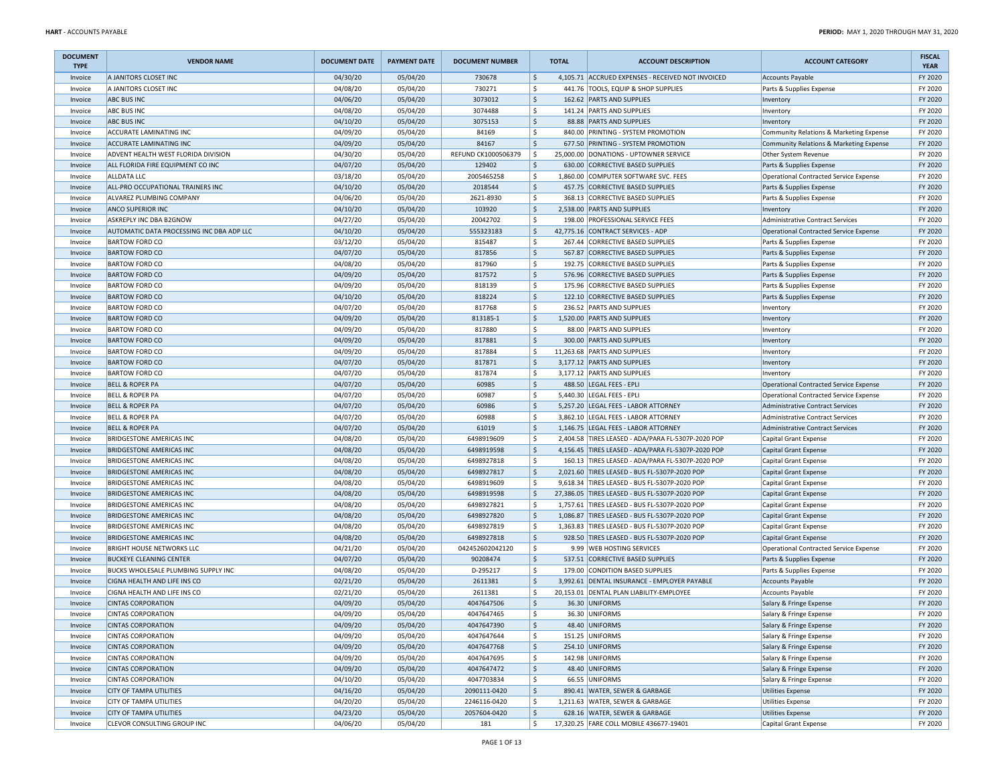| <b>DOCUMENT</b><br><b>TYPE</b> | <b>VENDOR NAME</b>                        | <b>DOCUMENT DATE</b> | <b>PAYMENT DATE</b> | <b>DOCUMENT NUMBER</b> | <b>TOTAL</b>              | <b>ACCOUNT DESCRIPTION</b>                                  | <b>ACCOUNT CATEGORY</b>                 | <b>FISCAL</b><br><b>YEAR</b> |
|--------------------------------|-------------------------------------------|----------------------|---------------------|------------------------|---------------------------|-------------------------------------------------------------|-----------------------------------------|------------------------------|
| Invoice                        | A JANITORS CLOSET INC                     | 04/30/20             | 05/04/20            | 730678                 | ۱\$                       | 4,105.71 ACCRUED EXPENSES - RECEIVED NOT INVOICED           | <b>Accounts Payable</b>                 | FY 2020                      |
| Invoice                        | A JANITORS CLOSET INC                     | 04/08/20             | 05/04/20            | 730271                 | \$                        | 441.76 TOOLS, EQUIP & SHOP SUPPLIES                         | Parts & Supplies Expense                | FY 2020                      |
| Invoice                        | <b>ABC BUS INC</b>                        | 04/06/20             | 05/04/20            | 3073012                | l\$                       | 162.62 PARTS AND SUPPLIES                                   | Inventory                               | FY 2020                      |
| Invoice                        | <b>ABC BUS INC</b>                        | 04/08/20             | 05/04/20            | 3074488                | l\$                       | 141.24 PARTS AND SUPPLIES                                   | Inventory                               | FY 2020                      |
| Invoice                        | <b>ABC BUS INC</b>                        | 04/10/20             | 05/04/20            | 3075153                | l\$                       | 88.88 PARTS AND SUPPLIES                                    | Inventory                               | FY 2020                      |
| Invoice                        | <b>ACCURATE LAMINATING INC</b>            | 04/09/20             | 05/04/20            | 84169                  | \$                        | 840.00 PRINTING - SYSTEM PROMOTION                          | Community Relations & Marketing Expense | FY 2020                      |
| Invoice                        | <b>ACCURATE LAMINATING INC</b>            | 04/09/20             | 05/04/20            | 84167                  | \$                        | 677.50 PRINTING - SYSTEM PROMOTION                          | Community Relations & Marketing Expense | FY 2020                      |
| Invoice                        | ADVENT HEALTH WEST FLORIDA DIVISION       | 04/30/20             | 05/04/20            | REFUND CK1000506379    | l\$                       | 25,000.00 DONATIONS - UPTOWNER SERVICE                      | Other System Revenue                    | FY 2020                      |
| Invoice                        | ALL FLORIDA FIRE EQUIPMENT CO INC         | 04/07/20             | 05/04/20            | 129402                 | l\$                       | 630.00 CORRECTIVE BASED SUPPLIES                            | Parts & Supplies Expense                | FY 2020                      |
| Invoice                        | <b>ALLDATA LLC</b>                        | 03/18/20             | 05/04/20            | 2005465258             | \$                        | 1,860.00 COMPUTER SOFTWARE SVC. FEES                        | Operational Contracted Service Expense  | FY 2020                      |
| Invoice                        | ALL-PRO OCCUPATIONAL TRAINERS INC         | 04/10/20             | 05/04/20            | 2018544                | l\$                       | 457.75 CORRECTIVE BASED SUPPLIES                            | Parts & Supplies Expense                | FY 2020                      |
| Invoice                        | ALVAREZ PLUMBING COMPANY                  | 04/06/20             | 05/04/20            | 2621-8930              | \$                        | 368.13 CORRECTIVE BASED SUPPLIES                            | Parts & Supplies Expense                | FY 2020                      |
| Invoice                        | <b>ANCO SUPERIOR INC</b>                  | 04/10/20             | 05/04/20            | 103920                 | S,                        | 2,538.00 PARTS AND SUPPLIES                                 | Inventory                               | FY 2020                      |
| Invoice                        | ASKREPLY INC DBA B2GNOW                   | 04/27/20             | 05/04/20            | 20042702               | \$                        | 198.00 PROFESSIONAL SERVICE FEES                            | <b>Administrative Contract Services</b> | FY 2020                      |
| Invoice                        | AUTOMATIC DATA PROCESSING INC DBA ADP LLC | 04/10/20             | 05/04/20            | 555323183              | \$                        | 42.775.16 CONTRACT SERVICES - ADP                           | Operational Contracted Service Expense  | FY 2020                      |
| Invoice                        | <b>BARTOW FORD CO</b>                     | 03/12/20             | 05/04/20            | 815487                 | \$                        | 267.44 CORRECTIVE BASED SUPPLIES                            | Parts & Supplies Expense                | FY 2020                      |
| Invoice                        | <b>BARTOW FORD CO</b>                     | 04/07/20             | 05/04/20            | 817856                 | l\$                       | 567.87 CORRECTIVE BASED SUPPLIES                            | Parts & Supplies Expense                | FY 2020                      |
| Invoice                        | <b>BARTOW FORD CO</b>                     | 04/08/20             | 05/04/20            | 817960                 | l\$                       | 192.75 CORRECTIVE BASED SUPPLIES                            | Parts & Supplies Expense                | FY 2020                      |
| Invoice                        | <b>BARTOW FORD CO</b>                     | 04/09/20             | 05/04/20            | 817572                 | l\$                       | 576.96 CORRECTIVE BASED SUPPLIES                            | Parts & Supplies Expense                | FY 2020                      |
| Invoice                        | <b>BARTOW FORD CO</b>                     | 04/09/20             | 05/04/20            | 818139                 | \$                        | 175.96 CORRECTIVE BASED SUPPLIES                            | Parts & Supplies Expense                | FY 2020                      |
| Invoice                        | <b>BARTOW FORD CO</b>                     | 04/10/20             | 05/04/20            | 818224                 | l\$                       | 122.10 CORRECTIVE BASED SUPPLIES                            | Parts & Supplies Expense                | FY 2020                      |
| Invoice                        | <b>BARTOW FORD CO</b>                     | 04/07/20             | 05/04/20            | 817768                 | \$                        | 236.52 PARTS AND SUPPLIES                                   | Inventory                               | FY 2020                      |
| Invoice                        | <b>BARTOW FORD CO</b>                     | 04/09/20             | 05/04/20            | 813185-1               | \$                        | 1,520.00 PARTS AND SUPPLIES                                 | Inventory                               | FY 2020                      |
| Invoice                        | <b>BARTOW FORD CO</b>                     | 04/09/20             | 05/04/20            | 817880                 | \$                        | 88.00 PARTS AND SUPPLIES                                    | Inventory                               | FY 2020                      |
|                                | <b>BARTOW FORD CO</b>                     | 04/09/20             | 05/04/20            | 817881                 | l\$                       | 300.00 PARTS AND SUPPLIES                                   |                                         | FY 2020                      |
| Invoice                        |                                           |                      |                     |                        |                           |                                                             | Inventory                               |                              |
| Invoice                        | <b>BARTOW FORD CO</b>                     | 04/09/20             | 05/04/20            | 817884                 | l\$<br>l\$                | 11,263.68 PARTS AND SUPPLIES<br>3.177.12 PARTS AND SUPPLIES | Inventory                               | FY 2020                      |
| Invoice                        | <b>BARTOW FORD CO</b>                     | 04/07/20             | 05/04/20            | 817871                 |                           |                                                             | Inventory                               | FY 2020                      |
| Invoice                        | <b>BARTOW FORD CO</b>                     | 04/07/20             | 05/04/20            | 817874                 | \$                        | 3,177.12 PARTS AND SUPPLIES                                 | Inventory                               | FY 2020                      |
| Invoice                        | <b>BELL &amp; ROPER PA</b>                | 04/07/20             | 05/04/20            | 60985                  | l\$                       | 488.50 LEGAL FEES - EPLI                                    | Operational Contracted Service Expense  | FY 2020                      |
| Invoice                        | <b>BELL &amp; ROPER PA</b>                | 04/07/20             | 05/04/20            | 60987                  | \$                        | 5,440.30 LEGAL FEES - EPLI                                  | Operational Contracted Service Expense  | FY 2020                      |
| Invoice                        | <b>BELL &amp; ROPER PA</b>                | 04/07/20             | 05/04/20            | 60986                  | \$                        | 5,257.20 LEGAL FEES - LABOR ATTORNEY                        | <b>Administrative Contract Services</b> | FY 2020                      |
| Invoice                        | <b>BELL &amp; ROPER PA</b>                | 04/07/20             | 05/04/20            | 60988                  | \$                        | 3,862.10 LEGAL FEES - LABOR ATTORNEY                        | <b>Administrative Contract Services</b> | FY 2020                      |
| Invoice                        | <b>BELL &amp; ROPER PA</b>                | 04/07/20             | 05/04/20            | 61019                  | S,                        | 1,146.75 LEGAL FEES - LABOR ATTORNEY                        | Administrative Contract Services        | FY 2020                      |
| Invoice                        | <b>BRIDGESTONE AMERICAS INC</b>           | 04/08/20             | 05/04/20            | 6498919609             | l\$                       | 2,404.58 TIRES LEASED - ADA/PARA FL-5307P-2020 POP          | Capital Grant Expense                   | FY 2020                      |
| Invoice                        | <b>BRIDGESTONE AMERICAS INC</b>           | 04/08/20             | 05/04/20            | 6498919598             | l\$                       | 4,156.45 TIRES LEASED - ADA/PARA FL-5307P-2020 POP          | Capital Grant Expense                   | FY 2020                      |
| Invoice                        | <b>BRIDGESTONE AMERICAS INC</b>           | 04/08/20             | 05/04/20            | 6498927818             | l \$                      | 160.13 TIRES LEASED - ADA/PARA FL-5307P-2020 POP            | Capital Grant Expense                   | FY 2020                      |
| Invoice                        | <b>BRIDGESTONE AMERICAS INC</b>           | 04/08/20             | 05/04/20            | 6498927817             | l\$                       | 2,021.60 TIRES LEASED - BUS FL-5307P-2020 POP               | Capital Grant Expense                   | FY 2020                      |
| Invoice                        | <b>BRIDGESTONE AMERICAS INC</b>           | 04/08/20             | 05/04/20            | 6498919609             | \$                        | 9,618.34 TIRES LEASED - BUS FL-5307P-2020 POP               | Capital Grant Expense                   | FY 2020                      |
| Invoice                        | <b>BRIDGESTONE AMERICAS INC</b>           | 04/08/20             | 05/04/20            | 6498919598             | \$                        | 27,386.05 TIRES LEASED - BUS FL-5307P-2020 POP              | Capital Grant Expense                   | FY 2020                      |
| Invoice                        | <b>BRIDGESTONE AMERICAS INC</b>           | 04/08/20             | 05/04/20            | 6498927821             | $\dot{\mathsf{s}}$        | 1,757.61 TIRES LEASED - BUS FL-5307P-2020 POP               | Capital Grant Expense                   | FY 2020                      |
| Invoice                        | <b>BRIDGESTONE AMERICAS INC</b>           | 04/08/20             | 05/04/20            | 6498927820             | $\boldsymbol{\mathsf{S}}$ | 1,086.87 TIRES LEASED - BUS FL-5307P-2020 POP               | Capital Grant Expense                   | FY 2020                      |
| Invoice                        | <b>BRIDGESTONE AMERICAS INC</b>           | 04/08/20             | 05/04/20            | 6498927819             | l\$                       | 1,363.83 TIRES LEASED - BUS FL-5307P-2020 POP               | Capital Grant Expense                   | FY 2020                      |
| Invoice                        | <b>BRIDGESTONE AMERICAS INC</b>           | 04/08/20             | 05/04/20            | 6498927818             | l\$                       | 928.50 TIRES LEASED - BUS FL-5307P-2020 POP                 | Capital Grant Expense                   | FY 2020                      |
| Invoice                        | <b>BRIGHT HOUSE NETWORKS LLC</b>          | 04/21/20             | 05/04/20            | 042452602042120        | \$                        | 9.99 WEB HOSTING SERVICES                                   | Operational Contracted Service Expense  | FY 2020                      |
| Invoice                        | <b>BUCKEYE CLEANING CENTER</b>            | 04/07/20             | 05/04/20            | 90208474               | \$                        | 537.51 CORRECTIVE BASED SUPPLIES                            | Parts & Supplies Expense                | FY 2020                      |
| Invoice                        | BUCKS WHOLESALE PLUMBING SUPPLY INC       | 04/08/20             | 05/04/20            | D-295217               | \$                        | 179.00 CONDITION BASED SUPPLIES                             | Parts & Supplies Expense                | FY 2020                      |
| Invoice                        | CIGNA HEALTH AND LIFE INS CO              | 02/21/20             | 05/04/20            | 2611381                | $\ddot{\varsigma}$        | 3,992.61 DENTAL INSURANCE - EMPLOYER PAYABLE                | <b>Accounts Payable</b>                 | FY 2020                      |
| Invoice                        | CIGNA HEALTH AND LIFE INS CO              | 02/21/20             | 05/04/20            | 2611381                | $\dot{\mathsf{s}}$        | 20,153.01 DENTAL PLAN LIABILITY-EMPLOYEE                    | <b>Accounts Payable</b>                 | FY 2020                      |
| Invoice                        | <b>CINTAS CORPORATION</b>                 | 04/09/20             | 05/04/20            | 4047647506             | \$                        | 36.30 UNIFORMS                                              | Salary & Fringe Expense                 | FY 2020                      |
| Invoice                        | <b>CINTAS CORPORATION</b>                 | 04/09/20             | 05/04/20            | 4047647465             | l\$                       | 36.30 UNIFORMS                                              | Salary & Fringe Expense                 | FY 2020                      |
| Invoice                        | <b>CINTAS CORPORATION</b>                 | 04/09/20             | 05/04/20            | 4047647390             | ۱\$                       | 48.40 UNIFORMS                                              | Salary & Fringe Expense                 | FY 2020                      |
| Invoice                        | <b>CINTAS CORPORATION</b>                 | 04/09/20             | 05/04/20            | 4047647644             | \$                        | 151.25 UNIFORMS                                             | Salary & Fringe Expense                 | FY 2020                      |
| Invoice                        | <b>CINTAS CORPORATION</b>                 | 04/09/20             | 05/04/20            | 4047647768             | S,                        | 254.10 UNIFORMS                                             | Salary & Fringe Expense                 | FY 2020                      |
| Invoice                        | <b>CINTAS CORPORATION</b>                 | 04/09/20             | 05/04/20            | 4047647695             | \$                        | 142.98 UNIFORMS                                             | Salary & Fringe Expense                 | FY 2020                      |
| Invoice                        | <b>CINTAS CORPORATION</b>                 | 04/09/20             | 05/04/20            | 4047647472             | S,                        | 48.40 UNIFORMS                                              | Salary & Fringe Expense                 | FY 2020                      |
| Invoice                        | <b>CINTAS CORPORATION</b>                 | 04/10/20             | 05/04/20            | 4047703834             | \$                        | 66.55 UNIFORMS                                              | Salary & Fringe Expense                 | FY 2020                      |
| Invoice                        | <b>CITY OF TAMPA UTILITIES</b>            | 04/16/20             | 05/04/20            | 2090111-0420           | \$                        | 890.41 WATER, SEWER & GARBAGE                               | <b>Utilities Expense</b>                | FY 2020                      |
| Invoice                        | <b>CITY OF TAMPA UTILITIES</b>            | 04/20/20             | 05/04/20            | 2246116-0420           | \$                        | 1,211.63 WATER, SEWER & GARBAGE                             | <b>Utilities Expense</b>                | FY 2020                      |
| Invoice                        | <b>CITY OF TAMPA UTILITIES</b>            | 04/23/20             | 05/04/20            | 2057604-0420           | S,                        | 628.16 WATER, SEWER & GARBAGE                               | <b>Utilities Expense</b>                | FY 2020                      |
| Invoice                        | CLEVOR CONSULTING GROUP INC               | 04/06/20             | 05/04/20            | 181                    | l\$                       | 17,320.25 FARE COLL MOBILE 436677-19401                     | Capital Grant Expense                   | FY 2020                      |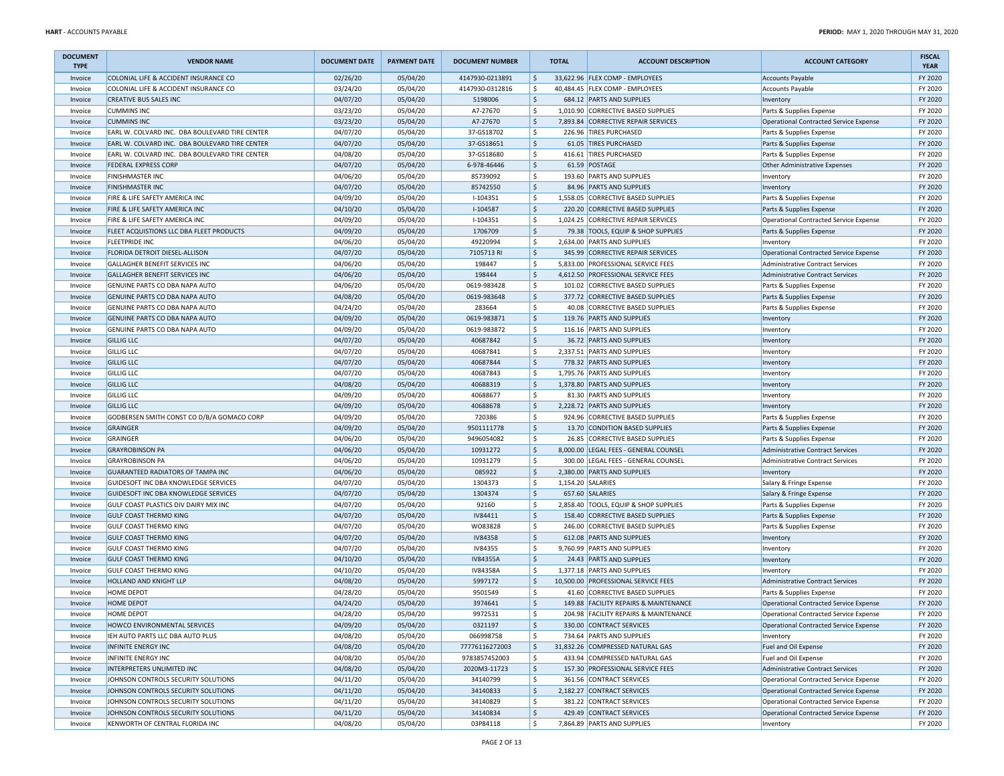| <b>DOCUMENT</b><br><b>TYPE</b> | <b>VENDOR NAME</b>                             | <b>DOCUMENT DATE</b> | <b>PAYMENT DATE</b> | <b>DOCUMENT NUMBER</b> |                     | <b>TOTAL</b> | <b>ACCOUNT DESCRIPTION</b>            | <b>ACCOUNT CATEGORY</b>                | <b>FISCAL</b><br><b>YEAR</b> |
|--------------------------------|------------------------------------------------|----------------------|---------------------|------------------------|---------------------|--------------|---------------------------------------|----------------------------------------|------------------------------|
| Invoice                        | COLONIAL LIFE & ACCIDENT INSURANCE CO          | 02/26/20             | 05/04/20            | 4147930-0213891        | \$                  |              | 33,622.96 FLEX COMP - EMPLOYEES       | Accounts Payable                       | FY 2020                      |
| Invoice                        | COLONIAL LIFE & ACCIDENT INSURANCE CO          | 03/24/20             | 05/04/20            | 4147930-0312816        | <sub>S</sub>        |              | 40,484.45 FLEX COMP - EMPLOYEES       | Accounts Payable                       | FY 2020                      |
| Invoice                        | <b>CREATIVE BUS SALES INC</b>                  | 04/07/20             | 05/04/20            | 5198006                | $\frac{1}{2}$       |              | 684.12 PARTS AND SUPPLIES             | Inventory                              | FY 2020                      |
| Invoice                        | <b>CUMMINS INC</b>                             | 03/23/20             | 05/04/20            | A7-27670               | \$                  | 1,010.90     | CORRECTIVE BASED SUPPLIES             | Parts & Supplies Expense               | FY 2020                      |
| Invoice                        | <b>CUMMINS INC</b>                             | 03/23/20             | 05/04/20            | A7-27670               | $\frac{1}{2}$       |              | 7,893.84 CORRECTIVE REPAIR SERVICES   | Operational Contracted Service Expense | FY 2020                      |
| Invoice                        | EARL W. COLVARD INC. DBA BOULEVARD TIRE CENTER | 04/07/20             | 05/04/20            | 37-GS18702             | \$                  |              | 226.96 TIRES PURCHASED                | Parts & Supplies Expense               | FY 2020                      |
| Invoice                        | EARL W. COLVARD INC. DBA BOULEVARD TIRE CENTER | 04/07/20             | 05/04/20            | 37-GS18651             | \$                  |              | 61.05 TIRES PURCHASED                 | Parts & Supplies Expense               | FY 2020                      |
| Invoice                        | EARL W. COLVARD INC. DBA BOULEVARD TIRE CENTER | 04/08/20             | 05/04/20            | 37-GS18680             | \$                  |              | 416.61 TIRES PURCHASED                | Parts & Supplies Expense               | FY 2020                      |
| Invoice                        | <b>FEDERAL EXPRESS CORP</b>                    | 04/07/20             | 05/04/20            | 6-978-46446            | $\ddot{\mathsf{s}}$ |              | 61.59 POSTAGE                         | Other Administrative Expenses          | FY 2020                      |
| Invoice                        | <b>FINISHMASTER INC</b>                        | 04/06/20             | 05/04/20            | 85739092               | \$                  |              | 193.60 PARTS AND SUPPLIES             | Inventory                              | FY 2020                      |
| Invoice                        | <b>FINISHMASTER INC</b>                        | 04/07/20             | 05/04/20            | 85742550               | \$                  |              | 84.96 PARTS AND SUPPLIES              | Inventory                              | FY 2020                      |
| Invoice                        | FIRE & LIFE SAFETY AMERICA INC                 | 04/09/20             | 05/04/20            | I-104351               | \$                  |              | 1,558.05 CORRECTIVE BASED SUPPLIES    | Parts & Supplies Expense               | FY 2020                      |
| Invoice                        | FIRE & LIFE SAFETY AMERICA INC                 | 04/10/20             | 05/04/20            | I-104587               | \$                  |              | 220.20 CORRECTIVE BASED SUPPLIES      | Parts & Supplies Expense               | FY 2020                      |
| Invoice                        | FIRE & LIFE SAFETY AMERICA INC                 | 04/09/20             | 05/04/20            | I-104351               | <sub>S</sub>        |              | 1,024.25 CORRECTIVE REPAIR SERVICES   | Operational Contracted Service Expense | FY 2020                      |
| Invoice                        | FLEET ACQUISTIONS LLC DBA FLEET PRODUCTS       | 04/09/20             | 05/04/20            | 1706709                | \$                  |              | 79.38 TOOLS, EQUIP & SHOP SUPPLIES    | Parts & Supplies Expense               | FY 2020                      |
| Invoice                        | <b>FLEETPRIDE INC</b>                          | 04/06/20             | 05/04/20            | 49220994               | <sub>S</sub>        |              | 2,634.00 PARTS AND SUPPLIES           | Inventory                              | FY 2020                      |
| Invoice                        | FLORIDA DETROIT DIESEL-ALLISON                 | 04/07/20             | 05/04/20            | 7105713 RI             | \$                  |              | 345.99 CORRECTIVE REPAIR SERVICES     | Operational Contracted Service Expense | FY 2020                      |
| Invoice                        | GALLAGHER BENEFIT SERVICES INC                 | 04/06/20             | 05/04/20            | 198447                 | \$                  |              | 5,833.00 PROFESSIONAL SERVICE FEES    | Administrative Contract Services       | FY 2020                      |
| Invoice                        | GALLAGHER BENEFIT SERVICES INC                 | 04/06/20             | 05/04/20            | 198444                 | \$                  |              | 4,612.50 PROFESSIONAL SERVICE FEES    | Administrative Contract Services       | FY 2020                      |
| Invoice                        | GENUINE PARTS CO DBA NAPA AUTO                 | 04/06/20             | 05/04/20            | 0619-983428            | \$                  |              | 101.02 CORRECTIVE BASED SUPPLIES      | Parts & Supplies Expense               | FY 2020                      |
| Invoice                        | GENUINE PARTS CO DBA NAPA AUTO                 | 04/08/20             | 05/04/20            | 0619-983648            | \$                  |              | 377.72 CORRECTIVE BASED SUPPLIES      | Parts & Supplies Expense               | FY 2020                      |
| Invoice                        | <b>GENUINE PARTS CO DBA NAPA AUTO</b>          | 04/24/20             | 05/04/20            | 283664                 | \$                  |              | 40.08 CORRECTIVE BASED SUPPLIES       | Parts & Supplies Expense               | FY 2020                      |
| Invoice                        | GENUINE PARTS CO DBA NAPA AUTO                 | 04/09/20             | 05/04/20            | 0619-983871            | \$                  |              | 119.76 PARTS AND SUPPLIES             | Inventory                              | FY 2020                      |
| Invoice                        | GENUINE PARTS CO DBA NAPA AUTO                 | 04/09/20             | 05/04/20            | 0619-983872            | \$                  |              | 116.16 PARTS AND SUPPLIES             | Inventory                              | FY 2020                      |
| Invoice                        | <b>GILLIG LLC</b>                              | 04/07/20             | 05/04/20            | 40687842               | \$                  |              | 36.72 PARTS AND SUPPLIES              | Inventory                              | FY 2020                      |
| Invoice                        | <b>GILLIG LLC</b>                              | 04/07/20             | 05/04/20            | 40687841               | \$                  |              | 2,337.51 PARTS AND SUPPLIES           | Inventory                              | FY 2020                      |
| Invoice                        | <b>GILLIG LLC</b>                              | 04/07/20             | 05/04/20            | 40687844               | \$                  |              | 778.32 PARTS AND SUPPLIES             | Inventory                              | FY 2020                      |
| Invoice                        | <b>GILLIG LLC</b>                              | 04/07/20             | 05/04/20            | 40687843               | $\mathsf{\hat{S}}$  |              | 1,795.76 PARTS AND SUPPLIES           | Inventory                              | FY 2020                      |
| Invoice                        | <b>GILLIG LLC</b>                              | 04/08/20             | 05/04/20            | 40688319               | \$                  |              | 1,378.80 PARTS AND SUPPLIES           | Inventory                              | FY 2020                      |
| Invoice                        | <b>GILLIG LLC</b>                              | 04/09/20             | 05/04/20            | 40688677               | <sub>S</sub>        |              | 81.30 PARTS AND SUPPLIES              | Inventory                              | FY 2020                      |
| Invoice                        | <b>GILLIG LLC</b>                              | 04/09/20             | 05/04/20            | 40688678               | \$                  |              | 2,228.72 PARTS AND SUPPLIES           | Inventory                              | FY 2020                      |
| Invoice                        | GODBERSEN SMITH CONST CO D/B/A GOMACO CORP     | 04/09/20             | 05/04/20            | 720386                 | \$                  |              | 924.96 CORRECTIVE BASED SUPPLIES      | Parts & Supplies Expense               | FY 2020                      |
| Invoice                        | GRAINGER                                       | 04/09/20             | 05/04/20            | 9501111778             | \$                  |              | 13.70 CONDITION BASED SUPPLIES        | Parts & Supplies Expense               | FY 2020                      |
| Invoice                        | GRAINGER                                       | 04/06/20             | 05/04/20            | 9496054082             | \$                  |              | 26.85 CORRECTIVE BASED SUPPLIES       | Parts & Supplies Expense               | FY 2020                      |
| Invoice                        | <b>GRAYROBINSON PA</b>                         | 04/06/20             | 05/04/20            | 10931272               | $\ddot{\varsigma}$  |              | 8,000.00 LEGAL FEES - GENERAL COUNSEL | Administrative Contract Services       | FY 2020                      |
| Invoice                        | <b>GRAYROBINSON PA</b>                         | 04/06/20             | 05/04/20            | 10931279               | \$                  |              | 300.00 LEGAL FEES - GENERAL COUNSEL   | Administrative Contract Services       | FY 2020                      |
| Invoice                        | GUARANTEED RADIATORS OF TAMPA INC              | 04/06/20             | 05/04/20            | 085922                 | \$                  |              | 2,380.00 PARTS AND SUPPLIES           | Inventory                              | FY 2020                      |
| Invoice                        | GUIDESOFT INC DBA KNOWLEDGE SERVICES           | 04/07/20             | 05/04/20            | 1304373                | \$                  |              | 1,154.20 SALARIES                     | Salary & Fringe Expense                | FY 2020                      |
| Invoice                        | GUIDESOFT INC DBA KNOWLEDGE SERVICES           | 04/07/20             | 05/04/20            | 1304374                | \$                  |              | 657.60 SALARIES                       | Salary & Fringe Expense                | FY 2020                      |
| Invoice                        | GULF COAST PLASTICS DIV DAIRY MIX INC          | 04/07/20             | 05/04/20            | 92160                  | \$                  |              | 2,858.40 TOOLS, EQUIP & SHOP SUPPLIES | Parts & Supplies Expense               | FY 2020                      |
| Invoice                        | <b>GULF COAST THERMO KING</b>                  | 04/07/20             | 05/04/20            | IV84411                | $\frac{1}{2}$       |              | 158.40 CORRECTIVE BASED SUPPLIES      | Parts & Supplies Expense               | FY 2020                      |
| Invoice                        | <b>GULF COAST THERMO KING</b>                  | 04/07/20             | 05/04/20            | WO83828                | \$                  |              | 246.00 CORRECTIVE BASED SUPPLIES      | Parts & Supplies Expense               | FY 2020                      |
| Invoice                        | <b>GULF COAST THERMO KING</b>                  | 04/07/20             | 05/04/20            | <b>IV84358</b>         | \$                  |              | 612.08 PARTS AND SUPPLIES             | Inventory                              | FY 2020                      |
| Invoice                        | <b>GULF COAST THERMO KING</b>                  | 04/07/20             | 05/04/20            | IV84355                | \$                  |              | 9,760.99 PARTS AND SUPPLIES           | Inventory                              | FY 2020                      |
| Invoice                        | <b>GULF COAST THERMO KING</b>                  | 04/10/20             | 05/04/20            | IV84355A               | \$                  |              | 24.43 PARTS AND SUPPLIES              | Inventory                              | FY 2020                      |
| Invoice                        | <b>GULF COAST THERMO KING</b>                  | 04/10/20             | 05/04/20            | IV84358A               | <sub>S</sub>        |              | 1,377.18 PARTS AND SUPPLIES           | Inventory                              | FY 2020                      |
| Invoice                        | HOLLAND AND KNIGHT LLP                         | 04/08/20             | 05/04/20            | 5997172                | \$                  |              | 10,500.00 PROFESSIONAL SERVICE FEES   | Administrative Contract Services       | FY 2020                      |
| Invoice                        | <b>HOME DEPOT</b>                              | 04/28/20             | 05/04/20            | 9501549                | <sub>S</sub>        |              | 41.60 CORRECTIVE BASED SUPPLIES       | Parts & Supplies Expense               | FY 2020                      |
| Invoice                        | <b>HOME DEPOT</b>                              | 04/24/20             | 05/04/20            | 3974641                | \$                  |              | 149.88 FACILITY REPAIRS & MAINTENANCE | Operational Contracted Service Expense | FY 2020                      |
| Invoice                        | <b>HOME DEPOT</b>                              | 04/28/20             | 05/04/20            | 9972531                | \$                  |              | 204.98 FACILITY REPAIRS & MAINTENANCE | Operational Contracted Service Expense | FY 2020                      |
| Invoice                        | HOWCO ENVIRONMENTAL SERVICES                   | 04/09/20             | 05/04/20            | 0321197                | \$                  |              | 330.00 CONTRACT SERVICES              | Operational Contracted Service Expense | FY 2020                      |
| Invoice                        | IEH AUTO PARTS LLC DBA AUTO PLUS               | 04/08/20             | 05/04/20            | 066998758              | \$                  |              | 734.64 PARTS AND SUPPLIES             | Inventory                              | FY 2020                      |
| Invoice                        | <b>INFINITE ENERGY INC</b>                     | 04/08/20             | 05/04/20            | 77776116272003         | $\frac{1}{2}$       |              | 31,832.26 COMPRESSED NATURAL GAS      | Fuel and Oil Expense                   | FY 2020                      |
| Invoice                        | INFINITE ENERGY INC                            | 04/08/20             | 05/04/20            | 9783857452003          | \$                  |              | 433.94 COMPRESSED NATURAL GAS         | Fuel and Oil Expense                   | FY 2020                      |
| Invoice                        | INTERPRETERS UNLIMITED INC                     | 04/08/20             | 05/04/20            | 2020M3-11723           | $\frac{1}{2}$       |              | 157.30 PROFESSIONAL SERVICE FEES      | Administrative Contract Services       | FY 2020                      |
| Invoice                        | JOHNSON CONTROLS SECURITY SOLUTIONS            | 04/11/20             | 05/04/20            | 34140799               | \$                  |              | 361.56 CONTRACT SERVICES              | Operational Contracted Service Expense | FY 2020                      |
| Invoice                        | JOHNSON CONTROLS SECURITY SOLUTIONS            | 04/11/20             | 05/04/20            | 34140833               | \$                  |              | 2,182.27 CONTRACT SERVICES            | Operational Contracted Service Expense | FY 2020                      |
| Invoice                        | JOHNSON CONTROLS SECURITY SOLUTIONS            | 04/11/20             | 05/04/20            | 34140829               | \$                  |              | 381.22 CONTRACT SERVICES              | Operational Contracted Service Expense | FY 2020                      |
| Invoice                        | JOHNSON CONTROLS SECURITY SOLUTIONS            | 04/11/20             | 05/04/20            | 34140834               | \$                  |              | 429.49 CONTRACT SERVICES              | Operational Contracted Service Expense | FY 2020                      |
| Invoice                        | KENWORTH OF CENTRAL FLORIDA INC                | 04/08/20             | 05/04/20            | 03P84118               | \$                  |              | 7,864.89 PARTS AND SUPPLIES           | Inventory                              | FY 2020                      |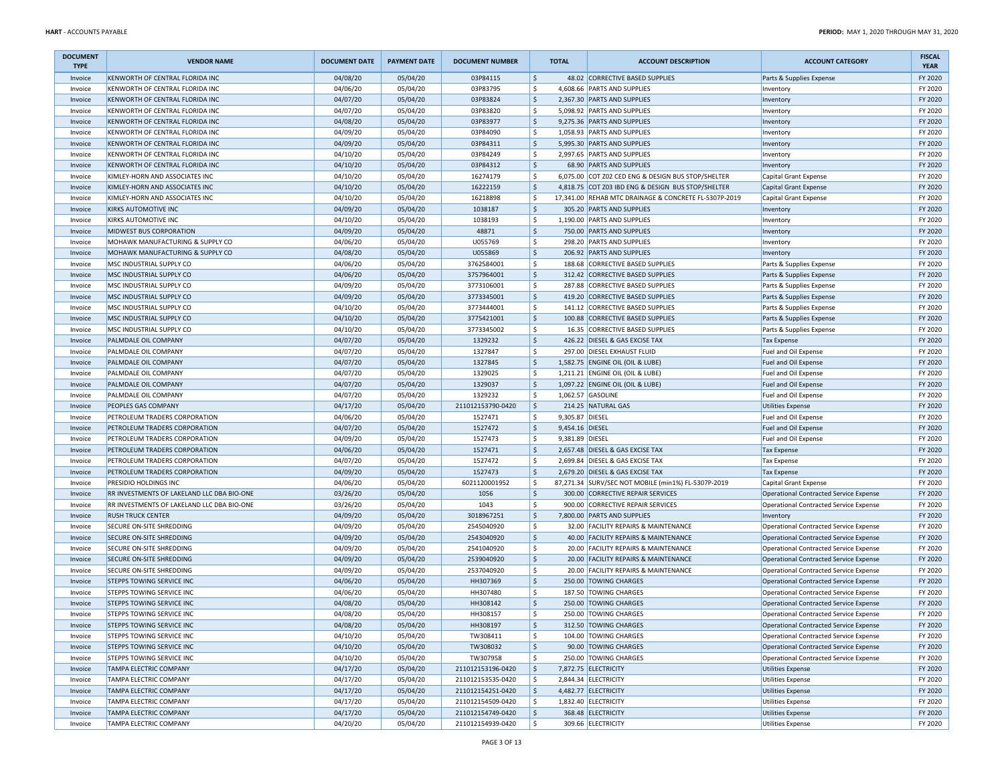| <b>DOCUMENT</b><br><b>TYPE</b> | <b>VENDOR NAME</b>                                            | <b>DOCUMENT DATE</b> | <b>PAYMENT DATE</b>  | <b>DOCUMENT NUMBER</b>   |                     | <b>TOTAL</b>    | <b>ACCOUNT DESCRIPTION</b>                                           | <b>ACCOUNT CATEGORY</b>                                                          | <b>FISCAL</b><br><b>YEAR</b> |
|--------------------------------|---------------------------------------------------------------|----------------------|----------------------|--------------------------|---------------------|-----------------|----------------------------------------------------------------------|----------------------------------------------------------------------------------|------------------------------|
| Invoice                        | KENWORTH OF CENTRAL FLORIDA INC                               | 04/08/20             | 05/04/20             | 03P84115                 | \$                  |                 | 48.02 CORRECTIVE BASED SUPPLIES                                      | Parts & Supplies Expense                                                         | FY 2020                      |
| Invoice                        | KENWORTH OF CENTRAL FLORIDA INC                               | 04/06/20             | 05/04/20             | 03P83795                 | \$                  |                 | 4,608.66 PARTS AND SUPPLIES                                          | Inventory                                                                        | FY 2020                      |
| Invoice                        | KENWORTH OF CENTRAL FLORIDA INC                               | 04/07/20             | 05/04/20             | 03P83824                 | \$                  |                 | 2,367.30 PARTS AND SUPPLIES                                          | Inventory                                                                        | FY 2020                      |
| Invoice                        | KENWORTH OF CENTRAL FLORIDA INC                               | 04/07/20             | 05/04/20             | 03P83820                 | \$                  |                 | 5,098.92 PARTS AND SUPPLIES                                          | Inventory                                                                        | FY 2020                      |
| Invoice                        | KENWORTH OF CENTRAL FLORIDA INC                               | 04/08/20             | 05/04/20             | 03P83977                 | $\sf S$             |                 | 9,275.36 PARTS AND SUPPLIES                                          | Inventory                                                                        | FY 2020                      |
| Invoice                        | KENWORTH OF CENTRAL FLORIDA INC                               | 04/09/20             | 05/04/20             | 03P84090                 | \$                  |                 | 1,058.93 PARTS AND SUPPLIES                                          | Inventory                                                                        | FY 2020                      |
| Invoice                        | KENWORTH OF CENTRAL FLORIDA INC                               | 04/09/20             | 05/04/20             | 03P84311                 | \$                  |                 | 5,995.30 PARTS AND SUPPLIES                                          | Inventory                                                                        | FY 2020                      |
| Invoice                        | KENWORTH OF CENTRAL FLORIDA INC                               | 04/10/20             | 05/04/20             | 03P84249                 | \$                  |                 | 2,997.65 PARTS AND SUPPLIES                                          | Inventory                                                                        | FY 2020                      |
| Invoice                        | KENWORTH OF CENTRAL FLORIDA INC                               | 04/10/20             | 05/04/20             | 03P84312                 | $\ddot{\phi}$       |                 | 68.90 PARTS AND SUPPLIES                                             | Inventory                                                                        | FY 2020                      |
| Invoice                        | KIMLEY-HORN AND ASSOCIATES INC                                | 04/10/20             | 05/04/20             | 16274179                 | \$                  |                 | 6,075.00 COT Z02 CED ENG & DESIGN BUS STOP/SHELTER                   | Capital Grant Expense                                                            | FY 2020                      |
| Invoice                        | KIMLEY-HORN AND ASSOCIATES INC                                | 04/10/20             | 05/04/20             | 16222159                 | \$                  |                 | 4,818.75 COT Z03 IBD ENG & DESIGN BUS STOP/SHELTER                   | Capital Grant Expense                                                            | FY 2020                      |
| Invoice                        | KIMLEY-HORN AND ASSOCIATES INC                                | 04/10/20             | 05/04/20             | 16218898                 | \$                  |                 | 17,341.00 REHAB MTC DRAINAGE & CONCRETE FL-5307P-2019                | Capital Grant Expense                                                            | FY 2020                      |
| Invoice                        | <b>KIRKS AUTOMOTIVE INC</b>                                   | 04/09/20             | 05/04/20             | 1038187                  | \$                  |                 | 305.20 PARTS AND SUPPLIES                                            | Inventory                                                                        | FY 2020                      |
| Invoice                        | KIRKS AUTOMOTIVE INC                                          | 04/10/20             | 05/04/20             | 1038193                  | \$                  |                 | 1,190.00 PARTS AND SUPPLIES                                          | Inventory                                                                        | FY 2020                      |
| Invoice                        | MIDWEST BUS CORPORATION                                       | 04/09/20             | 05/04/20             | 48871                    | $\ddot{\mathsf{S}}$ |                 | 750.00 PARTS AND SUPPLIES                                            | Inventory                                                                        | FY 2020                      |
| Invoice                        | MOHAWK MANUFACTURING & SUPPLY CO                              | 04/06/20             | 05/04/20             | U055769                  | \$                  |                 | 298.20 PARTS AND SUPPLIES                                            | Inventory                                                                        | FY 2020                      |
| Invoice                        | MOHAWK MANUFACTURING & SUPPLY CO                              | 04/08/20             | 05/04/20             | U055869                  | $\ddot{\mathsf{S}}$ |                 | 206.92 PARTS AND SUPPLIES                                            | Inventory                                                                        | FY 2020                      |
| Invoice                        | MSC INDUSTRIAL SUPPLY CO                                      | 04/06/20             | 05/04/20             | 3762584001               | \$                  |                 | 188.68 CORRECTIVE BASED SUPPLIES                                     | Parts & Supplies Expense                                                         | FY 2020                      |
| Invoice                        | MSC INDUSTRIAL SUPPLY CO                                      | 04/06/20             | 05/04/20             | 3757964001               | $\ddot{\phi}$       |                 | 312.42 CORRECTIVE BASED SUPPLIES                                     | Parts & Supplies Expense                                                         | FY 2020                      |
| Invoice                        | MSC INDUSTRIAL SUPPLY CO                                      | 04/09/20             | 05/04/20             | 3773106001               | \$                  |                 | 287.88 CORRECTIVE BASED SUPPLIES                                     | Parts & Supplies Expense                                                         | FY 2020                      |
| Invoice                        | MSC INDUSTRIAL SUPPLY CO                                      | 04/09/20             | 05/04/20             | 3773345001<br>3773444001 | \$                  |                 | 419.20 CORRECTIVE BASED SUPPLIES<br>141.12 CORRECTIVE BASED SUPPLIES | Parts & Supplies Expense                                                         | FY 2020                      |
| Invoice                        | MSC INDUSTRIAL SUPPLY CO<br>MSC INDUSTRIAL SUPPLY CO          | 04/10/20             | 05/04/20             |                          | \$<br>$\ddot{\phi}$ |                 |                                                                      | Parts & Supplies Expense                                                         | FY 2020                      |
| Invoice<br>Invoice             | MSC INDUSTRIAL SUPPLY CO                                      | 04/10/20<br>04/10/20 | 05/04/20<br>05/04/20 | 3775421001<br>3773345002 | \$                  |                 | 100.88 CORRECTIVE BASED SUPPLIES<br>16.35 CORRECTIVE BASED SUPPLIES  | Parts & Supplies Expense                                                         | FY 2020<br>FY 2020           |
| Invoice                        | PALMDALE OIL COMPANY                                          | 04/07/20             | 05/04/20             | 1329232                  | $\frac{1}{2}$       |                 | 426.22 DIESEL & GAS EXCISE TAX                                       | Parts & Supplies Expense<br>Tax Expense                                          | FY 2020                      |
| Invoice                        | PALMDALE OIL COMPANY                                          | 04/07/20             | 05/04/20             | 1327847                  | \$                  |                 | 297.00 DIESEL EXHAUST FLUID                                          | Fuel and Oil Expense                                                             | FY 2020                      |
| Invoice                        | PALMDALE OIL COMPANY                                          | 04/07/20             | 05/04/20             | 1327845                  | $\frac{1}{2}$       |                 | 1,582.75 ENGINE OIL (OIL & LUBE)                                     | Fuel and Oil Expense                                                             | FY 2020                      |
| Invoice                        | PALMDALE OIL COMPANY                                          | 04/07/20             | 05/04/20             | 1329025                  | \$                  |                 | 1,211.21 ENGINE OIL (OIL & LUBE)                                     | Fuel and Oil Expense                                                             | FY 2020                      |
| Invoice                        | PALMDALE OIL COMPANY                                          | 04/07/20             | 05/04/20             | 1329037                  | \$                  |                 | 1,097.22 ENGINE OIL (OIL & LUBE)                                     | Fuel and Oil Expense                                                             | FY 2020                      |
| Invoice                        | PALMDALE OIL COMPANY                                          | 04/07/20             | 05/04/20             | 1329232                  | Ś                   |                 | 1,062.57 GASOLINE                                                    | Fuel and Oil Expense                                                             | FY 2020                      |
| Invoice                        | PEOPLES GAS COMPANY                                           | 04/17/20             | 05/04/20             | 211012153790-0420        | $\ddot{\mathsf{S}}$ |                 | 214.25 NATURAL GAS                                                   | <b>Utilities Expense</b>                                                         | FY 2020                      |
| Invoice                        | PETROLEUM TRADERS CORPORATION                                 | 04/06/20             | 05/04/20             | 1527471                  | \$                  | 9,305.87 DIESEL |                                                                      | Fuel and Oil Expense                                                             | FY 2020                      |
| Invoice                        | PETROLEUM TRADERS CORPORATION                                 | 04/07/20             | 05/04/20             | 1527472                  | \$                  | 9,454.16 DIESEL |                                                                      | Fuel and Oil Expense                                                             | FY 2020                      |
| Invoice                        | PETROLEUM TRADERS CORPORATION                                 | 04/09/20             | 05/04/20             | 1527473                  | \$                  | 9,381.89 DIESEL |                                                                      | Fuel and Oil Expense                                                             | FY 2020                      |
| Invoice                        | PETROLEUM TRADERS CORPORATION                                 | 04/06/20             | 05/04/20             | 1527471                  | $\ddot{\mathsf{S}}$ |                 | 2,657.48 DIESEL & GAS EXCISE TAX                                     | <b>Tax Expense</b>                                                               | FY 2020                      |
| Invoice                        | PETROLEUM TRADERS CORPORATION                                 | 04/07/20             | 05/04/20             | 1527472                  | \$                  |                 | 2,699.84 DIESEL & GAS EXCISE TAX                                     | <b>Tax Expense</b>                                                               | FY 2020                      |
| Invoice                        | PETROLEUM TRADERS CORPORATION                                 | 04/09/20             | 05/04/20             | 1527473                  | \$                  |                 | 2,679.20 DIESEL & GAS EXCISE TAX                                     | Tax Expense                                                                      | FY 2020                      |
| Invoice                        | PRESIDIO HOLDINGS INC                                         | 04/06/20             | 05/04/20             | 6021120001952            | \$                  |                 | 87,271.34 SURV/SEC NOT MOBILE (min1%) FL-5307P-2019                  | Capital Grant Expense                                                            | FY 2020                      |
| Invoice                        | RR INVESTMENTS OF LAKELAND LLC DBA BIO-ONE                    | 03/26/20             | 05/04/20             | 1056                     | $\ddot{\mathsf{S}}$ | 300.00          | CORRECTIVE REPAIR SERVICES                                           | Operational Contracted Service Expense                                           | FY 2020                      |
| Invoice                        | RR INVESTMENTS OF LAKELAND LLC DBA BIO-ONE                    | 03/26/20             | 05/04/20             | 1043                     | \$                  |                 | 900.00 CORRECTIVE REPAIR SERVICES                                    | Operational Contracted Service Expense                                           | FY 2020                      |
| Invoice                        | <b>RUSH TRUCK CENTER</b>                                      | 04/09/20             | 05/04/20             | 3018967251               | $\ddot{\mathsf{S}}$ |                 | 7,800.00 PARTS AND SUPPLIES                                          | Inventory                                                                        | FY 2020                      |
| Invoice                        | SECURE ON-SITE SHREDDING                                      | 04/09/20             | 05/04/20             | 2545040920               | \$                  |                 | 32.00 FACILITY REPAIRS & MAINTENANCE                                 | Operational Contracted Service Expense                                           | FY 2020                      |
| Invoice                        | SECURE ON-SITE SHREDDING                                      | 04/09/20             | 05/04/20             | 2543040920               | $\frac{1}{2}$       |                 | 40.00 FACILITY REPAIRS & MAINTENANCE                                 | Operational Contracted Service Expense                                           | FY 2020                      |
| Invoice                        | SECURE ON-SITE SHREDDING                                      | 04/09/20             | 05/04/20             | 2541040920               | \$                  |                 | 20.00 FACILITY REPAIRS & MAINTENANCE                                 | Operational Contracted Service Expense                                           | FY 2020                      |
| Invoice                        | SECURE ON-SITE SHREDDING                                      | 04/09/20             | 05/04/20             | 2539040920               | \$                  |                 | 20.00 FACILITY REPAIRS & MAINTENANCE                                 | Operational Contracted Service Expense                                           | FY 2020                      |
| Invoice                        | SECURE ON-SITE SHREDDING                                      | 04/09/20             | 05/04/20             | 2537040920               | \$                  |                 | 20.00 FACILITY REPAIRS & MAINTENANCE                                 | Operational Contracted Service Expense                                           | FY 2020                      |
| Invoice                        | STEPPS TOWING SERVICE INC                                     | 04/06/20             | 05/04/20             | HH307369                 | $\ddot{\mathsf{S}}$ |                 | 250.00 TOWING CHARGES                                                | Operational Contracted Service Expense                                           | FY 2020                      |
| Invoice                        | STEPPS TOWING SERVICE INC                                     | 04/06/20             | 05/04/20             | HH307480                 | \$                  |                 | 187.50 TOWING CHARGES                                                | Operational Contracted Service Expense                                           | FY 2020                      |
| Invoice                        | STEPPS TOWING SERVICE INC                                     | 04/08/20             | 05/04/20             | HH308142                 | $\ddot{\mathsf{S}}$ |                 | 250.00 TOWING CHARGES                                                | Operational Contracted Service Expense                                           | FY 2020                      |
| Invoice                        | STEPPS TOWING SERVICE INC                                     | 04/08/20             | 05/04/20             | HH308157                 | \$                  |                 | 250.00 TOWING CHARGES                                                | Operational Contracted Service Expense                                           | FY 2020                      |
| Invoice                        | STEPPS TOWING SERVICE INC                                     | 04/08/20             | 05/04/20             | HH308197                 | \$<br>\$            |                 | 312.50 TOWING CHARGES<br>104.00 TOWING CHARGES                       | Operational Contracted Service Expense                                           | FY 2020<br>FY 2020           |
| Invoice                        | STEPPS TOWING SERVICE INC<br><b>STEPPS TOWING SERVICE INC</b> | 04/10/20<br>04/10/20 | 05/04/20<br>05/04/20 | TW308411<br>TW308032     | $\frac{1}{2}$       |                 | 90.00 TOWING CHARGES                                                 | Operational Contracted Service Expense<br>Operational Contracted Service Expense | FY 2020                      |
| Invoice<br>Invoice             | STEPPS TOWING SERVICE INC                                     | 04/10/20             | 05/04/20             | TW307958                 | \$                  |                 | 250.00 TOWING CHARGES                                                | Operational Contracted Service Expense                                           | FY 2020                      |
| Invoice                        | TAMPA ELECTRIC COMPANY                                        | 04/17/20             | 05/04/20             | 211012153196-0420        | \$                  |                 | 7,872.75 ELECTRICITY                                                 | Utilities Expense                                                                | FY 2020                      |
| Invoice                        | TAMPA ELECTRIC COMPANY                                        | 04/17/20             | 05/04/20             | 211012153535-0420        | \$                  |                 | 2,844.34 ELECTRICITY                                                 | <b>Utilities Expense</b>                                                         | FY 2020                      |
| Invoice                        | <b>TAMPA ELECTRIC COMPANY</b>                                 | 04/17/20             | 05/04/20             | 211012154251-0420        | \$                  |                 | 4,482.77 ELECTRICITY                                                 | Utilities Expense                                                                | FY 2020                      |
| Invoice                        | <b>TAMPA ELECTRIC COMPANY</b>                                 | 04/17/20             | 05/04/20             | 211012154509-0420        | \$                  |                 | 1,832.40 ELECTRICITY                                                 | <b>Utilities Expense</b>                                                         | FY 2020                      |
| Invoice                        | TAMPA ELECTRIC COMPANY                                        | 04/17/20             | 05/04/20             | 211012154749-0420        | \$                  |                 | 368.48 ELECTRICITY                                                   | Utilities Expense                                                                | FY 2020                      |
| Invoice                        | <b>TAMPA ELECTRIC COMPANY</b>                                 | 04/20/20             | 05/04/20             | 211012154939-0420        | \$                  |                 | 309.66 ELECTRICITY                                                   | Utilities Expense                                                                | FY 2020                      |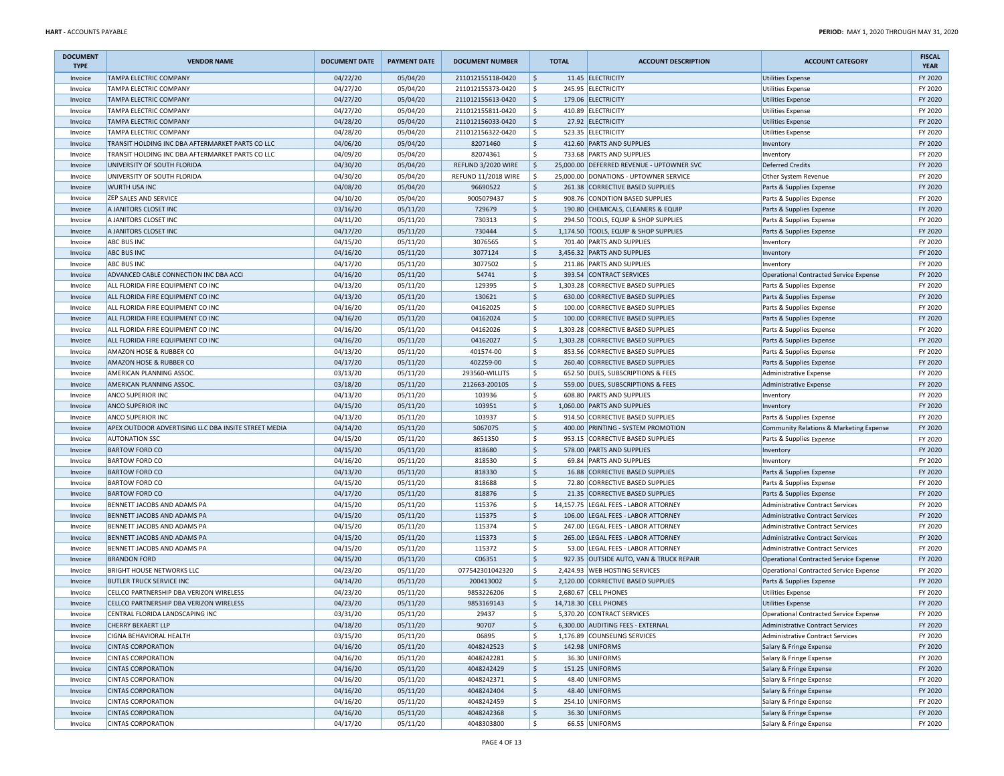| <b>DOCUMENT</b><br><b>TYPE</b> | <b>VENDOR NAME</b>                                   | <b>DOCUMENT DATE</b> | <b>PAYMENT DATE</b> | <b>DOCUMENT NUMBER</b>     |                     | <b>TOTAL</b> | <b>ACCOUNT DESCRIPTION</b>                | <b>ACCOUNT CATEGORY</b>                       | <b>FISCAL</b><br><b>YEAR</b> |
|--------------------------------|------------------------------------------------------|----------------------|---------------------|----------------------------|---------------------|--------------|-------------------------------------------|-----------------------------------------------|------------------------------|
| Invoice                        | <b>TAMPA ELECTRIC COMPANY</b>                        | 04/22/20             | 05/04/20            | 211012155118-0420          | $\frac{1}{2}$       |              | 11.45 ELECTRICITY                         | <b>Utilities Expense</b>                      | FY 2020                      |
| Invoice                        | TAMPA ELECTRIC COMPANY                               | 04/27/20             | 05/04/20            | 211012155373-0420          | \$                  |              | 245.95 ELECTRICITY                        | <b>Utilities Expense</b>                      | FY 2020                      |
| Invoice                        | <b>TAMPA ELECTRIC COMPANY</b>                        | 04/27/20             | 05/04/20            | 211012155613-0420          | \$                  |              | 179.06 ELECTRICITY                        | <b>Utilities Expense</b>                      | FY 2020                      |
| Invoice                        | TAMPA ELECTRIC COMPANY                               | 04/27/20             | 05/04/20            | 211012155811-0420          | \$                  |              | 410.89 ELECTRICITY                        | <b>Utilities Expense</b>                      | FY 2020                      |
| Invoice                        | <b>TAMPA ELECTRIC COMPANY</b>                        | 04/28/20             | 05/04/20            | 211012156033-0420          | $\frac{1}{2}$       |              | 27.92 ELECTRICITY                         | <b>Utilities Expense</b>                      | FY 2020                      |
| Invoice                        | <b>TAMPA ELECTRIC COMPANY</b>                        | 04/28/20             | 05/04/20            | 211012156322-0420          | \$                  |              | 523.35 ELECTRICITY                        | <b>Utilities Expense</b>                      | FY 2020                      |
| Invoice                        | TRANSIT HOLDING INC DBA AFTERMARKET PARTS CO LLC     | 04/06/20             | 05/04/20            | 82071460                   | \$                  |              | 412.60 PARTS AND SUPPLIES                 | Inventory                                     | FY 2020                      |
| Invoice                        | TRANSIT HOLDING INC DBA AFTERMARKET PARTS CO LLC     | 04/09/20             | 05/04/20            | 82074361                   | \$                  |              | 733.68 PARTS AND SUPPLIES                 | Inventory                                     | FY 2020                      |
| Invoice                        | UNIVERSITY OF SOUTH FLORIDA                          | 04/30/20             | 05/04/20            | REFUND 3/2020 WIRE         | \$                  |              | 25,000.00 DEFERRED REVENUE - UPTOWNER SVC | <b>Deferred Credits</b>                       | FY 2020                      |
| Invoice                        | UNIVERSITY OF SOUTH FLORIDA                          | 04/30/20             | 05/04/20            | <b>REFUND 11/2018 WIRE</b> | \$                  |              | 25,000.00 DONATIONS - UPTOWNER SERVICE    | Other System Revenue                          | FY 2020                      |
| Invoice                        | <b>WURTH USA INC</b>                                 | 04/08/20             | 05/04/20            | 96690522                   | $\frac{1}{2}$       |              | 261.38 CORRECTIVE BASED SUPPLIES          | Parts & Supplies Expense                      | FY 2020                      |
| Invoice                        | <b>ZEP SALES AND SERVICE</b>                         | 04/10/20             | 05/04/20            | 9005079437                 | \$                  |              | 908.76 CONDITION BASED SUPPLIES           | Parts & Supplies Expense                      | FY 2020                      |
| Invoice                        | A JANITORS CLOSET INC                                | 03/16/20             | 05/11/20            | 729679                     | $\frac{1}{2}$       |              | 190.80 CHEMICALS, CLEANERS & EQUIP        | Parts & Supplies Expense                      | FY 2020                      |
| Invoice                        | A JANITORS CLOSET INC                                | 04/11/20             | 05/11/20            | 730313                     | \$                  |              | 294.50 TOOLS, EQUIP & SHOP SUPPLIES       | Parts & Supplies Expense                      | FY 2020                      |
| Invoice                        | A JANITORS CLOSET INC                                | 04/17/20             | 05/11/20            | 730444                     | $\frac{1}{2}$       |              | 1,174.50 TOOLS, EQUIP & SHOP SUPPLIES     | Parts & Supplies Expense                      | FY 2020                      |
| Invoice                        | <b>ABC BUS INC</b>                                   | 04/15/20             | 05/11/20            | 3076565                    | \$                  |              | 701.40 PARTS AND SUPPLIES                 | Inventory                                     | FY 2020                      |
| Invoice                        | <b>ABC BUS INC</b>                                   | 04/16/20             | 05/11/20            | 3077124                    | \$                  |              | 3,456.32 PARTS AND SUPPLIES               | Inventory                                     | FY 2020                      |
| Invoice                        | <b>ABC BUS INC</b>                                   | 04/17/20             | 05/11/20            | 3077502                    | \$                  |              | 211.86 PARTS AND SUPPLIES                 | Inventory                                     | FY 2020                      |
| Invoice                        | ADVANCED CABLE CONNECTION INC DBA ACCI               | 04/16/20             | 05/11/20            | 54741                      | $\frac{1}{2}$       |              | 393.54 CONTRACT SERVICES                  | Operational Contracted Service Expense        | FY 2020                      |
| Invoice                        | ALL FLORIDA FIRE EQUIPMENT CO INC                    | 04/13/20             | 05/11/20            | 129395                     | \$                  |              | 1,303.28 CORRECTIVE BASED SUPPLIES        | Parts & Supplies Expense                      | FY 2020                      |
| Invoice                        | ALL FLORIDA FIRE EQUIPMENT CO INC                    | 04/13/20             | 05/11/20            | 130621                     | $\frac{1}{2}$       |              | 630.00 CORRECTIVE BASED SUPPLIES          | Parts & Supplies Expense                      | FY 2020                      |
| Invoice                        | ALL FLORIDA FIRE EQUIPMENT CO INC                    | 04/16/20             | 05/11/20            | 04162025                   | \$                  |              | 100.00 CORRECTIVE BASED SUPPLIES          | Parts & Supplies Expense                      | FY 2020                      |
| Invoice                        | ALL FLORIDA FIRE EQUIPMENT CO INC                    | 04/16/20             | 05/11/20            | 04162024                   | $\frac{1}{2}$       |              | 100.00 CORRECTIVE BASED SUPPLIES          | Parts & Supplies Expense                      | FY 2020                      |
| Invoice                        | ALL FLORIDA FIRE EQUIPMENT CO INC                    | 04/16/20             | 05/11/20            | 04162026                   | \$                  |              | 1,303.28 CORRECTIVE BASED SUPPLIES        | Parts & Supplies Expense                      | FY 2020                      |
| Invoice                        | ALL FLORIDA FIRE EQUIPMENT CO INC                    | 04/16/20             | 05/11/20            | 04162027                   | \$                  |              | 1,303.28 CORRECTIVE BASED SUPPLIES        | Parts & Supplies Expense                      | FY 2020                      |
| Invoice                        | AMAZON HOSE & RUBBER CO                              | 04/13/20             | 05/11/20            | 401574-00                  | \$                  |              | 853.56 CORRECTIVE BASED SUPPLIES          | Parts & Supplies Expense                      | FY 2020                      |
| Invoice                        | AMAZON HOSE & RUBBER CO                              | 04/17/20             | 05/11/20            | 402259-00                  | $\frac{1}{2}$       |              | 260.40 CORRECTIVE BASED SUPPLIES          | Parts & Supplies Expense                      | FY 2020                      |
| Invoice                        | AMERICAN PLANNING ASSOC.                             | 03/13/20             | 05/11/20            | 293560-WILLITS             | \$                  |              | 652.50 DUES, SUBSCRIPTIONS & FEES         | Administrative Expense                        | FY 2020                      |
| Invoice                        | AMERICAN PLANNING ASSOC.                             | 03/18/20             | 05/11/20            | 212663-200105              | $\ddot{\mathsf{S}}$ |              | 559.00 DUES, SUBSCRIPTIONS & FEES         | Administrative Expense                        | FY 2020                      |
| Invoice                        | <b>ANCO SUPERIOR INC</b>                             | 04/13/20             | 05/11/20            | 103936                     | \$                  |              | 608.80 PARTS AND SUPPLIES                 | Inventory                                     | FY 2020                      |
| Invoice                        | <b>ANCO SUPERIOR INC</b>                             | 04/15/20             | 05/11/20            | 103951                     | \$                  |              | 1,060.00 PARTS AND SUPPLIES               | Inventory                                     | FY 2020                      |
| Invoice                        | <b>ANCO SUPERIOR INC</b>                             | 04/13/20             | 05/11/20            | 103937                     | \$                  |              | 914.50 CORRECTIVE BASED SUPPLIES          | Parts & Supplies Expense                      | FY 2020                      |
| Invoice                        | APEX OUTDOOR ADVERTISING LLC DBA INSITE STREET MEDIA | 04/14/20             | 05/11/20            | 5067075                    | \$                  |              | 400.00 PRINTING - SYSTEM PROMOTION        | Community Relations & Marketing Expense       | FY 2020                      |
| Invoice                        | <b>AUTONATION SSC</b>                                | 04/15/20             | 05/11/20            | 8651350                    | \$                  | 953.15       | CORRECTIVE BASED SUPPLIES                 | Parts & Supplies Expense                      | FY 2020                      |
| Invoice                        | <b>BARTOW FORD CO</b>                                | 04/15/20             | 05/11/20            | 818680                     | $\frac{1}{2}$       |              | 578.00 PARTS AND SUPPLIES                 | Inventory                                     | FY 2020                      |
| Invoice                        | <b>BARTOW FORD CO</b>                                | 04/16/20             | 05/11/20            | 818530                     | \$                  |              | 69.84 PARTS AND SUPPLIES                  | Inventory                                     | FY 2020                      |
| Invoice                        | <b>BARTOW FORD CO</b>                                | 04/13/20             | 05/11/20            | 818330                     | $\frac{1}{2}$       |              | 16.88 CORRECTIVE BASED SUPPLIES           | Parts & Supplies Expense                      | FY 2020                      |
| Invoice                        | <b>BARTOW FORD CO</b>                                | 04/15/20             | 05/11/20            | 818688                     | \$                  |              | 72.80 CORRECTIVE BASED SUPPLIES           | Parts & Supplies Expense                      | FY 2020                      |
| Invoice                        | <b>BARTOW FORD CO</b>                                | 04/17/20             | 05/11/20            | 818876                     | $\frac{1}{2}$       |              | 21.35 CORRECTIVE BASED SUPPLIES           | Parts & Supplies Expense                      | FY 2020                      |
| Invoice                        | BENNETT JACOBS AND ADAMS PA                          | 04/15/20             | 05/11/20            | 115376                     | \$                  |              | 14,157.75 LEGAL FEES - LABOR ATTORNEY     | Administrative Contract Services              | FY 2020                      |
| Invoice                        | BENNETT JACOBS AND ADAMS PA                          | 04/15/20             | 05/11/20            | 115375                     | \$                  |              | 106.00 LEGAL FEES - LABOR ATTORNEY        | <b>Administrative Contract Services</b>       | FY 2020                      |
| Invoice                        | BENNETT JACOBS AND ADAMS PA                          | 04/15/20             | 05/11/20            | 115374                     | \$                  |              | 247.00 LEGAL FEES - LABOR ATTORNEY        | Administrative Contract Services              | FY 2020                      |
| Invoice                        | BENNETT JACOBS AND ADAMS PA                          | 04/15/20             | 05/11/20            | 115373                     | $\frac{1}{2}$       |              | 265.00 LEGAL FEES - LABOR ATTORNEY        | Administrative Contract Services              | FY 2020                      |
| Invoice                        | BENNETT JACOBS AND ADAMS PA                          | 04/15/20             | 05/11/20            | 115372                     | \$                  | 53.00        | LEGAL FEES - LABOR ATTORNEY               | <b>Administrative Contract Services</b>       | FY 2020                      |
| Invoice                        | <b>BRANDON FORD</b>                                  | 04/15/20             | 05/11/20            | C06351                     | $\frac{1}{2}$       |              | 927.35 OUTSIDE AUTO, VAN & TRUCK REPAIR   | <b>Operational Contracted Service Expense</b> | FY 2020                      |
| Invoice                        | <b>BRIGHT HOUSE NETWORKS LLC</b>                     | 04/23/20             | 05/11/20            | 077542301042320            | \$                  |              | 2,424.93 WEB HOSTING SERVICES             | <b>Operational Contracted Service Expense</b> | FY 2020                      |
| Invoice                        | <b>BUTLER TRUCK SERVICE INC</b>                      | 04/14/20             | 05/11/20            | 200413002                  | $\frac{1}{2}$       |              | 2,120.00 CORRECTIVE BASED SUPPLIES        | Parts & Supplies Expense                      | FY 2020                      |
| Invoice                        | CELLCO PARTNERSHIP DBA VERIZON WIRELESS              | 04/23/20             | 05/11/20            | 9853226206                 | \$                  |              | 2,680.67 CELL PHONES                      | <b>Utilities Expense</b>                      | FY 2020                      |
| Invoice                        | CELLCO PARTNERSHIP DBA VERIZON WIRELESS              | 04/23/20             | 05/11/20            | 9853169143                 | $\mathsf{\hat{S}}$  |              | 14,718.30 CELL PHONES                     | <b>Utilities Expense</b>                      | FY 2020                      |
| Invoice                        | CENTRAL FLORIDA LANDSCAPING INC                      | 03/31/20             | 05/11/20            | 29437                      | \$                  |              | 5,370.20 CONTRACT SERVICES                | Operational Contracted Service Expense        | FY 2020                      |
| Invoice                        | <b>CHERRY BEKAERT LLP</b>                            | 04/18/20             | 05/11/20            | 90707                      | \$                  |              | 6,300.00 AUDITING FEES - EXTERNAL         | <b>Administrative Contract Services</b>       | FY 2020                      |
| Invoice                        | <b>CIGNA BEHAVIORAL HEALTH</b>                       | 03/15/20             | 05/11/20            | 06895                      | \$                  |              | 1,176.89 COUNSELING SERVICES              | <b>Administrative Contract Services</b>       | FY 2020                      |
| Invoice                        | <b>CINTAS CORPORATION</b>                            | 04/16/20             | 05/11/20            | 4048242523                 | $\frac{1}{2}$       |              | 142.98 UNIFORMS                           | Salary & Fringe Expense                       | FY 2020                      |
| Invoice                        | <b>CINTAS CORPORATION</b>                            | 04/16/20             | 05/11/20            | 4048242281                 | \$                  |              | 36.30 UNIFORMS                            | Salary & Fringe Expense                       | FY 2020                      |
| Invoice                        | <b>CINTAS CORPORATION</b>                            | 04/16/20             | 05/11/20            | 4048242429                 | \$                  |              | 151.25 UNIFORMS                           | Salary & Fringe Expense                       | FY 2020                      |
| Invoice                        | <b>CINTAS CORPORATION</b>                            | 04/16/20             | 05/11/20            | 4048242371                 | \$                  |              | 48.40 UNIFORMS                            | Salary & Fringe Expense                       | FY 2020                      |
| Invoice                        | <b>CINTAS CORPORATION</b>                            | 04/16/20             | 05/11/20            | 4048242404                 | \$                  |              | 48.40 UNIFORMS                            | Salary & Fringe Expense                       | FY 2020                      |
| Invoice                        | <b>CINTAS CORPORATION</b>                            | 04/16/20             | 05/11/20            | 4048242459                 | \$                  |              | 254.10 UNIFORMS                           | Salary & Fringe Expense                       | FY 2020                      |
| Invoice                        | <b>CINTAS CORPORATION</b>                            | 04/16/20             | 05/11/20            | 4048242368                 | $\frac{1}{2}$       |              | 36.30 UNIFORMS                            | Salary & Fringe Expense                       | FY 2020                      |
| Invoice                        | <b>CINTAS CORPORATION</b>                            | 04/17/20             | 05/11/20            | 4048303800                 | \$                  |              | 66.55 UNIFORMS                            | Salary & Fringe Expense                       | FY 2020                      |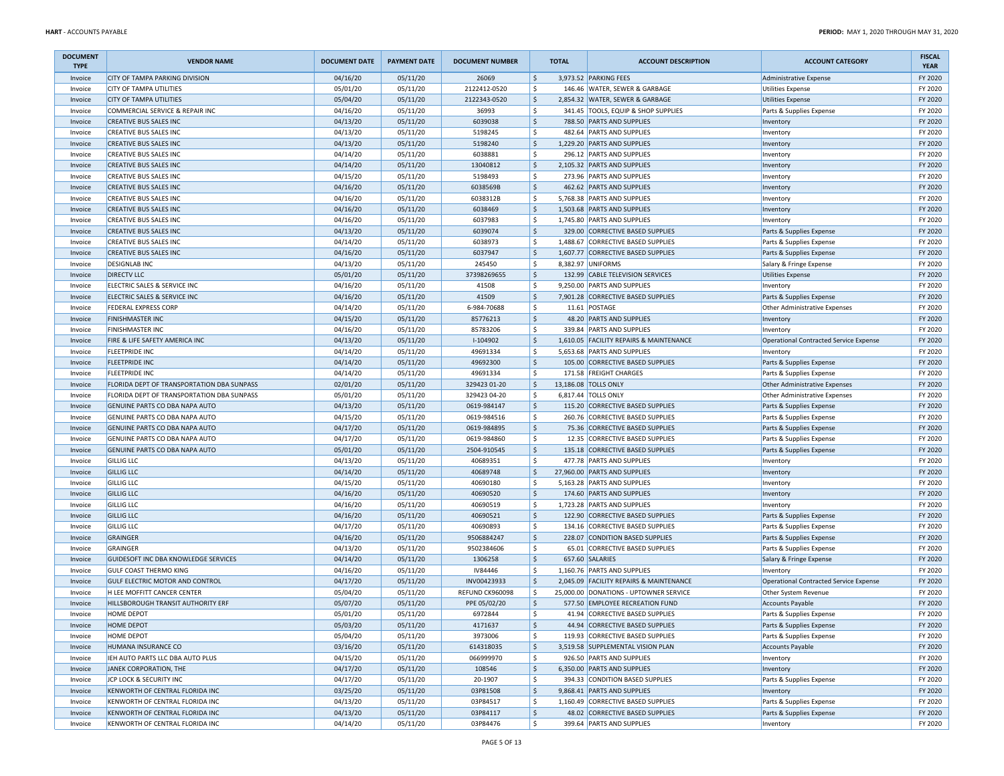| <b>DOCUMENT</b><br><b>TYPE</b> | <b>VENDOR NAME</b>                         | <b>DOCUMENT DATE</b> | <b>PAYMENT DATE</b> | <b>DOCUMENT NUMBER</b> |                     | <b>TOTAL</b> | <b>ACCOUNT DESCRIPTION</b>              | <b>ACCOUNT CATEGORY</b>                       | <b>FISCAL</b><br><b>YEAR</b> |
|--------------------------------|--------------------------------------------|----------------------|---------------------|------------------------|---------------------|--------------|-----------------------------------------|-----------------------------------------------|------------------------------|
| Invoice                        | <b>CITY OF TAMPA PARKING DIVISION</b>      | 04/16/20             | 05/11/20            | 26069                  | $\frac{1}{2}$       |              | 3,973.52 PARKING FEES                   | Administrative Expense                        | FY 2020                      |
| Invoice                        | <b>CITY OF TAMPA UTILITIES</b>             | 05/01/20             | 05/11/20            | 2122412-0520           | \$                  |              | 146.46 WATER, SEWER & GARBAGE           | <b>Utilities Expense</b>                      | FY 2020                      |
| Invoice                        | <b>CITY OF TAMPA UTILITIES</b>             | 05/04/20             | 05/11/20            | 2122343-0520           | $\frac{1}{2}$       |              | 2,854.32 WATER, SEWER & GARBAGE         | <b>Utilities Expense</b>                      | FY 2020                      |
| Invoice                        | COMMERCIAL SERVICE & REPAIR INC            | 04/16/20             | 05/11/20            | 36993                  | \$                  |              | 341.45 TOOLS, EQUIP & SHOP SUPPLIES     | Parts & Supplies Expense                      | FY 2020                      |
| Invoice                        | <b>CREATIVE BUS SALES INC</b>              | 04/13/20             | 05/11/20            | 6039038                | $\frac{1}{2}$       |              | 788.50 PARTS AND SUPPLIES               | Inventory                                     | FY 2020                      |
| Invoice                        | <b>CREATIVE BUS SALES INC</b>              | 04/13/20             | 05/11/20            | 5198245                | \$                  |              | 482.64 PARTS AND SUPPLIES               | Inventory                                     | FY 2020                      |
| Invoice                        | <b>CREATIVE BUS SALES INC</b>              | 04/13/20             | 05/11/20            | 5198240                | \$                  |              | 1,229.20 PARTS AND SUPPLIES             | Inventory                                     | FY 2020                      |
| Invoice                        | <b>CREATIVE BUS SALES INC</b>              | 04/14/20             | 05/11/20            | 6038881                | \$                  |              | 296.12 PARTS AND SUPPLIES               | Inventory                                     | FY 2020                      |
| Invoice                        | <b>CREATIVE BUS SALES INC</b>              | 04/14/20             | 05/11/20            | 13040812               | \$                  |              | 2,105.32 PARTS AND SUPPLIES             | Inventory                                     | FY 2020                      |
| Invoice                        | <b>CREATIVE BUS SALES INC</b>              | 04/15/20             | 05/11/20            | 5198493                | \$                  |              | 273.96 PARTS AND SUPPLIES               | Inventory                                     | FY 2020                      |
| Invoice                        | <b>CREATIVE BUS SALES INC</b>              | 04/16/20             | 05/11/20            | 6038569B               | $\frac{1}{2}$       |              | 462.62 PARTS AND SUPPLIES               | Inventory                                     | FY 2020                      |
| Invoice                        | <b>CREATIVE BUS SALES INC</b>              | 04/16/20             | 05/11/20            | 6038312B               | \$                  |              | 5,768.38 PARTS AND SUPPLIES             | Inventory                                     | FY 2020                      |
| Invoice                        | <b>CREATIVE BUS SALES INC</b>              | 04/16/20             | 05/11/20            | 6038469                | $\frac{1}{2}$       |              | 1,503.68 PARTS AND SUPPLIES             | Inventory                                     | FY 2020                      |
| Invoice                        | <b>CREATIVE BUS SALES INC</b>              | 04/16/20             | 05/11/20            | 6037983                | \$                  |              | 1,745.80 PARTS AND SUPPLIES             | Inventory                                     | FY 2020                      |
| Invoice                        | <b>CREATIVE BUS SALES INC</b>              | 04/13/20             | 05/11/20            | 6039074                | $\frac{1}{2}$       |              | 329.00 CORRECTIVE BASED SUPPLIES        | Parts & Supplies Expense                      | FY 2020                      |
| Invoice                        | <b>CREATIVE BUS SALES INC</b>              | 04/14/20             | 05/11/20            | 6038973                | \$                  |              | 1,488.67 CORRECTIVE BASED SUPPLIES      | Parts & Supplies Expense                      | FY 2020                      |
| Invoice                        | <b>CREATIVE BUS SALES INC</b>              | 04/16/20             | 05/11/20            | 6037947                | \$                  |              | 1,607.77 CORRECTIVE BASED SUPPLIES      | Parts & Supplies Expense                      | FY 2020                      |
| Invoice                        | <b>DESIGNLAB INC</b>                       | 04/13/20             | 05/11/20            | 245450                 | l \$                |              | 8,382.97 UNIFORMS                       | Salary & Fringe Expense                       | FY 2020                      |
| Invoice                        | <b>DIRECTV LLC</b>                         | 05/01/20             | 05/11/20            | 37398269655            | $\frac{1}{2}$       |              | 132.99 CABLE TELEVISION SERVICES        | <b>Utilities Expense</b>                      | FY 2020                      |
| Invoice                        | ELECTRIC SALES & SERVICE INC               | 04/16/20             | 05/11/20            | 41508                  | \$                  |              | 9,250.00 PARTS AND SUPPLIES             | Inventory                                     | FY 2020                      |
| Invoice                        | ELECTRIC SALES & SERVICE INC               | 04/16/20             | 05/11/20            | 41509                  | \$                  |              | 7,901.28 CORRECTIVE BASED SUPPLIES      | Parts & Supplies Expense                      | FY 2020                      |
| Invoice                        | <b>FEDERAL EXPRESS CORP</b>                | 04/14/20             | 05/11/20            | 6-984-70688            | \$                  |              | 11.61 POSTAGE                           | Other Administrative Expenses                 | FY 2020                      |
| Invoice                        | <b>FINISHMASTER INC</b>                    | 04/15/20             | 05/11/20            | 85776213               | \$                  |              | 48.20 PARTS AND SUPPLIES                | Inventory                                     | FY 2020                      |
| Invoice                        | <b>FINISHMASTER INC</b>                    | 04/16/20             | 05/11/20            | 85783206               | \$                  |              | 339.84 PARTS AND SUPPLIES               | Inventory                                     | FY 2020                      |
| Invoice                        | FIRE & LIFE SAFETY AMERICA INC             | 04/13/20             | 05/11/20            | I-104902               | \$                  |              | 1,610.05 FACILITY REPAIRS & MAINTENANCE | <b>Operational Contracted Service Expense</b> | FY 2020                      |
| Invoice                        | <b>FLEETPRIDE INC</b>                      | 04/14/20             | 05/11/20            | 49691334               | \$                  |              | 5,653.68 PARTS AND SUPPLIES             | Inventory                                     | FY 2020                      |
| Invoice                        | <b>FLEETPRIDE INC</b>                      | 04/14/20             | 05/11/20            | 49692300               | $\frac{1}{2}$       |              | 105.00 CORRECTIVE BASED SUPPLIES        | Parts & Supplies Expense                      | FY 2020                      |
| Invoice                        | <b>FLEETPRIDE INC</b>                      | 04/14/20             | 05/11/20            | 49691334               | \$                  |              | 171.58 FREIGHT CHARGES                  | Parts & Supplies Expense                      | FY 2020                      |
| Invoice                        | FLORIDA DEPT OF TRANSPORTATION DBA SUNPASS | 02/01/20             | 05/11/20            | 329423 01-20           | $\frac{1}{2}$       |              | 13,186.08 TOLLS ONLY                    | Other Administrative Expenses                 | FY 2020                      |
| Invoice                        | FLORIDA DEPT OF TRANSPORTATION DBA SUNPASS | 05/01/20             | 05/11/20            | 329423 04-20           | \$                  |              | 6,817.44 TOLLS ONLY                     | Other Administrative Expenses                 | FY 2020                      |
| Invoice                        | GENUINE PARTS CO DBA NAPA AUTO             | 04/13/20             | 05/11/20            | 0619-984147            | $\frac{1}{2}$       |              | 115.20 CORRECTIVE BASED SUPPLIES        | Parts & Supplies Expense                      | FY 2020                      |
| Invoice                        | GENUINE PARTS CO DBA NAPA AUTO             | 04/15/20             | 05/11/20            | 0619-984516            | \$                  |              | 260.76 CORRECTIVE BASED SUPPLIES        | Parts & Supplies Expense                      | FY 2020                      |
| Invoice                        | GENUINE PARTS CO DBA NAPA AUTO             | 04/17/20             | 05/11/20            | 0619-984895            | \$                  |              | 75.36 CORRECTIVE BASED SUPPLIES         | Parts & Supplies Expense                      | FY 2020                      |
| Invoice                        | GENUINE PARTS CO DBA NAPA AUTO             | 04/17/20             | 05/11/20            | 0619-984860            | \$                  | 12.35        | CORRECTIVE BASED SUPPLIES               | Parts & Supplies Expense                      | FY 2020                      |
| Invoice                        | GENUINE PARTS CO DBA NAPA AUTO             | 05/01/20             | 05/11/20            | 2504-910545            | $\frac{1}{2}$       |              | 135.18 CORRECTIVE BASED SUPPLIES        | Parts & Supplies Expense                      | FY 2020                      |
| Invoice                        | <b>GILLIG LLC</b>                          | 04/13/20             | 05/11/20            | 40689351               | \$                  |              | 477.78 PARTS AND SUPPLIES               | Inventory                                     | FY 2020                      |
| Invoice                        | <b>GILLIG LLC</b>                          | 04/14/20             | 05/11/20            | 40689748               | \$                  |              | 27,960.00 PARTS AND SUPPLIES            | Inventory                                     | FY 2020                      |
| Invoice                        | <b>GILLIG LLC</b>                          | 04/15/20             | 05/11/20            | 40690180               | \$                  |              | 5,163.28 PARTS AND SUPPLIES             | Inventory                                     | FY 2020                      |
| Invoice                        | <b>GILLIG LLC</b>                          | 04/16/20             | 05/11/20            | 40690520               | $\frac{1}{2}$       |              | 174.60 PARTS AND SUPPLIES               | Inventory                                     | FY 2020                      |
| Invoice                        | <b>GILLIG LLC</b>                          | 04/16/20             | 05/11/20            | 40690519               | \$                  |              | 1,723.28 PARTS AND SUPPLIES             | Inventory                                     | FY 2020                      |
| Invoice                        | <b>GILLIG LLC</b>                          | 04/16/20             | 05/11/20            | 40690521               | \$                  |              | 122.90 CORRECTIVE BASED SUPPLIES        | Parts & Supplies Expense                      | FY 2020                      |
| Invoice                        | <b>GILLIG LLC</b>                          | 04/17/20             | 05/11/20            | 40690893               | \$                  |              | 134.16 CORRECTIVE BASED SUPPLIES        | Parts & Supplies Expense                      | FY 2020                      |
| Invoice                        | GRAINGER                                   | 04/16/20             | 05/11/20            | 9506884247             | $\frac{1}{2}$       |              | 228.07 CONDITION BASED SUPPLIES         | Parts & Supplies Expense                      | FY 2020                      |
| Invoice                        | GRAINGER                                   | 04/13/20             | 05/11/20            | 9502384606             | \$                  |              | 65.01 CORRECTIVE BASED SUPPLIES         | Parts & Supplies Expense                      | FY 2020                      |
| Invoice                        | GUIDESOFT INC DBA KNOWLEDGE SERVICES       | 04/14/20             | 05/11/20            | 1306258                | $\ddot{\mathsf{S}}$ |              | 657.60 SALARIES                         | Salary & Fringe Expense                       | FY 2020                      |
| Invoice                        | <b>GULF COAST THERMO KING</b>              | 04/16/20             | 05/11/20            | IV84446                | \$                  |              | 1,160.76 PARTS AND SUPPLIES             | Inventory                                     | FY 2020                      |
| Invoice                        | <b>GULF ELECTRIC MOTOR AND CONTROL</b>     | 04/17/20             | 05/11/20            | INV00423933            | $\frac{1}{2}$       |              | 2,045.09 FACILITY REPAIRS & MAINTENANCE | Operational Contracted Service Expense        | FY 2020                      |
| Invoice                        | H LEE MOFFITT CANCER CENTER                | 05/04/20             | 05/11/20            | REFUND CK960098        | \$                  |              | 25,000.00 DONATIONS - UPTOWNER SERVICE  | Other System Revenue                          | FY 2020                      |
| Invoice                        | HILLSBOROUGH TRANSIT AUTHORITY ERF         | 05/07/20             | 05/11/20            | PPE 05/02/20           | $\mathsf{\hat{S}}$  |              | 577.50 EMPLOYEE RECREATION FUND         | <b>Accounts Payable</b>                       | FY 2020                      |
| Invoice                        | <b>HOME DEPOT</b>                          | 05/01/20             | 05/11/20            | 6972844                | \$                  |              | 41.94 CORRECTIVE BASED SUPPLIES         | Parts & Supplies Expense                      | FY 2020                      |
| Invoice                        | <b>HOME DEPOT</b>                          | 05/03/20             | 05/11/20            | 4171637                | \$                  |              | 44.94 CORRECTIVE BASED SUPPLIES         | Parts & Supplies Expense                      | FY 2020                      |
| Invoice                        | HOME DEPOT                                 | 05/04/20             | 05/11/20            | 3973006                | \$                  |              | 119.93 CORRECTIVE BASED SUPPLIES        | Parts & Supplies Expense                      | FY 2020                      |
| Invoice                        | HUMANA INSURANCE CO                        | 03/16/20             | 05/11/20            | 614318035              | $\frac{1}{2}$       |              | 3,519.58 SUPPLEMENTAL VISION PLAN       | <b>Accounts Payable</b>                       | FY 2020                      |
| Invoice                        | IEH AUTO PARTS LLC DBA AUTO PLUS           | 04/15/20             | 05/11/20            | 066999970              | \$                  |              | 926.50 PARTS AND SUPPLIES               | Inventory                                     | FY 2020                      |
| Invoice                        | JANEK CORPORATION, THE                     | 04/17/20             | 05/11/20            | 108546                 | \$                  |              | 6,350.00 PARTS AND SUPPLIES             | Inventory                                     | FY 2020                      |
| Invoice                        | JCP LOCK & SECURITY INC                    | 04/17/20             | 05/11/20            | 20-1907                | \$                  |              | 394.33 CONDITION BASED SUPPLIES         | Parts & Supplies Expense                      | FY 2020                      |
| Invoice                        | KENWORTH OF CENTRAL FLORIDA INC            | 03/25/20             | 05/11/20            | 03P81508               | \$                  |              | 9,868.41 PARTS AND SUPPLIES             | Inventory                                     | FY 2020                      |
| Invoice                        | KENWORTH OF CENTRAL FLORIDA INC            | 04/13/20             | 05/11/20            | 03P84517               | \$                  |              | 1,160.49 CORRECTIVE BASED SUPPLIES      | Parts & Supplies Expense                      | FY 2020                      |
| Invoice                        | KENWORTH OF CENTRAL FLORIDA INC            | 04/13/20             | 05/11/20            | 03P84117               | \$                  |              | 48.02 CORRECTIVE BASED SUPPLIES         | Parts & Supplies Expense                      | FY 2020                      |
| Invoice                        | KENWORTH OF CENTRAL FLORIDA INC            | 04/14/20             | 05/11/20            | 03P84476               | l \$                |              | 399.64 PARTS AND SUPPLIES               | Inventory                                     | FY 2020                      |
|                                |                                            |                      |                     |                        |                     |              |                                         |                                               |                              |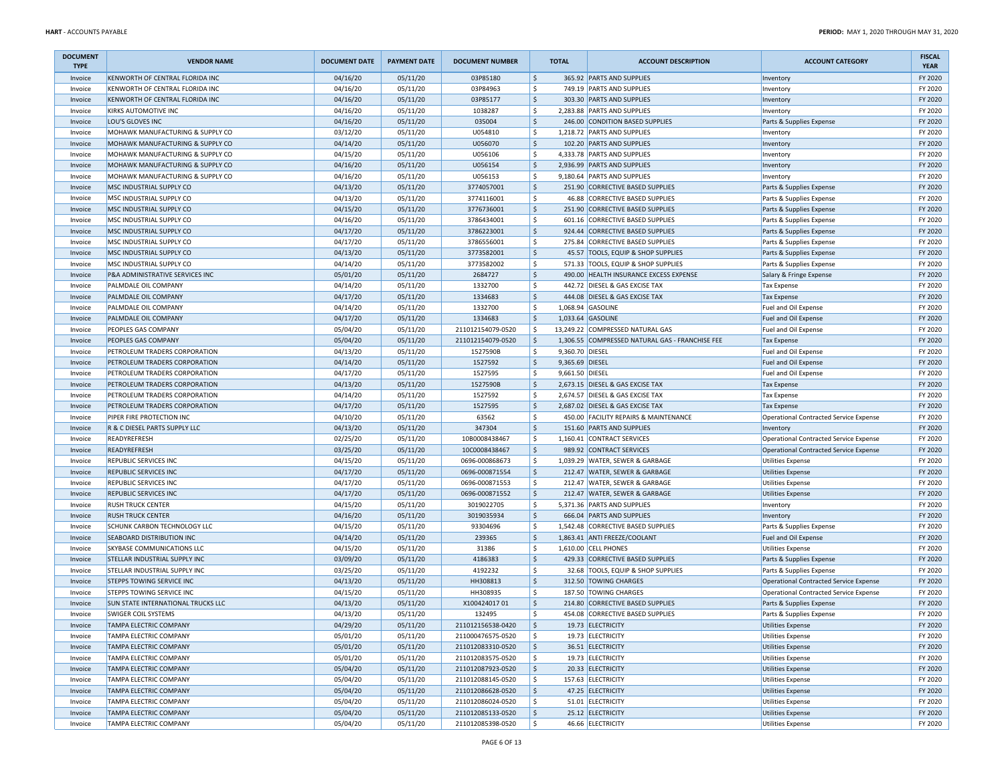| <b>DOCUMENT</b><br><b>TYPE</b> | <b>VENDOR NAME</b>                        | <b>DOCUMENT DATE</b> | <b>PAYMENT DATE</b>  | <b>DOCUMENT NUMBER</b> |                     | <b>TOTAL</b>    | <b>ACCOUNT DESCRIPTION</b>                                         | <b>ACCOUNT CATEGORY</b>                | <b>FISCAL</b><br><b>YEAR</b> |
|--------------------------------|-------------------------------------------|----------------------|----------------------|------------------------|---------------------|-----------------|--------------------------------------------------------------------|----------------------------------------|------------------------------|
| Invoice                        | KENWORTH OF CENTRAL FLORIDA INC           | 04/16/20             | 05/11/20             | 03P85180               | $\frac{1}{2}$       |                 | 365.92 PARTS AND SUPPLIES                                          | Inventory                              | FY 2020                      |
| Invoice                        | KENWORTH OF CENTRAL FLORIDA INC           | 04/16/20             | 05/11/20             | 03P84963               | \$                  |                 | 749.19 PARTS AND SUPPLIES                                          | Inventory                              | FY 2020                      |
| Invoice                        | KENWORTH OF CENTRAL FLORIDA INC           | 04/16/20             | 05/11/20             | 03P85177               | $\frac{1}{2}$       |                 | 303.30 PARTS AND SUPPLIES                                          | Inventory                              | FY 2020                      |
| Invoice                        | KIRKS AUTOMOTIVE INC                      | 04/16/20             | 05/11/20             | 1038287                | \$                  |                 | 2,283.88 PARTS AND SUPPLIES                                        | Inventory                              | FY 2020                      |
| Invoice                        | LOU'S GLOVES INC                          | 04/16/20             | 05/11/20             | 035004                 | $\frac{1}{2}$       |                 | 246.00 CONDITION BASED SUPPLIES                                    | Parts & Supplies Expense               | FY 2020                      |
| Invoice                        | MOHAWK MANUFACTURING & SUPPLY CO          | 03/12/20             | 05/11/20             | U054810                | \$                  |                 | 1,218.72 PARTS AND SUPPLIES                                        | Inventory                              | FY 2020                      |
| Invoice                        | MOHAWK MANUFACTURING & SUPPLY CO          | 04/14/20             | 05/11/20             | U056070                | \$                  |                 | 102.20 PARTS AND SUPPLIES                                          | Inventory                              | FY 2020                      |
| Invoice                        | MOHAWK MANUFACTURING & SUPPLY CO          | 04/15/20             | 05/11/20             | U056106                | \$                  |                 | 4,333.78 PARTS AND SUPPLIES                                        | Inventory                              | FY 2020                      |
| Invoice                        | MOHAWK MANUFACTURING & SUPPLY CO          | 04/16/20             | 05/11/20             | U056154                | \$                  |                 | 2,936.99 PARTS AND SUPPLIES                                        | Inventory                              | FY 2020                      |
| Invoice                        | MOHAWK MANUFACTURING & SUPPLY CO          | 04/16/20             | 05/11/20             | U056153                | \$                  |                 | 9,180.64 PARTS AND SUPPLIES                                        | Inventory                              | FY 2020                      |
| Invoice                        | MSC INDUSTRIAL SUPPLY CO                  | 04/13/20             | 05/11/20             | 3774057001             | $\frac{1}{2}$       |                 | 251.90 CORRECTIVE BASED SUPPLIES                                   | Parts & Supplies Expense               | FY 2020                      |
| Invoice                        | MSC INDUSTRIAL SUPPLY CO                  | 04/13/20             | 05/11/20             | 3774116001             | \$                  |                 | 46.88 CORRECTIVE BASED SUPPLIES                                    | Parts & Supplies Expense               | FY 2020                      |
| Invoice                        | MSC INDUSTRIAL SUPPLY CO                  | 04/15/20             | 05/11/20             | 3776736001             | $\frac{1}{2}$       |                 | 251.90 CORRECTIVE BASED SUPPLIES                                   | Parts & Supplies Expense               | FY 2020                      |
| Invoice                        | MSC INDUSTRIAL SUPPLY CO                  | 04/16/20             | 05/11/20             | 3786434001             | \$                  |                 | 601.16 CORRECTIVE BASED SUPPLIES                                   | Parts & Supplies Expense               | FY 2020                      |
| Invoice                        | MSC INDUSTRIAL SUPPLY CO                  | 04/17/20             | 05/11/20             | 3786223001             | $\frac{1}{2}$       |                 | 924.44 CORRECTIVE BASED SUPPLIES                                   | Parts & Supplies Expense               | FY 2020                      |
| Invoice                        | MSC INDUSTRIAL SUPPLY CO                  | 04/17/20             | 05/11/20             | 3786556001             | \$                  |                 | 275.84 CORRECTIVE BASED SUPPLIES                                   | Parts & Supplies Expense               | FY 2020                      |
| Invoice                        | MSC INDUSTRIAL SUPPLY CO                  | 04/13/20             | 05/11/20             | 3773582001             | \$                  |                 | 45.57 TOOLS, EQUIP & SHOP SUPPLIES                                 | Parts & Supplies Expense               | FY 2020                      |
| Invoice                        | MSC INDUSTRIAL SUPPLY CO                  | 04/14/20             | 05/11/20             | 3773582002             | \$                  |                 | 571.33 TOOLS, EQUIP & SHOP SUPPLIES                                | Parts & Supplies Expense               | FY 2020                      |
| Invoice                        | P&A ADMINISTRATIVE SERVICES INC           | 05/01/20             | 05/11/20             | 2684727                | $\frac{1}{2}$       |                 | 490.00 HEALTH INSURANCE EXCESS EXPENSE                             | Salary & Fringe Expense                | FY 2020                      |
| Invoice                        | PALMDALE OIL COMPANY                      | 04/14/20             | 05/11/20             | 1332700                | \$                  |                 | 442.72 DIESEL & GAS EXCISE TAX                                     | <b>Tax Expense</b>                     | FY 2020                      |
| Invoice                        | PALMDALE OIL COMPANY                      | 04/17/20             | 05/11/20             | 1334683                | $\ddot{\mathsf{S}}$ |                 | 444.08 DIESEL & GAS EXCISE TAX                                     | <b>Tax Expense</b>                     | FY 2020                      |
| Invoice                        | PALMDALE OIL COMPANY                      | 04/14/20             | 05/11/20             | 1332700                | \$                  |                 | 1,068.94 GASOLINE                                                  | Fuel and Oil Expense                   | FY 2020                      |
| Invoice                        | PALMDALE OIL COMPANY                      | 04/17/20             | 05/11/20             | 1334683                | \$                  |                 | 1,033.64 GASOLINE                                                  | Fuel and Oil Expense                   | FY 2020                      |
| Invoice                        | PEOPLES GAS COMPANY                       | 05/04/20             | 05/11/20             | 211012154079-0520      | \$                  |                 | 13,249.22 COMPRESSED NATURAL GAS                                   | Fuel and Oil Expense                   | FY 2020                      |
| Invoice                        | PEOPLES GAS COMPANY                       | 05/04/20             | 05/11/20             | 211012154079-0520      | \$                  |                 | 1,306.55 COMPRESSED NATURAL GAS - FRANCHISE FEE                    | Tax Expense                            | FY 2020                      |
| Invoice                        | PETROLEUM TRADERS CORPORATION             | 04/13/20             | 05/11/20             | 1527590B               | \$                  | 9,360.70 DIESEL |                                                                    | Fuel and Oil Expense                   | FY 2020                      |
| Invoice                        | PETROLEUM TRADERS CORPORATION             | 04/14/20             | 05/11/20             | 1527592                | $\frac{1}{2}$       | 9,365.69 DIESEL |                                                                    | Fuel and Oil Expense                   | FY 2020                      |
| Invoice                        | PETROLEUM TRADERS CORPORATION             | 04/17/20             | 05/11/20             | 1527595                | \$                  | 9,661.50 DIESEL |                                                                    | Fuel and Oil Expense                   | FY 2020                      |
| Invoice                        | PETROLEUM TRADERS CORPORATION             | 04/13/20             | 05/11/20             | 1527590B               | $\frac{1}{2}$       |                 | 2,673.15 DIESEL & GAS EXCISE TAX                                   |                                        | FY 2020                      |
|                                | PETROLEUM TRADERS CORPORATION             |                      |                      | 1527592                | \$                  |                 | 2,674.57 DIESEL & GAS EXCISE TAX                                   | <b>Tax Expense</b>                     | FY 2020                      |
| Invoice                        |                                           | 04/14/20             | 05/11/20<br>05/11/20 | 1527595                | $\frac{1}{2}$       |                 | 2,687.02 DIESEL & GAS EXCISE TAX                                   | <b>Tax Expense</b>                     | FY 2020                      |
| Invoice                        | PETROLEUM TRADERS CORPORATION             | 04/17/20             |                      |                        | \$                  |                 |                                                                    | <b>Tax Expense</b>                     |                              |
| Invoice                        | PIPER FIRE PROTECTION INC                 | 04/10/20             | 05/11/20             | 63562<br>347304        |                     |                 | 450.00 FACILITY REPAIRS & MAINTENANCE<br>151.60 PARTS AND SUPPLIES | Operational Contracted Service Expense | FY 2020<br>FY 2020           |
| Invoice                        | R & C DIESEL PARTS SUPPLY LLC             | 04/13/20             | 05/11/20             |                        | \$                  |                 |                                                                    | Inventory                              |                              |
| Invoice                        | READYREFRESH                              | 02/25/20             | 05/11/20             | 10B0008438467          | \$                  |                 | 1,160.41 CONTRACT SERVICES                                         | Operational Contracted Service Expense | FY 2020                      |
| Invoice                        | READYREFRESH                              | 03/25/20             | 05/11/20             | 10C0008438467          | $\frac{1}{2}$       |                 | 989.92 CONTRACT SERVICES                                           | Operational Contracted Service Expense | FY 2020                      |
| Invoice                        | REPUBLIC SERVICES INC                     | 04/15/20             | 05/11/20             | 0696-000868673         | \$                  |                 | 1,039.29 WATER, SEWER & GARBAGE                                    | <b>Utilities Expense</b>               | FY 2020                      |
| Invoice                        | <b>REPUBLIC SERVICES INC</b>              | 04/17/20             | 05/11/20             | 0696-000871554         | $\frac{1}{2}$       |                 | 212.47 WATER, SEWER & GARBAGE                                      | <b>Utilities Expense</b>               | FY 2020                      |
| Invoice                        | <b>REPUBLIC SERVICES INC</b>              | 04/17/20             | 05/11/20             | 0696-000871553         | \$                  |                 | 212.47 WATER, SEWER & GARBAGE                                      | <b>Utilities Expense</b>               | FY 2020                      |
| Invoice                        | <b>REPUBLIC SERVICES INC</b>              | 04/17/20             | 05/11/20             | 0696-000871552         | $\frac{1}{2}$       |                 | 212.47 WATER, SEWER & GARBAGE                                      | <b>Utilities Expense</b>               | FY 2020                      |
| Invoice                        | <b>RUSH TRUCK CENTER</b>                  | 04/15/20             | 05/11/20             | 3019022705             | \$                  |                 | 5,371.36 PARTS AND SUPPLIES                                        | Inventory                              | FY 2020                      |
| Invoice                        | <b>RUSH TRUCK CENTER</b>                  | 04/16/20             | 05/11/20             | 3019035934             | \$                  |                 | 666.04 PARTS AND SUPPLIES                                          | Inventory                              | FY 2020                      |
| Invoice                        | SCHUNK CARBON TECHNOLOGY LLC              | 04/15/20             | 05/11/20             | 93304696               | \$                  |                 | 1,542.48 CORRECTIVE BASED SUPPLIES                                 | Parts & Supplies Expense               | FY 2020                      |
| Invoice                        | <b>SEABOARD DISTRIBUTION INC</b>          | 04/14/20             | 05/11/20             | 239365                 | $\frac{1}{2}$       |                 | 1,863.41 ANTI FREEZE/COOLANT                                       | Fuel and Oil Expense                   | FY 2020                      |
| Invoice                        | <b>SKYBASE COMMUNICATIONS LLC</b>         | 04/15/20             | 05/11/20             | 31386                  | \$                  |                 | 1,610.00 CELL PHONES                                               | <b>Utilities Expense</b>               | FY 2020                      |
| Invoice                        | STELLAR INDUSTRIAL SUPPLY INC             | 03/09/20             | 05/11/20             | 4186383                | $\frac{1}{2}$       |                 | 429.33 CORRECTIVE BASED SUPPLIES                                   | Parts & Supplies Expense               | FY 2020                      |
| Invoice                        | STELLAR INDUSTRIAL SUPPLY INC             | 03/25/20             | 05/11/20             | 4192232                | \$                  |                 | 32.68 TOOLS, EQUIP & SHOP SUPPLIES                                 | Parts & Supplies Expense               | FY 2020                      |
| Invoice                        | <b>STEPPS TOWING SERVICE INC</b>          | 04/13/20             | 05/11/20             | HH308813               | $\frac{1}{2}$       |                 | 312.50 TOWING CHARGES                                              | Operational Contracted Service Expense | FY 2020                      |
| Invoice                        | <b>STEPPS TOWING SERVICE INC</b>          | 04/15/20             | 05/11/20             | HH308935               | \$                  |                 | 187.50 TOWING CHARGES                                              | Operational Contracted Service Expense | FY 2020                      |
| Invoice                        | <b>SUN STATE INTERNATIONAL TRUCKS LLC</b> | 04/13/20             | 05/11/20             | X10042401701           | \$                  |                 | 214.80 CORRECTIVE BASED SUPPLIES                                   | Parts & Supplies Expense               | FY 2020                      |
| Invoice                        | SWIGER COIL SYSTEMS                       | 04/13/20             | 05/11/20             | 132495                 | \$                  |                 | 454.08 CORRECTIVE BASED SUPPLIES                                   | Parts & Supplies Expense               | FY 2020                      |
| Invoice                        | <b>TAMPA ELECTRIC COMPANY</b>             | 04/29/20             | 05/11/20             | 211012156538-0420      | \$                  |                 | 19.73 ELECTRICITY                                                  | <b>Utilities Expense</b>               | FY 2020                      |
| Invoice                        | TAMPA ELECTRIC COMPANY                    | 05/01/20             | 05/11/20             | 211000476575-0520      | \$                  |                 | 19.73 ELECTRICITY                                                  | <b>Utilities Expense</b>               | FY 2020                      |
| Invoice                        | <b>TAMPA ELECTRIC COMPANY</b>             | 05/01/20             | 05/11/20             | 211012083310-0520      | $\ddot{\phi}$       |                 | 36.51 ELECTRICITY                                                  | <b>Utilities Expense</b>               | FY 2020                      |
| Invoice                        | TAMPA ELECTRIC COMPANY                    | 05/01/20             | 05/11/20             | 211012083575-0520      | \$                  |                 | 19.73 ELECTRICITY                                                  | <b>Utilities Expense</b>               | FY 2020                      |
| Invoice                        | <b>TAMPA ELECTRIC COMPANY</b>             | 05/04/20             | 05/11/20             | 211012087923-0520      | \$                  |                 | 20.33 ELECTRICITY                                                  | <b>Utilities Expense</b>               | FY 2020                      |
| Invoice                        | <b>TAMPA ELECTRIC COMPANY</b>             | 05/04/20             | 05/11/20             | 211012088145-0520      | \$                  |                 | 157.63 ELECTRICITY                                                 | <b>Utilities Expense</b>               | FY 2020                      |
| Invoice                        | <b>TAMPA ELECTRIC COMPANY</b>             | 05/04/20             | 05/11/20             | 211012086628-0520      | \$                  |                 | 47.25 ELECTRICITY                                                  | <b>Utilities Expense</b>               | FY 2020                      |
| Invoice                        | TAMPA ELECTRIC COMPANY                    | 05/04/20             | 05/11/20             | 211012086024-0520      | \$                  |                 | 51.01 ELECTRICITY                                                  | <b>Utilities Expense</b>               | FY 2020                      |
| Invoice                        | <b>TAMPA ELECTRIC COMPANY</b>             | 05/04/20             | 05/11/20             | 211012085133-0520      | \$                  |                 | 25.12 ELECTRICITY                                                  | <b>Utilities Expense</b>               | FY 2020                      |
| Invoice                        | TAMPA ELECTRIC COMPANY                    | 05/04/20             | 05/11/20             | 211012085398-0520      | \$                  |                 | 46.66 ELECTRICITY                                                  | Utilities Expense                      | FY 2020                      |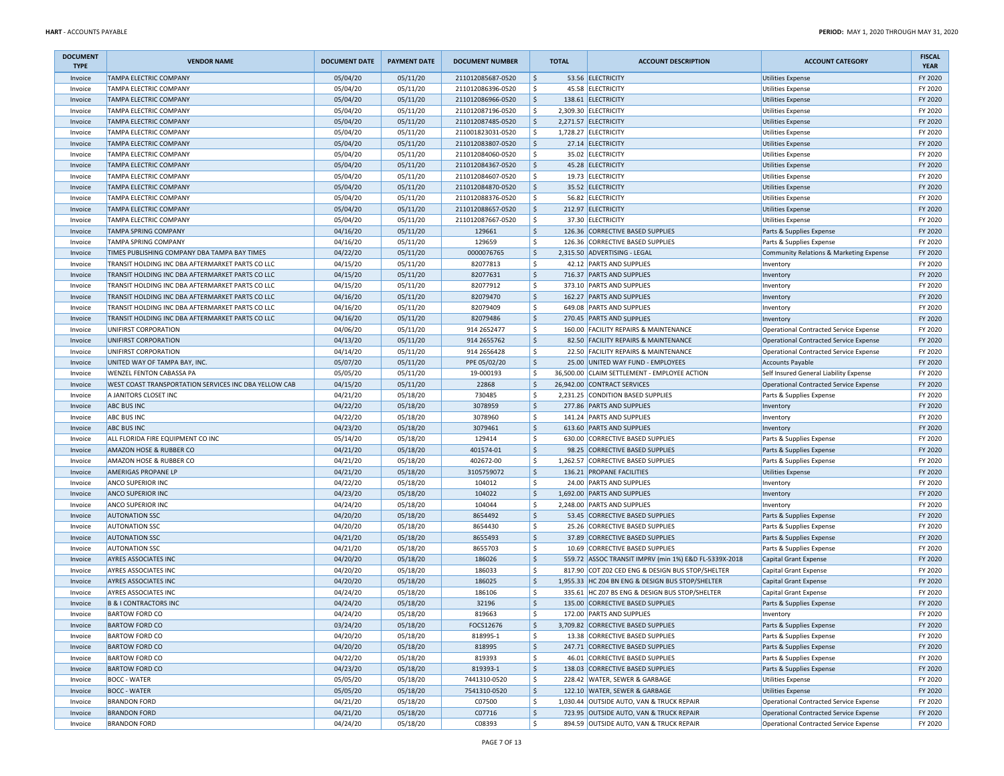| <b>DOCUMENT</b><br><b>TYPE</b> | <b>VENDOR NAME</b>                                    | <b>DOCUMENT DATE</b> | <b>PAYMENT DATE</b> | <b>DOCUMENT NUMBER</b> |                                     | <b>TOTAL</b> | <b>ACCOUNT DESCRIPTION</b>                            | <b>ACCOUNT CATEGORY</b>                       | <b>FISCAL</b><br><b>YEAR</b> |
|--------------------------------|-------------------------------------------------------|----------------------|---------------------|------------------------|-------------------------------------|--------------|-------------------------------------------------------|-----------------------------------------------|------------------------------|
| Invoice                        | <b>TAMPA ELECTRIC COMPANY</b>                         | 05/04/20             | 05/11/20            | 211012085687-0520      | $\frac{1}{2}$                       |              | 53.56 ELECTRICITY                                     | <b>Utilities Expense</b>                      | FY 2020                      |
| Invoice                        | <b>TAMPA ELECTRIC COMPANY</b>                         | 05/04/20             | 05/11/20            | 211012086396-0520      | \$                                  |              | 45.58 ELECTRICITY                                     | <b>Utilities Expense</b>                      | FY 2020                      |
| Invoice                        | <b>TAMPA ELECTRIC COMPANY</b>                         | 05/04/20             | 05/11/20            | 211012086966-0520      | \$                                  |              | 138.61 ELECTRICITY                                    | <b>Utilities Expense</b>                      | FY 2020                      |
| Invoice                        | <b>TAMPA ELECTRIC COMPANY</b>                         | 05/04/20             | 05/11/20            | 211012087196-0520      | \$                                  |              | 2,309.30 ELECTRICITY                                  | <b>Utilities Expense</b>                      | FY 2020                      |
| Invoice                        | <b>TAMPA ELECTRIC COMPANY</b>                         | 05/04/20             | 05/11/20            | 211012087485-0520      | \$                                  |              | 2,271.57 ELECTRICITY                                  | Utilities Expense                             | FY 2020                      |
| Invoice                        | TAMPA ELECTRIC COMPANY                                | 05/04/20             | 05/11/20            | 211001823031-0520      | \$                                  |              | 1,728.27 ELECTRICITY                                  | <b>Utilities Expense</b>                      | FY 2020                      |
| Invoice                        | <b>TAMPA ELECTRIC COMPANY</b>                         | 05/04/20             | 05/11/20            | 211012083807-0520      | \$                                  |              | 27.14 ELECTRICITY                                     | <b>Utilities Expense</b>                      | FY 2020                      |
| Invoice                        | TAMPA ELECTRIC COMPANY                                | 05/04/20             | 05/11/20            | 211012084060-0520      | \$                                  |              | 35.02 ELECTRICITY                                     | <b>Utilities Expense</b>                      | FY 2020                      |
| Invoice                        | <b>TAMPA ELECTRIC COMPANY</b>                         | 05/04/20             | 05/11/20            | 211012084367-0520      | \$                                  |              | 45.28 ELECTRICITY                                     | <b>Utilities Expense</b>                      | FY 2020                      |
| Invoice                        | <b>TAMPA ELECTRIC COMPANY</b>                         | 05/04/20             | 05/11/20            | 211012084607-0520      | \$                                  |              | 19.73 ELECTRICITY                                     | <b>Utilities Expense</b>                      | FY 2020                      |
| Invoice                        | <b>TAMPA ELECTRIC COMPANY</b>                         | 05/04/20             | 05/11/20            | 211012084870-0520      | $\ddot{\mathsf{S}}$                 |              | 35.52 ELECTRICITY                                     | <b>Utilities Expense</b>                      | FY 2020                      |
| Invoice                        | <b>TAMPA ELECTRIC COMPANY</b>                         | 05/04/20             | 05/11/20            | 211012088376-0520      | \$                                  |              | 56.82 ELECTRICITY                                     | <b>Utilities Expense</b>                      | FY 2020                      |
| Invoice                        | <b>TAMPA ELECTRIC COMPANY</b>                         | 05/04/20             | 05/11/20            | 211012088657-0520      | \$                                  |              | 212.97 ELECTRICITY                                    | <b>Utilities Expense</b>                      | FY 2020                      |
| Invoice                        | <b>TAMPA ELECTRIC COMPANY</b>                         | 05/04/20             | 05/11/20            | 211012087667-0520      | \$                                  |              | 37.30 ELECTRICITY                                     | <b>Utilities Expense</b>                      | FY 2020                      |
|                                |                                                       |                      |                     |                        |                                     |              | 126.36 CORRECTIVE BASED SUPPLIES                      |                                               |                              |
| Invoice                        | <b>TAMPA SPRING COMPANY</b>                           | 04/16/20             | 05/11/20            | 129661                 | \$                                  |              |                                                       | Parts & Supplies Expense                      | FY 2020                      |
| Invoice                        | TAMPA SPRING COMPANY                                  | 04/16/20             | 05/11/20            | 129659                 | \$                                  |              | 126.36 CORRECTIVE BASED SUPPLIES                      | Parts & Supplies Expense                      | FY 2020                      |
| Invoice                        | TIMES PUBLISHING COMPANY DBA TAMPA BAY TIMES          | 04/22/20             | 05/11/20            | 0000076765             | \$                                  |              | 2,315.50 ADVERTISING - LEGAL                          | Community Relations & Marketing Expense       | FY 2020                      |
| Invoice                        | TRANSIT HOLDING INC DBA AFTERMARKET PARTS CO LLC      | 04/15/20             | 05/11/20            | 82077813               | \$                                  |              | 42.12 PARTS AND SUPPLIES                              | Inventory                                     | FY 2020                      |
| Invoice                        | TRANSIT HOLDING INC DBA AFTERMARKET PARTS CO LLC      | 04/15/20             | 05/11/20            | 82077631               | $\vert$ \$                          |              | 716.37 PARTS AND SUPPLIES                             | Inventory                                     | FY 2020                      |
| Invoice                        | TRANSIT HOLDING INC DBA AFTERMARKET PARTS CO LLC      | 04/15/20             | 05/11/20            | 82077912               | \$                                  |              | 373.10 PARTS AND SUPPLIES                             | Inventory                                     | FY 2020                      |
| Invoice                        | TRANSIT HOLDING INC DBA AFTERMARKET PARTS CO LLC      | 04/16/20             | 05/11/20            | 82079470               | $\frac{1}{2}$                       |              | 162.27 PARTS AND SUPPLIES                             | Inventory                                     | FY 2020                      |
| Invoice                        | TRANSIT HOLDING INC DBA AFTERMARKET PARTS CO LLC      | 04/16/20             | 05/11/20            | 82079409               | \$                                  |              | 649.08 PARTS AND SUPPLIES                             | Inventory                                     | FY 2020                      |
| Invoice                        | TRANSIT HOLDING INC DBA AFTERMARKET PARTS CO LLC      | 04/16/20             | 05/11/20            | 82079486               | \$                                  |              | 270.45 PARTS AND SUPPLIES                             | Inventory                                     | FY 2020                      |
| Invoice                        | UNIFIRST CORPORATION                                  | 04/06/20             | 05/11/20            | 914 265 2477           | \$                                  |              | 160.00 FACILITY REPAIRS & MAINTENANCE                 | Operational Contracted Service Expense        | FY 2020                      |
| Invoice                        | UNIFIRST CORPORATION                                  | 04/13/20             | 05/11/20            | 914 2655762            | $\frac{1}{2}$                       |              | 82.50 FACILITY REPAIRS & MAINTENANCE                  | Operational Contracted Service Expense        | FY 2020                      |
| Invoice                        | UNIFIRST CORPORATION                                  | 04/14/20             | 05/11/20            | 914 265 6428           | \$                                  |              | 22.50 FACILITY REPAIRS & MAINTENANCE                  | <b>Operational Contracted Service Expense</b> | FY 2020                      |
| Invoice                        | UNITED WAY OF TAMPA BAY, INC.                         | 05/07/20             | 05/11/20            | PPE 05/02/20           | $\frac{1}{2}$                       |              | 25.00 UNITED WAY FUND - EMPLOYEES                     | <b>Accounts Payable</b>                       | FY 2020                      |
| Invoice                        | <b>WENZEL FENTON CABASSA PA</b>                       | 05/05/20             | 05/11/20            | 19-000193              | \$                                  |              | 36,500.00 CLAIM SETTLEMENT - EMPLOYEE ACTION          | Self Insured General Liability Expense        | FY 2020                      |
| Invoice                        | WEST COAST TRANSPORTATION SERVICES INC DBA YELLOW CAB | 04/15/20             | 05/11/20            | 22868                  | $\frac{1}{2}$                       |              | 26,942.00 CONTRACT SERVICES                           | <b>Operational Contracted Service Expense</b> | FY 2020                      |
| Invoice                        | A JANITORS CLOSET INC                                 | 04/21/20             | 05/18/20            | 730485                 | \$                                  |              | 2,231.25 CONDITION BASED SUPPLIES                     | Parts & Supplies Expense                      | FY 2020                      |
| Invoice                        | <b>ABC BUS INC</b>                                    | 04/22/20             | 05/18/20            | 3078959                | \$                                  |              | 277.86 PARTS AND SUPPLIES                             | Inventory                                     | FY 2020                      |
| Invoice                        | <b>ABC BUS INC</b>                                    | 04/22/20             | 05/18/20            | 3078960                | \$                                  |              | 141.24 PARTS AND SUPPLIES                             | Inventory                                     | FY 2020                      |
| Invoice                        | <b>ABC BUS INC</b>                                    | 04/23/20             | 05/18/20            | 3079461                | $\frac{1}{2}$                       |              | 613.60 PARTS AND SUPPLIES                             | Inventory                                     | FY 2020                      |
| Invoice                        | ALL FLORIDA FIRE EQUIPMENT CO INC                     | 05/14/20             | 05/18/20            | 129414                 | \$                                  |              | 630.00 CORRECTIVE BASED SUPPLIES                      | Parts & Supplies Expense                      | FY 2020                      |
| Invoice                        | AMAZON HOSE & RUBBER CO                               | 04/21/20             | 05/18/20            | 401574-01              | $\frac{1}{2}$                       |              | 98.25 CORRECTIVE BASED SUPPLIES                       | Parts & Supplies Expense                      | FY 2020                      |
| Invoice                        | AMAZON HOSE & RUBBER CO                               | 04/21/20             | 05/18/20            | 402672-00              | \$                                  |              | 1,262.57 CORRECTIVE BASED SUPPLIES                    | Parts & Supplies Expense                      | FY 2020                      |
| Invoice                        | AMERIGAS PROPANE LP                                   | 04/21/20             | 05/18/20            | 3105759072             | \$                                  |              | 136.21 PROPANE FACILITIES                             | <b>Utilities Expense</b>                      | FY 2020                      |
| Invoice                        | ANCO SUPERIOR INC                                     | 04/22/20             | 05/18/20            | 104012                 | \$                                  |              | 24.00 PARTS AND SUPPLIES                              | Inventory                                     | FY 2020                      |
| Invoice                        | <b>ANCO SUPERIOR INC</b>                              | 04/23/20             | 05/18/20            | 104022                 | \$                                  |              | 1,692.00 PARTS AND SUPPLIES                           | Inventory                                     | FY 2020                      |
| Invoice                        | <b>ANCO SUPERIOR INC</b>                              | 04/24/20             | 05/18/20            | 104044                 | \$                                  |              | 2,248.00 PARTS AND SUPPLIES                           | Inventory                                     | FY 2020                      |
| Invoice                        | <b>AUTONATION SSC</b>                                 | 04/20/20             | 05/18/20            | 8654492                | \$                                  |              | 53.45 CORRECTIVE BASED SUPPLIES                       | Parts & Supplies Expense                      | FY 2020                      |
| Invoice                        | <b>AUTONATION SSC</b>                                 | 04/20/20             | 05/18/20            | 8654430                | \$                                  |              | 25.26 CORRECTIVE BASED SUPPLIES                       | Parts & Supplies Expense                      | FY 2020                      |
| Invoice                        | <b>AUTONATION SSC</b>                                 | 04/21/20             | 05/18/20            | 8655493                | $\frac{1}{2}$                       |              | 37.89 CORRECTIVE BASED SUPPLIES                       | Parts & Supplies Expense                      | FY 2020                      |
| Invoice                        | <b>AUTONATION SSC</b>                                 | 04/21/20             | 05/18/20            | 8655703                | \$                                  |              | 10.69 CORRECTIVE BASED SUPPLIES                       | Parts & Supplies Expense                      | FY 2020                      |
| Invoice                        | <b>AYRES ASSOCIATES INC</b>                           | 04/20/20             | 05/18/20            | 186026                 | \$                                  |              | 559.72 ASSOC TRANSIT IMPRV (min 1%) E&D FL-5339X-2018 |                                               | FY 2020                      |
|                                | <b>AYRES ASSOCIATES INC</b>                           |                      |                     |                        | \$                                  |              |                                                       | Capital Grant Expense                         | FY 2020                      |
| Invoice                        |                                                       | 04/20/20             | 05/18/20            | 186033                 |                                     |              | 817.90 COT Z02 CED ENG & DESIGN BUS STOP/SHELTER      | Capital Grant Expense                         |                              |
| Invoice                        | <b>AYRES ASSOCIATES INC</b>                           | 04/20/20             | 05/18/20            | 186025                 | $\frac{1}{2}$<br>$\dot{\mathsf{s}}$ |              | 1,955.33 HC Z04 BN ENG & DESIGN BUS STOP/SHELTER      | Capital Grant Expense                         | FY 2020                      |
| Invoice                        | <b>AYRES ASSOCIATES INC</b>                           | 04/24/20             | 05/18/20            | 186106                 |                                     |              | 335.61 HC Z07 BS ENG & DESIGN BUS STOP/SHELTER        | Capital Grant Expense                         | FY 2020                      |
| Invoice                        | <b>B &amp; I CONTRACTORS INC</b>                      | 04/24/20             | 05/18/20            | 32196                  | \$                                  |              | 135.00 CORRECTIVE BASED SUPPLIES                      | Parts & Supplies Expense                      | FY 2020                      |
| Invoice                        | <b>BARTOW FORD CO</b>                                 | 04/24/20             | 05/18/20            | 819663                 | \$                                  |              | 172.00 PARTS AND SUPPLIES                             | Inventory                                     | FY 2020                      |
| Invoice                        | <b>BARTOW FORD CO</b>                                 | 03/24/20             | 05/18/20            | FOCS12676              | $\frac{1}{2}$                       |              | 3,709.82 CORRECTIVE BASED SUPPLIES                    | Parts & Supplies Expense                      | FY 2020                      |
| Invoice                        | <b>BARTOW FORD CO</b>                                 | 04/20/20             | 05/18/20            | 818995-1               | \$                                  |              | 13.38 CORRECTIVE BASED SUPPLIES                       | Parts & Supplies Expense                      | FY 2020                      |
| Invoice                        | <b>BARTOW FORD CO</b>                                 | 04/20/20             | 05/18/20            | 818995                 | \$                                  |              | 247.71 CORRECTIVE BASED SUPPLIES                      | Parts & Supplies Expense                      | FY 2020                      |
| Invoice                        | <b>BARTOW FORD CO</b>                                 | 04/22/20             | 05/18/20            | 819393                 | \$                                  |              | 46.01 CORRECTIVE BASED SUPPLIES                       | Parts & Supplies Expense                      | FY 2020                      |
| Invoice                        | <b>BARTOW FORD CO</b>                                 | 04/23/20             | 05/18/20            | 819393-1               | \$                                  |              | 138.03 CORRECTIVE BASED SUPPLIES                      | Parts & Supplies Expense                      | FY 2020                      |
| Invoice                        | <b>BOCC - WATER</b>                                   | 05/05/20             | 05/18/20            | 7441310-0520           | \$                                  |              | 228.42 WATER, SEWER & GARBAGE                         | <b>Utilities Expense</b>                      | FY 2020                      |
| Invoice                        | <b>BOCC - WATER</b>                                   | 05/05/20             | 05/18/20            | 7541310-0520           | \$                                  |              | 122.10 WATER, SEWER & GARBAGE                         | <b>Utilities Expense</b>                      | FY 2020                      |
| Invoice                        | <b>BRANDON FORD</b>                                   | 04/21/20             | 05/18/20            | C07500                 | \$                                  |              | 1,030.44 OUTSIDE AUTO, VAN & TRUCK REPAIR             | Operational Contracted Service Expense        | FY 2020                      |
| Invoice                        | <b>BRANDON FORD</b>                                   | 04/21/20             | 05/18/20            | C07716                 | \$                                  |              | 723.95 OUTSIDE AUTO, VAN & TRUCK REPAIR               | Operational Contracted Service Expense        | FY 2020                      |
| Invoice                        | <b>BRANDON FORD</b>                                   | 04/24/20             | 05/18/20            | C08393                 | l \$                                |              | 894.59 OUTSIDE AUTO, VAN & TRUCK REPAIR               | Operational Contracted Service Expense        | FY 2020                      |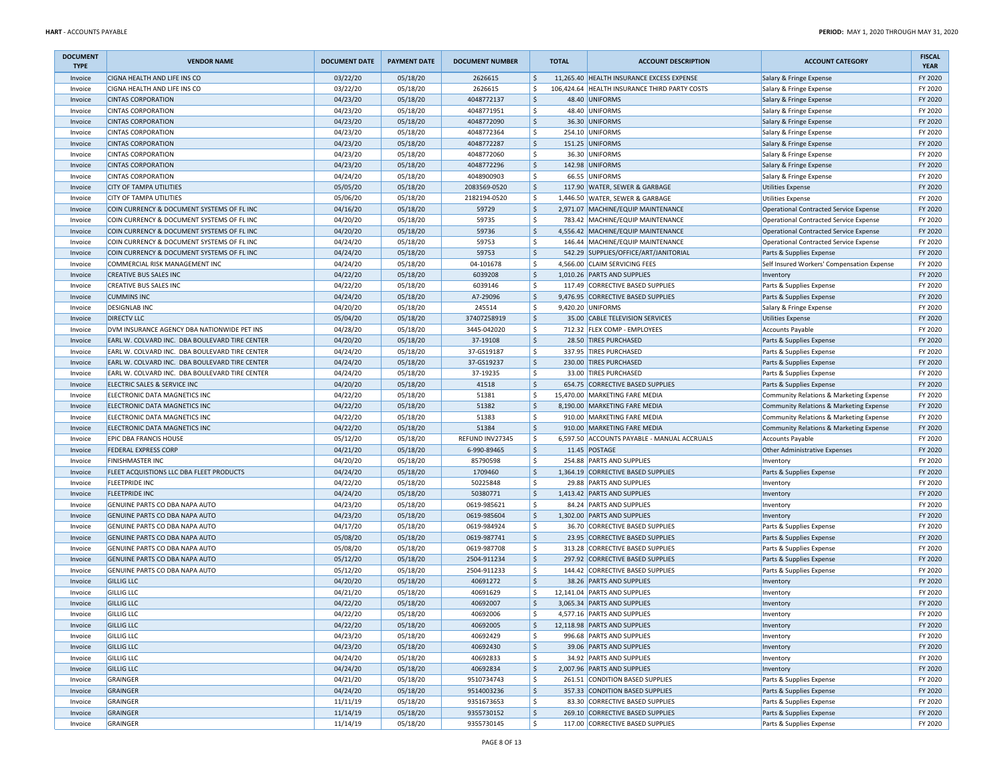| <b>DOCUMENT</b><br><b>TYPE</b> | <b>VENDOR NAME</b>                             | <b>DOCUMENT DATE</b> | <b>PAYMENT DATE</b> | <b>DOCUMENT NUMBER</b> |                    | <b>TOTAL</b> | <b>ACCOUNT DESCRIPTION</b>                    | <b>ACCOUNT CATEGORY</b>                    | <b>FISCAL</b><br><b>YEAR</b> |
|--------------------------------|------------------------------------------------|----------------------|---------------------|------------------------|--------------------|--------------|-----------------------------------------------|--------------------------------------------|------------------------------|
| Invoice                        | CIGNA HEALTH AND LIFE INS CO                   | 03/22/20             | 05/18/20            | 2626615                | $\zeta$            |              | 11,265.40 HEALTH INSURANCE EXCESS EXPENSE     | Salary & Fringe Expense                    | FY 2020                      |
| Invoice                        | CIGNA HEALTH AND LIFE INS CO                   | 03/22/20             | 05/18/20            | 2626615                | Ŝ.                 |              | 106,424.64 HEALTH INSURANCE THIRD PARTY COSTS | Salary & Fringe Expense                    | FY 2020                      |
| Invoice                        | <b>CINTAS CORPORATION</b>                      | 04/23/20             | 05/18/20            | 4048772137             | $\frac{1}{2}$      |              | 48.40 UNIFORMS                                | Salary & Fringe Expense                    | FY 2020                      |
| Invoice                        | <b>CINTAS CORPORATION</b>                      | 04/23/20             | 05/18/20            | 4048771951             | \$                 |              | 48.40 UNIFORMS                                | Salary & Fringe Expense                    | FY 2020                      |
| Invoice                        | <b>CINTAS CORPORATION</b>                      | 04/23/20             | 05/18/20            | 4048772090             | $\frac{1}{2}$      |              | 36.30 UNIFORMS                                | Salary & Fringe Expense                    | FY 2020                      |
| Invoice                        | <b>CINTAS CORPORATION</b>                      | 04/23/20             | 05/18/20            | 4048772364             | \$                 |              | 254.10 UNIFORMS                               | Salary & Fringe Expense                    | FY 2020                      |
| Invoice                        | <b>CINTAS CORPORATION</b>                      | 04/23/20             | 05/18/20            | 4048772287             | \$                 |              | 151.25 UNIFORMS                               | Salary & Fringe Expense                    | FY 2020                      |
| Invoice                        | <b>CINTAS CORPORATION</b>                      | 04/23/20             | 05/18/20            | 4048772060             | \$                 |              | 36.30 UNIFORMS                                | Salary & Fringe Expense                    | FY 2020                      |
| Invoice                        | <b>CINTAS CORPORATION</b>                      | 04/23/20             | 05/18/20            | 4048772296             | \$                 |              | 142.98 UNIFORMS                               | Salary & Fringe Expense                    | FY 2020                      |
| Invoice                        | <b>CINTAS CORPORATION</b>                      | 04/24/20             | 05/18/20            | 4048900903             | \$                 |              | 66.55 UNIFORMS                                | Salary & Fringe Expense                    | FY 2020                      |
| Invoice                        | <b>CITY OF TAMPA UTILITIES</b>                 | 05/05/20             | 05/18/20            | 2083569-0520           | \$                 |              | 117.90 WATER, SEWER & GARBAGE                 | Utilities Expense                          | FY 2020                      |
| Invoice                        | <b>CITY OF TAMPA UTILITIES</b>                 | 05/06/20             | 05/18/20            | 2182194-0520           | $\mathsf{S}$       |              | 1,446.50 WATER, SEWER & GARBAGE               | <b>Utilities Expense</b>                   | FY 2020                      |
| Invoice                        | COIN CURRENCY & DOCUMENT SYSTEMS OF FL INC     | 04/16/20             | 05/18/20            | 59729                  | $\frac{1}{2}$      |              | 2,971.07 MACHINE/EQUIP MAINTENANCE            | Operational Contracted Service Expense     | FY 2020                      |
| Invoice                        | COIN CURRENCY & DOCUMENT SYSTEMS OF FL INC     | 04/20/20             | 05/18/20            | 59735                  | \$                 |              | 783.42 MACHINE/EQUIP MAINTENANCE              | Operational Contracted Service Expense     | FY 2020                      |
| Invoice                        | COIN CURRENCY & DOCUMENT SYSTEMS OF FL INC     | 04/20/20             | 05/18/20            | 59736                  | \$                 |              | 4,556.42 MACHINE/EQUIP MAINTENANCE            | Operational Contracted Service Expense     | FY 2020                      |
| Invoice                        | COIN CURRENCY & DOCUMENT SYSTEMS OF FL INC     | 04/24/20             | 05/18/20            | 59753                  | \$                 |              | 146.44 MACHINE/EQUIP MAINTENANCE              | Operational Contracted Service Expense     | FY 2020                      |
| Invoice                        | COIN CURRENCY & DOCUMENT SYSTEMS OF FL INC     | 04/24/20             | 05/18/20            | 59753                  | $\mathsf{\$}$      |              | 542.29 SUPPLIES/OFFICE/ART/JANITORIAL         | Parts & Supplies Expense                   | FY 2020                      |
| Invoice                        | COMMERCIAL RISK MANAGEMENT INC                 | 04/24/20             | 05/18/20            | 04-101678              | \$                 |              | 4,566.00 CLAIM SERVICING FEES                 | Self Insured Workers' Compensation Expense | FY 2020                      |
| Invoice                        | <b>CREATIVE BUS SALES INC</b>                  | 04/22/20             | 05/18/20            | 6039208                | $\ddot{\phi}$      |              | 1,010.26 PARTS AND SUPPLIES                   | Inventory                                  | FY 2020                      |
| Invoice                        | <b>CREATIVE BUS SALES INC</b>                  | 04/22/20             | 05/18/20            | 6039146                | \$                 |              | 117.49 CORRECTIVE BASED SUPPLIES              | Parts & Supplies Expense                   | FY 2020                      |
| Invoice                        | <b>CUMMINS INC</b>                             | 04/24/20             | 05/18/20            | A7-29096               | $\ddot{\phi}$      |              | 9,476.95 CORRECTIVE BASED SUPPLIES            | Parts & Supplies Expense                   | FY 2020                      |
| Invoice                        | <b>DESIGNLAB INC</b>                           | 04/20/20             | 05/18/20            | 245514                 | \$                 |              | 9,420.20 UNIFORMS                             | Salary & Fringe Expense                    | FY 2020                      |
| Invoice                        | <b>DIRECTV LLC</b>                             | 05/04/20             | 05/18/20            | 37407258919            | $\ddot{\phi}$      |              | 35.00 CABLE TELEVISION SERVICES               | Utilities Expense                          | FY 2020                      |
| Invoice                        | DVM INSURANCE AGENCY DBA NATIONWIDE PET INS    | 04/28/20             | 05/18/20            | 3445-042020            | \$                 |              | 712.32 FLEX COMP - EMPLOYEES                  | Accounts Payable                           | FY 2020                      |
| Invoice                        | EARL W. COLVARD INC. DBA BOULEVARD TIRE CENTER | 04/20/20             | 05/18/20            | 37-19108               | \$                 |              | 28.50 TIRES PURCHASED                         | Parts & Supplies Expense                   | FY 2020                      |
| Invoice                        | EARL W. COLVARD INC. DBA BOULEVARD TIRE CENTER | 04/24/20             | 05/18/20            | 37-GS19187             | \$                 |              | 337.95 TIRES PURCHASED                        | Parts & Supplies Expense                   | FY 2020                      |
| Invoice                        | EARL W. COLVARD INC. DBA BOULEVARD TIRE CENTER | 04/24/20             | 05/18/20            | 37-GS19237             | $\ddot{\phi}$      |              | 230.00 TIRES PURCHASED                        | Parts & Supplies Expense                   | FY 2020                      |
| Invoice                        | EARL W. COLVARD INC. DBA BOULEVARD TIRE CENTER | 04/24/20             | 05/18/20            | 37-19235               | \$                 |              | 33.00 TIRES PURCHASED                         | Parts & Supplies Expense                   | FY 2020                      |
| Invoice                        | ELECTRIC SALES & SERVICE INC                   | 04/20/20             | 05/18/20            | 41518                  | $\ddot{\phi}$      |              | 654.75 CORRECTIVE BASED SUPPLIES              | Parts & Supplies Expense                   | FY 2020                      |
| Invoice                        | ELECTRONIC DATA MAGNETICS INC                  | 04/22/20             | 05/18/20            | 51381                  | Ŝ.                 |              | 15,470.00 MARKETING FARE MEDIA                | Community Relations & Marketing Expense    | FY 2020                      |
| Invoice                        | ELECTRONIC DATA MAGNETICS INC                  | 04/22/20             | 05/18/20            | 51382                  | \$                 |              | 8,190.00 MARKETING FARE MEDIA                 | Community Relations & Marketing Expense    | FY 2020                      |
| Invoice                        | ELECTRONIC DATA MAGNETICS INC                  | 04/22/20             | 05/18/20            | 51383                  | \$                 |              | 910.00 MARKETING FARE MEDIA                   | Community Relations & Marketing Expense    | FY 2020                      |
| Invoice                        | ELECTRONIC DATA MAGNETICS INC                  | 04/22/20             | 05/18/20            | 51384                  | \$                 |              | 910.00 MARKETING FARE MEDIA                   | Community Relations & Marketing Expense    | FY 2020                      |
| Invoice                        | <b>EPIC DBA FRANCIS HOUSE</b>                  | 05/12/20             | 05/18/20            | REFUND INV27345        | \$                 |              | 6,597.50 ACCOUNTS PAYABLE - MANUAL ACCRUALS   | Accounts Payable                           | FY 2020                      |
| Invoice                        | <b>FEDERAL EXPRESS CORP</b>                    | 04/21/20             | 05/18/20            | 6-990-89465            | $\ddot{\phi}$      |              | 11.45 POSTAGE                                 | Other Administrative Expenses              | FY 2020                      |
| Invoice                        | <b>FINISHMASTER INC</b>                        | 04/20/20             | 05/18/20            | 85790598               | \$                 |              | 254.88 PARTS AND SUPPLIES                     | Inventory                                  | FY 2020                      |
| Invoice                        | FLEET ACQUISTIONS LLC DBA FLEET PRODUCTS       | 04/24/20             | 05/18/20            | 1709460                | $\mathsf{\$}$      |              | 1,364.19 CORRECTIVE BASED SUPPLIES            | Parts & Supplies Expense                   | FY 2020                      |
| Invoice                        | <b>FLEETPRIDE INC</b>                          | 04/22/20             | 05/18/20            | 50225848               | \$                 |              | 29.88 PARTS AND SUPPLIES                      | Inventory                                  | FY 2020                      |
| Invoice                        | <b>FLEETPRIDE INC</b>                          | 04/24/20             | 05/18/20            | 50380771               | \$                 |              | 1,413.42 PARTS AND SUPPLIES                   | Inventory                                  | FY 2020                      |
| Invoice                        | GENUINE PARTS CO DBA NAPA AUTO                 | 04/23/20             | 05/18/20            | 0619-985621            | \$                 |              | 84.24 PARTS AND SUPPLIES                      | Inventory                                  | FY 2020                      |
| Invoice                        | GENUINE PARTS CO DBA NAPA AUTO                 | 04/23/20             | 05/18/20            | 0619-985604            | \$                 |              | 1,302.00 PARTS AND SUPPLIES                   | Inventory                                  | FY 2020                      |
| Invoice                        | GENUINE PARTS CO DBA NAPA AUTO                 | 04/17/20             | 05/18/20            | 0619-984924            | \$                 |              | 36.70 CORRECTIVE BASED SUPPLIES               | Parts & Supplies Expense                   | FY 2020                      |
| Invoice                        | GENUINE PARTS CO DBA NAPA AUTO                 | 05/08/20             | 05/18/20            | 0619-987741            | $\ddot{\phi}$      |              | 23.95 CORRECTIVE BASED SUPPLIES               | Parts & Supplies Expense                   | FY 2020                      |
| Invoice                        | GENUINE PARTS CO DBA NAPA AUTO                 | 05/08/20             | 05/18/20            | 0619-987708            | \$                 |              | 313.28 CORRECTIVE BASED SUPPLIES              | Parts & Supplies Expense                   | FY 2020                      |
| Invoice                        | GENUINE PARTS CO DBA NAPA AUTO                 | 05/12/20             | 05/18/20            | 2504-911234            | $\ddot{\phi}$      |              | 297.92 CORRECTIVE BASED SUPPLIES              | Parts & Supplies Expense                   | FY 2020                      |
| Invoice                        | GENUINE PARTS CO DBA NAPA AUTO                 | 05/12/20             | 05/18/20            | 2504-911233            | \$                 |              | 144.42 CORRECTIVE BASED SUPPLIES              | Parts & Supplies Expense                   | FY 2020                      |
| Invoice                        | <b>GILLIG LLC</b>                              | 04/20/20             | 05/18/20            | 40691272               | $\ddot{\phi}$      |              | 38.26 PARTS AND SUPPLIES                      | Inventory                                  | FY 2020                      |
| Invoice                        | <b>GILLIG LLC</b>                              | 04/21/20             | 05/18/20            | 40691629               | \$                 |              | 12,141.04 PARTS AND SUPPLIES                  | Inventory                                  | FY 2020                      |
| Invoice                        | <b>GILLIG LLC</b>                              | 04/22/20             | 05/18/20            | 40692007               | \$                 |              | 3,065.34 PARTS AND SUPPLIES                   | Inventory                                  | FY 2020                      |
| Invoice                        | <b>GILLIG LLC</b>                              | 04/22/20             | 05/18/20            | 40692006               | $\mathsf{\hat{S}}$ |              | 4,577.16 PARTS AND SUPPLIES                   | Inventory                                  | FY 2020                      |
| Invoice                        | <b>GILLIG LLC</b>                              | 04/22/20             | 05/18/20            | 40692005               | $\ddot{\varsigma}$ |              | 12,118.98 PARTS AND SUPPLIES                  | Inventory                                  | FY 2020                      |
| Invoice                        | <b>GILLIG LLC</b>                              | 04/23/20             | 05/18/20            | 40692429               | \$                 |              | 996.68 PARTS AND SUPPLIES                     | Inventory                                  | FY 2020                      |
| Invoice                        | <b>GILLIG LLC</b>                              | 04/23/20             | 05/18/20            | 40692430               | $\ddot{\phi}$      |              | 39.06 PARTS AND SUPPLIES                      | Inventory                                  | FY 2020                      |
| Invoice                        | <b>GILLIG LLC</b>                              | 04/24/20             | 05/18/20            | 40692833               | \$                 |              | 34.92 PARTS AND SUPPLIES                      | Inventory                                  | FY 2020                      |
| Invoice                        | <b>GILLIG LLC</b>                              | 04/24/20             | 05/18/20            | 40692834               | \$                 |              | 2,007.96 PARTS AND SUPPLIES                   | Inventory                                  | FY 2020                      |
| Invoice                        | <b>GRAINGER</b>                                | 04/21/20             | 05/18/20            | 9510734743             | \$                 |              | 261.51 CONDITION BASED SUPPLIES               | Parts & Supplies Expense                   | FY 2020                      |
| Invoice                        | <b>GRAINGER</b>                                | 04/24/20             | 05/18/20            | 9514003236             | \$                 |              | 357.33 CONDITION BASED SUPPLIES               | Parts & Supplies Expense                   | FY 2020                      |
| Invoice                        | <b>GRAINGER</b>                                | 11/11/19             | 05/18/20            | 9351673653             | \$                 |              | 83.30 CORRECTIVE BASED SUPPLIES               | Parts & Supplies Expense                   | FY 2020                      |
| Invoice                        | <b>GRAINGER</b>                                | 11/14/19             | 05/18/20            | 9355730152             | \$                 |              | 269.10 CORRECTIVE BASED SUPPLIES              | Parts & Supplies Expense                   | FY 2020                      |
| Invoice                        | GRAINGER                                       | 11/14/19             | 05/18/20            | 9355730145             | \$                 |              | 117.00 CORRECTIVE BASED SUPPLIES              | Parts & Supplies Expense                   | FY 2020                      |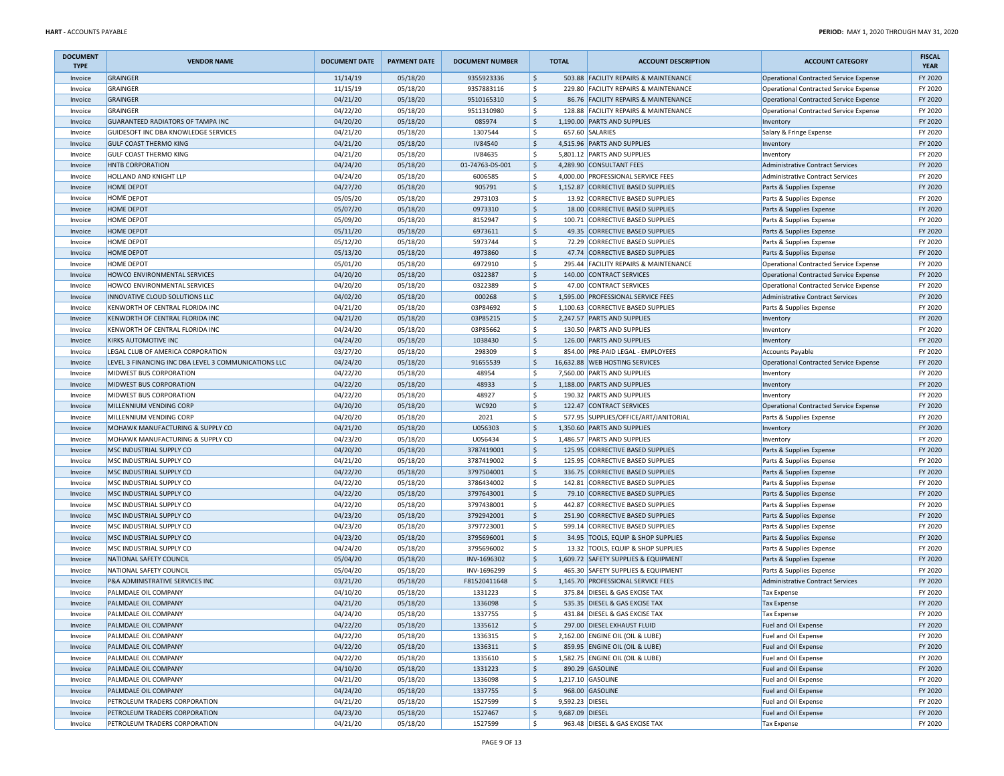| <b>DOCUMENT</b><br><b>TYPE</b> | <b>VENDOR NAME</b>                                   | <b>DOCUMENT DATE</b> | <b>PAYMENT DATE</b> | <b>DOCUMENT NUMBER</b> |                    | <b>TOTAL</b>    | <b>ACCOUNT DESCRIPTION</b>            | <b>ACCOUNT CATEGORY</b>                       | <b>FISCAL</b><br><b>YEAR</b> |
|--------------------------------|------------------------------------------------------|----------------------|---------------------|------------------------|--------------------|-----------------|---------------------------------------|-----------------------------------------------|------------------------------|
| Invoice                        | <b>GRAINGER</b>                                      | 11/14/19             | 05/18/20            | 9355923336             | \$                 |                 | 503.88 FACILITY REPAIRS & MAINTENANCE | <b>Operational Contracted Service Expense</b> | FY 2020                      |
| Invoice                        | <b>GRAINGER</b>                                      | 11/15/19             | 05/18/20            | 9357883116             | \$                 |                 | 229.80 FACILITY REPAIRS & MAINTENANCE | <b>Operational Contracted Service Expense</b> | FY 2020                      |
| Invoice                        | GRAINGER                                             | 04/21/20             | 05/18/20            | 9510165310             | l\$                |                 | 86.76 FACILITY REPAIRS & MAINTENANCE  | <b>Operational Contracted Service Expense</b> | FY 2020                      |
| Invoice                        | <b>GRAINGER</b>                                      | 04/22/20             | 05/18/20            | 9511310980             | l\$                |                 | 128.88 FACILITY REPAIRS & MAINTENANCE | <b>Operational Contracted Service Expense</b> | FY 2020                      |
| Invoice                        | GUARANTEED RADIATORS OF TAMPA INC                    | 04/20/20             | 05/18/20            | 085974                 | l\$                |                 | 1,190.00 PARTS AND SUPPLIES           | Inventory                                     | FY 2020                      |
| Invoice                        | GUIDESOFT INC DBA KNOWLEDGE SERVICES                 | 04/21/20             | 05/18/20            | 1307544                | l\$                |                 | 657.60 SALARIES                       | Salary & Fringe Expense                       | FY 2020                      |
| Invoice                        | <b>GULF COAST THERMO KING</b>                        | 04/21/20             | 05/18/20            | <b>IV84540</b>         | l\$                |                 | 4,515.96 PARTS AND SUPPLIES           | Inventory                                     | FY 2020                      |
| Invoice                        | <b>GULF COAST THERMO KING</b>                        | 04/21/20             | 05/18/20            | IV84635                | l\$                |                 | 5,801.12 PARTS AND SUPPLIES           | Inventory                                     | FY 2020                      |
| Invoice                        | HNTB CORPORATION                                     | 04/24/20             | 05/18/20            | 01-74763-DS-001        | \$                 |                 | 4,289.90 CONSULTANT FEES              | <b>Administrative Contract Services</b>       | FY 2020                      |
| Invoice                        | HOLLAND AND KNIGHT LLP                               | 04/24/20             | 05/18/20            | 6006585                | $\zeta$            |                 | 4,000.00 PROFESSIONAL SERVICE FEES    | <b>Administrative Contract Services</b>       | FY 2020                      |
| Invoice                        | HOME DEPOT                                           | 04/27/20             | 05/18/20            | 905791                 | S,                 |                 | 1,152.87 CORRECTIVE BASED SUPPLIES    | Parts & Supplies Expense                      | FY 2020                      |
| Invoice                        | HOME DEPOT                                           | 05/05/20             | 05/18/20            | 2973103                | l\$                |                 | 13.92 CORRECTIVE BASED SUPPLIES       | Parts & Supplies Expense                      | FY 2020                      |
| Invoice                        | HOME DEPOT                                           | 05/07/20             | 05/18/20            | 0973310                | S,                 |                 | 18.00 CORRECTIVE BASED SUPPLIES       | Parts & Supplies Expense                      | FY 2020                      |
| Invoice                        | HOME DEPOT                                           | 05/09/20             | 05/18/20            | 8152947                | l \$               |                 | 100.71 CORRECTIVE BASED SUPPLIES      | Parts & Supplies Expense                      | FY 2020                      |
| Invoice                        | HOME DEPOT                                           | 05/11/20             | 05/18/20            | 6973611                | l\$                |                 | 49.35 CORRECTIVE BASED SUPPLIES       | Parts & Supplies Expense                      | FY 2020                      |
| Invoice                        | HOME DEPOT                                           | 05/12/20             | 05/18/20            | 5973744                | l\$                |                 | 72.29 CORRECTIVE BASED SUPPLIES       | Parts & Supplies Expense                      | FY 2020                      |
| Invoice                        | HOME DEPOT                                           | 05/13/20             | 05/18/20            | 4973860                | l\$                |                 | 47.74 CORRECTIVE BASED SUPPLIES       | Parts & Supplies Expense                      | FY 2020                      |
| Invoice                        | HOME DEPOT                                           | 05/01/20             | 05/18/20            | 6972910                | \$                 |                 | 295.44 FACILITY REPAIRS & MAINTENANCE | <b>Operational Contracted Service Expense</b> | FY 2020                      |
| Invoice                        | HOWCO ENVIRONMENTAL SERVICES                         | 04/20/20             | 05/18/20            | 0322387                | S,                 |                 | 140.00 CONTRACT SERVICES              | <b>Operational Contracted Service Expense</b> | FY 2020                      |
| Invoice                        | HOWCO ENVIRONMENTAL SERVICES                         | 04/20/20             | 05/18/20            | 0322389                | l\$                |                 | 47.00 CONTRACT SERVICES               | <b>Operational Contracted Service Expense</b> | FY 2020                      |
| Invoice                        | INNOVATIVE CLOUD SOLUTIONS LLC                       | 04/02/20             | 05/18/20            | 000268                 | l\$                |                 | 1,595.00 PROFESSIONAL SERVICE FEES    | Administrative Contract Services              | FY 2020                      |
| Invoice                        | KENWORTH OF CENTRAL FLORIDA INC                      | 04/21/20             | 05/18/20            | 03P84692               | l\$                |                 | 1,100.63 CORRECTIVE BASED SUPPLIES    | Parts & Supplies Expense                      | FY 2020                      |
| Invoice                        | KENWORTH OF CENTRAL FLORIDA INC                      | 04/21/20             | 05/18/20            | 03P85215               | l\$                |                 | 2,247.57 PARTS AND SUPPLIES           | Inventory                                     | FY 2020                      |
| Invoice                        | KENWORTH OF CENTRAL FLORIDA INC                      | 04/24/20             | 05/18/20            | 03P85662               | l\$                |                 | 130.50 PARTS AND SUPPLIES             | Inventory                                     | FY 2020                      |
| Invoice                        | KIRKS AUTOMOTIVE INC                                 | 04/24/20             | 05/18/20            | 1038430                | l\$                |                 | 126.00 PARTS AND SUPPLIES             | Inventory                                     | FY 2020                      |
| Invoice                        | LEGAL CLUB OF AMERICA CORPORATION                    | 03/27/20             | 05/18/20            | 298309                 | \$                 |                 | 854.00 PRE-PAID LEGAL - EMPLOYEES     | <b>Accounts Payable</b>                       | FY 2020                      |
| Invoice                        | LEVEL 3 FINANCING INC DBA LEVEL 3 COMMUNICATIONS LLC | 04/24/20             | 05/18/20            | 91655539               | $\ddot{\phi}$      |                 | 16,632.88 WEB HOSTING SERVICES        | <b>Operational Contracted Service Expense</b> | FY 2020                      |
| Invoice                        | MIDWEST BUS CORPORATION                              | 04/22/20             | 05/18/20            | 48954                  | l\$                |                 | 7,560.00 PARTS AND SUPPLIES           | Inventory                                     | FY 2020                      |
| Invoice                        | MIDWEST BUS CORPORATION                              | 04/22/20             | 05/18/20            | 48933                  | l\$                |                 | 1,188.00 PARTS AND SUPPLIES           | Inventory                                     | FY 2020                      |
| Invoice                        | MIDWEST BUS CORPORATION                              | 04/22/20             | 05/18/20            | 48927                  | l\$                |                 | 190.32 PARTS AND SUPPLIES             | Inventory                                     | FY 2020                      |
| Invoice                        | MILLENNIUM VENDING CORP                              | 04/20/20             | 05/18/20            | <b>WC920</b>           | l\$                |                 | 122.47 CONTRACT SERVICES              | <b>Operational Contracted Service Expense</b> | FY 2020                      |
| Invoice                        | MILLENNIUM VENDING CORP                              | 04/20/20             | 05/18/20            | 2021                   | l\$                |                 | 577.95 SUPPLIES/OFFICE/ART/JANITORIAL | Parts & Supplies Expense                      | FY 2020                      |
| Invoice                        | MOHAWK MANUFACTURING & SUPPLY CO                     | 04/21/20             | 05/18/20            | U056303                | S,                 |                 | 1,350.60 PARTS AND SUPPLIES           | Inventory                                     | FY 2020                      |
| Invoice                        | MOHAWK MANUFACTURING & SUPPLY CO                     | 04/23/20             | 05/18/20            | U056434                | $\ddot{\varsigma}$ |                 | 1,486.57 PARTS AND SUPPLIES           | Inventory                                     | FY 2020                      |
| Invoice                        | MSC INDUSTRIAL SUPPLY CO                             | 04/20/20             | 05/18/20            | 3787419001             | S,                 |                 | 125.95 CORRECTIVE BASED SUPPLIES      | Parts & Supplies Expense                      | FY 2020                      |
| Invoice                        | MSC INDUSTRIAL SUPPLY CO                             | 04/21/20             | 05/18/20            | 3787419002             | l\$                | 125.95          | CORRECTIVE BASED SUPPLIES             | Parts & Supplies Expense                      | FY 2020                      |
| Invoice                        | MSC INDUSTRIAL SUPPLY CO                             | 04/22/20             | 05/18/20            | 3797504001             | S,                 |                 | 336.75 CORRECTIVE BASED SUPPLIES      | Parts & Supplies Expense                      | FY 2020                      |
| Invoice                        | MSC INDUSTRIAL SUPPLY CO                             | 04/22/20             | 05/18/20            | 3786434002             | S,                 |                 | 142.81 CORRECTIVE BASED SUPPLIES      | Parts & Supplies Expense                      | FY 2020                      |
| Invoice                        | MSC INDUSTRIAL SUPPLY CO                             | 04/22/20             | 05/18/20            | 3797643001             | l\$                |                 | 79.10 CORRECTIVE BASED SUPPLIES       | Parts & Supplies Expense                      | FY 2020                      |
| Invoice                        | MSC INDUSTRIAL SUPPLY CO                             | 04/22/20             | 05/18/20            | 3797438001             | l\$                |                 | 442.87 CORRECTIVE BASED SUPPLIES      | Parts & Supplies Expense                      | FY 2020                      |
| Invoice                        | MSC INDUSTRIAL SUPPLY CO                             | 04/23/20             | 05/18/20            | 3792942001             | l\$                |                 | 251.90 CORRECTIVE BASED SUPPLIES      | Parts & Supplies Expense                      | FY 2020                      |
| Invoice                        | MSC INDUSTRIAL SUPPLY CO                             | 04/23/20             | 05/18/20            | 3797723001             | l\$                |                 | 599.14 CORRECTIVE BASED SUPPLIES      | Parts & Supplies Expense                      | FY 2020                      |
| Invoice                        | MSC INDUSTRIAL SUPPLY CO                             | 04/23/20             | 05/18/20            | 3795696001             | S,                 |                 | 34.95 TOOLS, EQUIP & SHOP SUPPLIES    | Parts & Supplies Expense                      | FY 2020                      |
| Invoice                        | MSC INDUSTRIAL SUPPLY CO                             | 04/24/20             | 05/18/20            | 3795696002             | \$                 |                 | 13.32 TOOLS, EQUIP & SHOP SUPPLIES    | Parts & Supplies Expense                      | FY 2020                      |
| Invoice                        | NATIONAL SAFETY COUNCIL                              | 05/04/20             | 05/18/20            | INV-1696302            | l\$                |                 | 1,609.72 SAFETY SUPPLIES & EQUIPMENT  | Parts & Supplies Expense                      | FY 2020                      |
| Invoice                        | NATIONAL SAFETY COUNCIL                              | 05/04/20             | 05/18/20            | INV-1696299            | l\$                |                 | 465.30 SAFETY SUPPLIES & EQUIPMENT    | Parts & Supplies Expense                      | FY 2020                      |
| Invoice                        | P&A ADMINISTRATIVE SERVICES INC                      | 03/21/20             | 05/18/20            | F81520411648           | l\$                |                 | 1,145.70 PROFESSIONAL SERVICE FEES    | Administrative Contract Services              | FY 2020                      |
| Invoice                        | PALMDALE OIL COMPANY                                 | 04/10/20             | 05/18/20            | 1331223                | \$                 |                 | 375.84 DIESEL & GAS EXCISE TAX        | <b>Tax Expense</b>                            | FY 2020                      |
| Invoice                        | PALMDALE OIL COMPANY                                 | 04/21/20             | 05/18/20            | 1336098                | l\$                |                 | 535.35 DIESEL & GAS EXCISE TAX        | <b>Tax Expense</b>                            | FY 2020                      |
| Invoice                        | PALMDALE OIL COMPANY                                 | 04/24/20             | 05/18/20            | 1337755                | ١\$                |                 | 431.84 DIESEL & GAS EXCISE TAX        | <b>Tax Expense</b>                            | FY 2020                      |
| Invoice                        | PALMDALE OIL COMPANY                                 | 04/22/20             | 05/18/20            | 1335612                | S,                 |                 | 297.00 DIESEL EXHAUST FLUID           | Fuel and Oil Expense                          | FY 2020                      |
| Invoice                        | PALMDALE OIL COMPANY                                 | 04/22/20             | 05/18/20            | 1336315                | \$                 |                 | 2,162.00 ENGINE OIL (OIL & LUBE)      | Fuel and Oil Expense                          | FY 2020                      |
| Invoice                        | PALMDALE OIL COMPANY                                 | 04/22/20             | 05/18/20            | 1336311                | l\$                |                 | 859.95 ENGINE OIL (OIL & LUBE)        | Fuel and Oil Expense                          | FY 2020                      |
| Invoice                        | PALMDALE OIL COMPANY                                 | 04/22/20             | 05/18/20            | 1335610                | l\$                |                 | 1,582.75 ENGINE OIL (OIL & LUBE)      | Fuel and Oil Expense                          | FY 2020                      |
| Invoice                        | PALMDALE OIL COMPANY                                 | 04/10/20             | 05/18/20            | 1331223                | l\$                |                 | 890.29 GASOLINE                       | Fuel and Oil Expense                          | FY 2020                      |
| Invoice                        | PALMDALE OIL COMPANY                                 | 04/21/20             | 05/18/20            | 1336098                | l\$                |                 | 1,217.10 GASOLINE                     | Fuel and Oil Expense                          | FY 2020                      |
| Invoice                        | PALMDALE OIL COMPANY                                 | 04/24/20             | 05/18/20            | 1337755                | S,                 |                 | 968.00 GASOLINE                       | Fuel and Oil Expense                          | FY 2020                      |
| Invoice                        | PETROLEUM TRADERS CORPORATION                        | 04/21/20             | 05/18/20            | 1527599                | S,                 | 9,592.23 DIESEL |                                       | Fuel and Oil Expense                          | FY 2020                      |
| Invoice                        | PETROLEUM TRADERS CORPORATION                        | 04/23/20             | 05/18/20            | 1527467                | S,                 | 9,687.09 DIESEL |                                       | Fuel and Oil Expense                          | FY 2020                      |
| Invoice                        | PETROLEUM TRADERS CORPORATION                        | 04/21/20             | 05/18/20            | 1527599                | l \$               |                 | 963.48 DIESEL & GAS EXCISE TAX        | <b>Tax Expense</b>                            | FY 2020                      |
|                                |                                                      |                      |                     |                        |                    |                 |                                       |                                               |                              |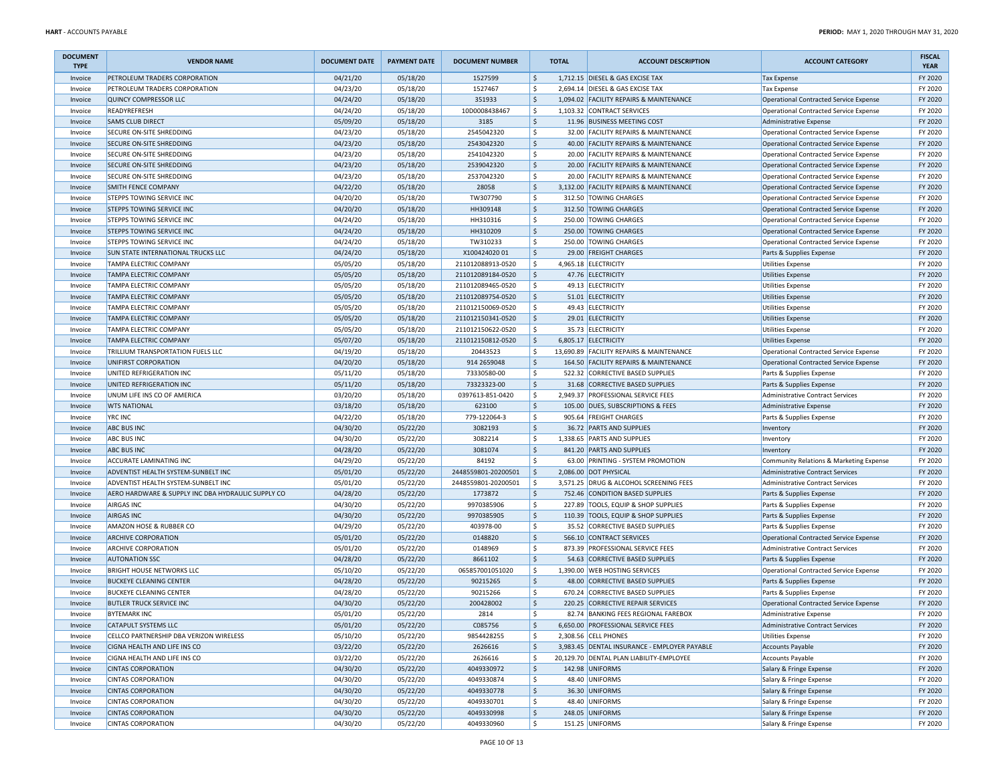| <b>DOCUMENT</b><br><b>TYPE</b> | <b>VENDOR NAME</b>                                 | <b>DOCUMENT DATE</b> | <b>PAYMENT DATE</b> | <b>DOCUMENT NUMBER</b> |                     | <b>TOTAL</b> | <b>ACCOUNT DESCRIPTION</b>                   | <b>ACCOUNT CATEGORY</b>                            | <b>FISCAL</b><br><b>YEAR</b> |
|--------------------------------|----------------------------------------------------|----------------------|---------------------|------------------------|---------------------|--------------|----------------------------------------------|----------------------------------------------------|------------------------------|
| Invoice                        | PETROLEUM TRADERS CORPORATION                      | 04/21/20             | 05/18/20            | 1527599                | \$                  |              | 1,712.15 DIESEL & GAS EXCISE TAX             | <b>Tax Expense</b>                                 | FY 2020                      |
| Invoice                        | PETROLEUM TRADERS CORPORATION                      | 04/23/20             | 05/18/20            | 1527467                | \$                  |              | 2,694.14 DIESEL & GAS EXCISE TAX             | <b>Tax Expense</b>                                 | FY 2020                      |
| Invoice                        | QUINCY COMPRESSOR LLC                              | 04/24/20             | 05/18/20            | 351933                 | $\sf S$             |              | 1,094.02 FACILITY REPAIRS & MAINTENANCE      | Operational Contracted Service Expense             | FY 2020                      |
| Invoice                        | READYREFRESH                                       | 04/24/20             | 05/18/20            | 10D0008438467          | \$                  |              | 1,103.32 CONTRACT SERVICES                   | Operational Contracted Service Expense             | FY 2020                      |
| Invoice                        | <b>SAMS CLUB DIRECT</b>                            | 05/09/20             | 05/18/20            | 3185                   | $\ddot{\mathsf{S}}$ |              | 11.96 BUSINESS MEETING COST                  | Administrative Expense                             | FY 2020                      |
| Invoice                        | SECURE ON-SITE SHREDDING                           | 04/23/20             | 05/18/20            | 2545042320             | \$                  |              | 32.00 FACILITY REPAIRS & MAINTENANCE         | Operational Contracted Service Expense             | FY 2020                      |
| Invoice                        | <b>SECURE ON-SITE SHREDDING</b>                    | 04/23/20             | 05/18/20            | 2543042320             | $\frac{1}{2}$       |              | 40.00 FACILITY REPAIRS & MAINTENANCE         | Operational Contracted Service Expense             | FY 2020                      |
| Invoice                        | <b>SECURE ON-SITE SHREDDING</b>                    | 04/23/20             | 05/18/20            | 2541042320             | \$                  |              | 20.00 FACILITY REPAIRS & MAINTENANCE         | Operational Contracted Service Expense             | FY 2020                      |
| Invoice                        | SECURE ON-SITE SHREDDING                           | 04/23/20             | 05/18/20            | 2539042320             | \$                  |              | 20.00 FACILITY REPAIRS & MAINTENANCE         | Operational Contracted Service Expense             | FY 2020                      |
| Invoice                        | <b>SECURE ON-SITE SHREDDING</b>                    | 04/23/20             | 05/18/20            | 2537042320             | \$                  |              | 20.00 FACILITY REPAIRS & MAINTENANCE         | Operational Contracted Service Expense             | FY 2020                      |
| Invoice                        | <b>SMITH FENCE COMPANY</b>                         | 04/22/20             | 05/18/20            | 28058                  | \$                  |              | 3,132.00 FACILITY REPAIRS & MAINTENANCE      | Operational Contracted Service Expense             | FY 2020                      |
| Invoice                        | STEPPS TOWING SERVICE INC                          | 04/20/20             | 05/18/20            | TW307790               | \$                  |              | 312.50 TOWING CHARGES                        | Operational Contracted Service Expense             | FY 2020                      |
| Invoice                        | <b>STEPPS TOWING SERVICE INC</b>                   | 04/20/20             | 05/18/20            | HH309148               | $\ddot{\mathsf{S}}$ |              | 312.50 TOWING CHARGES                        | Operational Contracted Service Expense             | FY 2020                      |
| Invoice                        | <b>STEPPS TOWING SERVICE INC</b>                   | 04/24/20             | 05/18/20            | HH310316               | \$                  |              | 250.00 TOWING CHARGES                        | Operational Contracted Service Expense             | FY 2020                      |
| Invoice                        | <b>STEPPS TOWING SERVICE INC</b>                   | 04/24/20             | 05/18/20            | HH310209               | $\ddot{\mathsf{S}}$ |              | 250.00 TOWING CHARGES                        | Operational Contracted Service Expense             | FY 2020                      |
| Invoice                        | <b>STEPPS TOWING SERVICE INC</b>                   | 04/24/20             | 05/18/20            | TW310233               | \$                  |              | 250.00 TOWING CHARGES                        | Operational Contracted Service Expense             | FY 2020                      |
| Invoice                        | <b>SUN STATE INTERNATIONAL TRUCKS LLC</b>          | 04/24/20             | 05/18/20            | X10042402001           | $\frac{1}{2}$       |              | 29.00 FREIGHT CHARGES                        | Parts & Supplies Expense                           | FY 2020                      |
| Invoice                        | TAMPA ELECTRIC COMPANY                             | 05/05/20             | 05/18/20            | 211012088913-0520      | \$                  |              | 4,965.18 ELECTRICITY                         | <b>Utilities Expense</b>                           | FY 2020                      |
| Invoice                        | <b>TAMPA ELECTRIC COMPANY</b>                      | 05/05/20             | 05/18/20            | 211012089184-0520      | \$                  |              | 47.76 ELECTRICITY                            | Utilities Expense                                  | FY 2020                      |
| Invoice                        | TAMPA ELECTRIC COMPANY                             | 05/05/20             | 05/18/20            | 211012089465-0520      | \$                  |              | 49.13 ELECTRICITY                            | <b>Utilities Expense</b>                           | FY 2020                      |
| Invoice                        | <b>TAMPA ELECTRIC COMPANY</b>                      | 05/05/20             | 05/18/20            | 211012089754-0520      | $\mathsf{\hat{S}}$  |              | 51.01 ELECTRICITY                            | <b>Utilities Expense</b>                           | FY 2020                      |
| Invoice                        | <b>TAMPA ELECTRIC COMPANY</b>                      | 05/05/20             | 05/18/20            | 211012150069-0520      | \$                  |              | 49.43 ELECTRICITY                            | <b>Utilities Expense</b>                           | FY 2020                      |
| Invoice                        | <b>TAMPA ELECTRIC COMPANY</b>                      | 05/05/20             | 05/18/20            | 211012150341-0520      | \$                  |              | 29.01 ELECTRICITY                            | <b>Utilities Expense</b>                           | FY 2020                      |
| Invoice                        | <b>TAMPA ELECTRIC COMPANY</b>                      | 05/05/20             | 05/18/20            | 211012150622-0520      | \$                  |              | 35.73 ELECTRICITY                            | <b>Utilities Expense</b>                           | FY 2020                      |
| Invoice                        | <b>TAMPA ELECTRIC COMPANY</b>                      | 05/07/20             | 05/18/20            | 211012150812-0520      | $\ddot{\phi}$       |              | 6.805.17 ELECTRICITY                         | Utilities Expense                                  | FY 2020                      |
| Invoice                        | TRILLIUM TRANSPORTATION FUELS LLC                  | 04/19/20             | 05/18/20            | 20443523               | \$                  |              | 13,690.89 FACILITY REPAIRS & MAINTENANCE     | Operational Contracted Service Expense             | FY 2020                      |
| Invoice                        | UNIFIRST CORPORATION                               | 04/20/20             | 05/18/20            | 914 2659048            | \$                  |              | 164.50 FACILITY REPAIRS & MAINTENANCE        | Operational Contracted Service Expense             | FY 2020                      |
| Invoice                        | UNITED REFRIGERATION INC                           | 05/11/20             | 05/18/20            | 73330580-00            | \$                  |              | 522.32 CORRECTIVE BASED SUPPLIES             | Parts & Supplies Expense                           | FY 2020                      |
| Invoice                        | UNITED REFRIGERATION INC                           | 05/11/20             | 05/18/20            | 73323323-00            | $\ddot{\mathsf{S}}$ |              | 31.68 CORRECTIVE BASED SUPPLIES              | Parts & Supplies Expense                           | FY 2020                      |
| Invoice                        | UNUM LIFE INS CO OF AMERICA                        | 03/20/20             | 05/18/20            | 0397613-851-0420       | \$                  |              | 2,949.37 PROFESSIONAL SERVICE FEES           | Administrative Contract Services                   | FY 2020                      |
| Invoice                        | <b>WTS NATIONAL</b>                                | 03/18/20             | 05/18/20            | 623100                 | $\ddot{\phi}$       |              | 105.00 DUES, SUBSCRIPTIONS & FEES            | <b>Administrative Expense</b>                      | FY 2020                      |
| Invoice                        | <b>YRC INC</b>                                     | 04/22/20             | 05/18/20            | 779-122064-3           | \$                  | 905.64       | <b>FREIGHT CHARGES</b>                       | Parts & Supplies Expense                           | FY 2020                      |
| Invoice                        | <b>ABC BUS INC</b>                                 | 04/30/20             | 05/22/20            | 3082193                | $\ddot{\phi}$       |              | 36.72 PARTS AND SUPPLIES                     | Inventory                                          | FY 2020                      |
| Invoice                        | <b>ABC BUS INC</b>                                 | 04/30/20             | 05/22/20            | 3082214                | \$                  |              | 1,338.65 PARTS AND SUPPLIES                  | Inventory                                          | FY 2020                      |
| Invoice                        | <b>ABC BUS INC</b>                                 | 04/28/20             | 05/22/20            | 3081074                | \$                  |              | 841.20 PARTS AND SUPPLIES                    | Inventory                                          | FY 2020                      |
| Invoice                        | <b>ACCURATE LAMINATING INC</b>                     | 04/29/20             | 05/22/20            | 84192                  | \$                  |              | 63.00 PRINTING - SYSTEM PROMOTION            | Community Relations & Marketing Expense            | FY 2020                      |
| Invoice                        | <b>ADVENTIST HEALTH SYSTEM-SUNBELT INC</b>         | 05/01/20             | 05/22/20            | 2448559801-20200501    | $\sf S$             |              | 2,086.00 DOT PHYSICAL                        | Administrative Contract Services                   | FY 2020                      |
| Invoice                        | ADVENTIST HEALTH SYSTEM-SUNBELT INC                | 05/01/20             | 05/22/20            | 2448559801-20200501    | \$                  |              | 3,571.25 DRUG & ALCOHOL SCREENING FEES       | Administrative Contract Services                   | FY 2020                      |
| Invoice                        | AERO HARDWARE & SUPPLY INC DBA HYDRAULIC SUPPLY CO | 04/28/20             | 05/22/20            | 1773872                | \$                  |              | 752.46 CONDITION BASED SUPPLIES              | Parts & Supplies Expense                           | FY 2020                      |
| Invoice                        | <b>AIRGAS INC</b>                                  | 04/30/20             | 05/22/20            | 9970385906             | \$                  |              | 227.89 TOOLS, EQUIP & SHOP SUPPLIES          | Parts & Supplies Expense                           | FY 2020                      |
| Invoice                        | <b>AIRGAS INC</b>                                  | 04/30/20             | 05/22/20            | 9970385905             | $\ddot{\phi}$       |              | 110.39 TOOLS, EQUIP & SHOP SUPPLIES          | Parts & Supplies Expense                           | FY 2020                      |
| Invoice                        | AMAZON HOSE & RUBBER CO                            | 04/29/20             | 05/22/20            | 403978-00              | \$                  |              | 35.52 CORRECTIVE BASED SUPPLIES              | Parts & Supplies Expense                           | FY 2020                      |
| Invoice                        | <b>ARCHIVE CORPORATION</b>                         | 05/01/20             | 05/22/20            | 0148820                | \$                  |              | 566.10 CONTRACT SERVICES                     | Operational Contracted Service Expense             | FY 2020                      |
| Invoice                        | <b>ARCHIVE CORPORATION</b>                         | 05/01/20             | 05/22/20            | 0148969                | \$                  |              | 873.39 PROFESSIONAL SERVICE FEES             | <b>Administrative Contract Services</b>            | FY 2020                      |
| Invoice                        | <b>AUTONATION SSC</b>                              | 04/28/20             | 05/22/20            | 8661102                | $\sf S$             |              | 54.63 CORRECTIVE BASED SUPPLIES              | Parts & Supplies Expense                           | FY 2020                      |
| Invoice                        | <b>BRIGHT HOUSE NETWORKS LLC</b>                   | 05/10/20             | 05/22/20            | 065857001051020        | \$                  |              | 1,390.00 WEB HOSTING SERVICES                | Operational Contracted Service Expense             | FY 2020                      |
| Invoice                        | <b>BUCKEYE CLEANING CENTER</b>                     | 04/28/20             | 05/22/20            | 90215265               | $\ddot{\phi}$       |              | 48.00 CORRECTIVE BASED SUPPLIES              | Parts & Supplies Expense                           | FY 2020                      |
| Invoice                        | <b>BUCKEYE CLEANING CENTER</b>                     | 04/28/20             | 05/22/20            | 90215266               | \$                  |              | 670.24 CORRECTIVE BASED SUPPLIES             | Parts & Supplies Expense                           | FY 2020                      |
| Invoice                        | <b>BUTLER TRUCK SERVICE INC</b>                    | 04/30/20             | 05/22/20            | 200428002              | $\ddot{\phi}$       |              | 220.25 CORRECTIVE REPAIR SERVICES            | Operational Contracted Service Expense             | FY 2020                      |
| Invoice                        | <b>BYTEMARK INC</b>                                | 05/01/20             | 05/22/20            | 2814                   | \$                  |              | 82.74 BANKING FEES REGIONAL FAREBOX          | Administrative Expense                             | FY 2020                      |
| Invoice                        | <b>CATAPULT SYSTEMS LLC</b>                        | 05/01/20             | 05/22/20            | C085756                | \$                  |              | 6,650.00 PROFESSIONAL SERVICE FEES           | Administrative Contract Services                   | FY 2020                      |
| Invoice                        | CELLCO PARTNERSHIP DBA VERIZON WIRELESS            | 05/10/20             | 05/22/20            | 9854428255             | \$                  |              | 2,308.56 CELL PHONES                         | <b>Utilities Expense</b>                           | FY 2020                      |
| Invoice                        | CIGNA HEALTH AND LIFE INS CO                       | 03/22/20             | 05/22/20            | 2626616                | $\sf S$             |              | 3,983.45 DENTAL INSURANCE - EMPLOYER PAYABLE | <b>Accounts Payable</b>                            | FY 2020                      |
| Invoice                        | CIGNA HEALTH AND LIFE INS CO                       | 03/22/20             | 05/22/20            | 2626616                | \$                  |              | 20,129.70 DENTAL PLAN LIABILITY-EMPLOYEE     | <b>Accounts Payable</b>                            | FY 2020                      |
| Invoice                        | <b>CINTAS CORPORATION</b>                          | 04/30/20             | 05/22/20            | 4049330972             | $\ddot{\phi}$       |              | 142.98 UNIFORMS                              | Salary & Fringe Expense                            | FY 2020                      |
|                                | <b>CINTAS CORPORATION</b>                          | 04/30/20             | 05/22/20            | 4049330874             | \$                  |              | 48.40 UNIFORMS                               |                                                    | FY 2020                      |
| Invoice<br>Invoice             | <b>CINTAS CORPORATION</b>                          | 04/30/20             | 05/22/20            | 4049330778             | $\ddot{\phi}$       |              | 36.30 UNIFORMS                               | Salary & Fringe Expense<br>Salary & Fringe Expense | FY 2020                      |
|                                | <b>CINTAS CORPORATION</b>                          | 04/30/20             | 05/22/20            | 4049330701             | \$                  |              | 48.40 UNIFORMS                               |                                                    | FY 2020                      |
| Invoice<br>Invoice             | <b>CINTAS CORPORATION</b>                          | 04/30/20             | 05/22/20            | 4049330998             | \$                  |              | 248.05 UNIFORMS                              | Salary & Fringe Expense<br>Salary & Fringe Expense | FY 2020                      |
| Invoice                        | <b>CINTAS CORPORATION</b>                          | 04/30/20             | 05/22/20            | 4049330960             | \$                  |              | 151.25 UNIFORMS                              | Salary & Fringe Expense                            | FY 2020                      |
|                                |                                                    |                      |                     |                        |                     |              |                                              |                                                    |                              |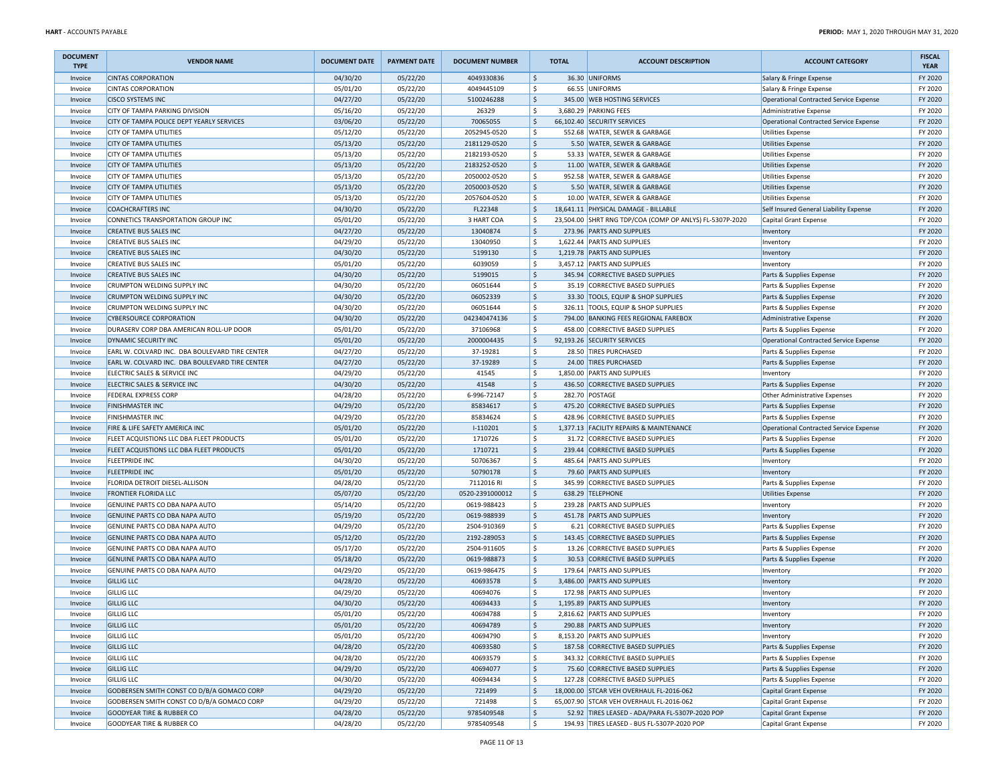| <b>DOCUMENT</b><br><b>TYPE</b> | <b>VENDOR NAME</b>                             | <b>DOCUMENT DATE</b> | <b>PAYMENT DATE</b> | <b>DOCUMENT NUMBER</b> |                           | <b>TOTAL</b> | <b>ACCOUNT DESCRIPTION</b>                                          | <b>ACCOUNT CATEGORY</b>                       | <b>FISCAL</b><br><b>YEAR</b> |
|--------------------------------|------------------------------------------------|----------------------|---------------------|------------------------|---------------------------|--------------|---------------------------------------------------------------------|-----------------------------------------------|------------------------------|
| Invoice                        | <b>CINTAS CORPORATION</b>                      | 04/30/20             | 05/22/20            | 4049330836             | $\frac{1}{2}$             |              | 36.30 UNIFORMS                                                      | Salary & Fringe Expense                       | FY 2020                      |
| Invoice                        | <b>CINTAS CORPORATION</b>                      | 05/01/20             | 05/22/20            | 4049445109             | \$                        |              | 66.55 UNIFORMS                                                      | Salary & Fringe Expense                       | FY 2020                      |
| Invoice                        | <b>CISCO SYSTEMS INC</b>                       | 04/27/20             | 05/22/20            | 5100246288             | $\ddot{\mathsf{S}}$       |              | 345.00 WEB HOSTING SERVICES                                         | Operational Contracted Service Expense        | FY 2020                      |
| Invoice                        | CITY OF TAMPA PARKING DIVISION                 | 05/16/20             | 05/22/20            | 26329                  | \$                        |              | 3,680.29 PARKING FEES                                               | Administrative Expense                        | FY 2020                      |
| Invoice                        | CITY OF TAMPA POLICE DEPT YEARLY SERVICES      | 03/06/20             | 05/22/20            | 70065055               | $\frac{1}{2}$             |              | 66,102.40 SECURITY SERVICES                                         | Operational Contracted Service Expense        | FY 2020                      |
| Invoice                        | <b>CITY OF TAMPA UTILITIES</b>                 | 05/12/20             | 05/22/20            | 2052945-0520           | \$                        |              | 552.68 WATER, SEWER & GARBAGE                                       | <b>Utilities Expense</b>                      | FY 2020                      |
| Invoice                        | <b>CITY OF TAMPA UTILITIES</b>                 | 05/13/20             | 05/22/20            | 2181129-0520           | \$                        |              | 5.50 WATER, SEWER & GARBAGE                                         | <b>Utilities Expense</b>                      | FY 2020                      |
| Invoice                        | <b>CITY OF TAMPA UTILITIES</b>                 | 05/13/20             | 05/22/20            | 2182193-0520           | \$                        |              | 53.33 WATER, SEWER & GARBAGE                                        | <b>Utilities Expense</b>                      | FY 2020                      |
| Invoice                        | <b>CITY OF TAMPA UTILITIES</b>                 | 05/13/20             | 05/22/20            | 2183252-0520           | $\frac{1}{2}$             |              | 11.00 WATER, SEWER & GARBAGE                                        | <b>Utilities Expense</b>                      | FY 2020                      |
| Invoice                        | <b>CITY OF TAMPA UTILITIES</b>                 | 05/13/20             | 05/22/20            | 2050002-0520           | \$                        |              | 952.58 WATER, SEWER & GARBAGE                                       | <b>Utilities Expense</b>                      | FY 2020                      |
| Invoice                        | <b>CITY OF TAMPA UTILITIES</b>                 | 05/13/20             | 05/22/20            | 2050003-0520           | $\vert$ \$                |              | 5.50 WATER, SEWER & GARBAGE                                         | <b>Utilities Expense</b>                      | FY 2020                      |
| Invoice                        | <b>CITY OF TAMPA UTILITIES</b>                 | 05/13/20             | 05/22/20            | 2057604-0520           | \$                        |              | 10.00 WATER, SEWER & GARBAGE                                        | <b>Utilities Expense</b>                      | FY 2020                      |
| Invoice                        | <b>COACHCRAFTERS INC</b>                       | 04/30/20             | 05/22/20            | FL22348                | $\frac{1}{2}$             |              | 18,641.11 PHYSICAL DAMAGE - BILLABLE                                | Self Insured General Liability Expense        | FY 2020                      |
| Invoice                        | CONNETICS TRANSPORTATION GROUP INC             | 05/01/20             | 05/22/20            | 3 HART COA             | \$                        |              | 23,504.00 SHRT RNG TDP/COA (COMP OP ANLYS) FL-5307P-2020            | Capital Grant Expense                         | FY 2020                      |
| Invoice                        | <b>CREATIVE BUS SALES INC</b>                  | 04/27/20             | 05/22/20            | 13040874               | \$                        |              | 273.96 PARTS AND SUPPLIES                                           | Inventory                                     | FY 2020                      |
| Invoice                        | <b>CREATIVE BUS SALES INC</b>                  | 04/29/20             | 05/22/20            | 13040950               | \$                        |              | 1,622.44 PARTS AND SUPPLIES                                         | Inventory                                     | FY 2020                      |
| Invoice                        | <b>CREATIVE BUS SALES INC</b>                  | 04/30/20             | 05/22/20            | 5199130                | $\frac{1}{2}$             |              | 1,219.78 PARTS AND SUPPLIES                                         | Inventory                                     | FY 2020                      |
| Invoice                        | <b>CREATIVE BUS SALES INC</b>                  | 05/01/20             | 05/22/20            | 6039059                | \$                        |              | 3,457.12 PARTS AND SUPPLIES                                         | Inventory                                     | FY 2020                      |
| Invoice                        | <b>CREATIVE BUS SALES INC</b>                  | 04/30/20             | 05/22/20            | 5199015                | $\vert$ \$                |              | 345.94 CORRECTIVE BASED SUPPLIES                                    | Parts & Supplies Expense                      | FY 2020                      |
| Invoice                        | CRUMPTON WELDING SUPPLY INC                    | 04/30/20             | 05/22/20            | 06051644               | \$                        |              | 35.19 CORRECTIVE BASED SUPPLIES                                     | Parts & Supplies Expense                      | FY 2020                      |
| Invoice                        | CRUMPTON WELDING SUPPLY INC                    | 04/30/20             | 05/22/20            | 06052339               | $\frac{1}{2}$             |              | 33.30 TOOLS, EQUIP & SHOP SUPPLIES                                  | Parts & Supplies Expense                      | FY 2020                      |
| Invoice                        | CRUMPTON WELDING SUPPLY INC                    | 04/30/20             | 05/22/20            | 06051644               | \$                        |              | 326.11 TOOLS, EQUIP & SHOP SUPPLIES                                 | Parts & Supplies Expense                      | FY 2020                      |
| Invoice                        | <b>CYBERSOURCE CORPORATION</b>                 | 04/30/20             | 05/22/20            | 042340474136           | \$                        |              | 794.00 BANKING FEES REGIONAL FAREBOX                                | Administrative Expense                        | FY 2020                      |
| Invoice                        | DURASERV CORP DBA AMERICAN ROLL-UP DOOR        | 05/01/20             | 05/22/20            | 37106968               | \$                        |              | 458.00 CORRECTIVE BASED SUPPLIES                                    | Parts & Supplies Expense                      | FY 2020                      |
| Invoice                        | DYNAMIC SECURITY INC                           | 05/01/20             | 05/22/20            | 2000004435             | $\frac{1}{2}$             |              | 92,193.26 SECURITY SERVICES                                         | Operational Contracted Service Expense        | FY 2020                      |
| Invoice                        | EARL W. COLVARD INC. DBA BOULEVARD TIRE CENTER | 04/27/20             | 05/22/20            | 37-19281               | \$                        |              | 28.50 TIRES PURCHASED                                               | Parts & Supplies Expense                      | FY 2020                      |
| Invoice                        | EARL W. COLVARD INC. DBA BOULEVARD TIRE CENTER | 04/27/20             | 05/22/20            | 37-19289               | $\vert$ \$                |              | 24.00 TIRES PURCHASED                                               | Parts & Supplies Expense                      | FY 2020                      |
| Invoice                        | ELECTRIC SALES & SERVICE INC                   | 04/29/20             | 05/22/20            | 41545                  | \$                        |              | 1,850.00 PARTS AND SUPPLIES                                         |                                               | FY 2020                      |
| Invoice                        | ELECTRIC SALES & SERVICE INC                   | 04/30/20             | 05/22/20            | 41548                  | $\frac{1}{2}$             |              | 436.50 CORRECTIVE BASED SUPPLIES                                    | Inventory<br>Parts & Supplies Expense         | FY 2020                      |
| Invoice                        | <b>FEDERAL EXPRESS CORP</b>                    | 04/28/20             | 05/22/20            | 6-996-72147            | \$                        |              | 282.70 POSTAGE                                                      | Other Administrative Expenses                 | FY 2020                      |
|                                | <b>FINISHMASTER INC</b>                        |                      | 05/22/20            | 85834617               | \$                        |              | 475.20 CORRECTIVE BASED SUPPLIES                                    |                                               | FY 2020                      |
| Invoice<br>Invoice             | <b>FINISHMASTER INC</b>                        | 04/29/20             | 05/22/20            | 85834624               | \$                        |              | 428.96 CORRECTIVE BASED SUPPLIES                                    | Parts & Supplies Expense                      | FY 2020                      |
|                                |                                                | 04/29/20             |                     |                        | \$                        |              | 1,377.13 FACILITY REPAIRS & MAINTENANCE                             | Parts & Supplies Expense                      | FY 2020                      |
| Invoice                        | FIRE & LIFE SAFETY AMERICA INC                 | 05/01/20             | 05/22/20            | $I-110201$<br>1710726  | \$                        |              |                                                                     | <b>Operational Contracted Service Expense</b> | FY 2020                      |
| Invoice                        | FLEET ACQUISTIONS LLC DBA FLEET PRODUCTS       | 05/01/20<br>05/01/20 | 05/22/20            | 1710721                | $\frac{1}{2}$             |              | 31.72 CORRECTIVE BASED SUPPLIES<br>239.44 CORRECTIVE BASED SUPPLIES | Parts & Supplies Expense                      | FY 2020                      |
| Invoice                        | FLEET ACQUISTIONS LLC DBA FLEET PRODUCTS       |                      | 05/22/20            |                        | \$                        |              |                                                                     | Parts & Supplies Expense                      | FY 2020                      |
| Invoice                        | <b>FLEETPRIDE INC</b>                          | 04/30/20             | 05/22/20            | 50706367               |                           |              | 485.64 PARTS AND SUPPLIES                                           | Inventory                                     |                              |
| Invoice                        | <b>FLEETPRIDE INC</b>                          | 05/01/20             | 05/22/20            | 50790178               | $\frac{1}{2}$             |              | 79.60 PARTS AND SUPPLIES                                            | Inventory                                     | FY 2020                      |
| Invoice                        | FLORIDA DETROIT DIESEL-ALLISON                 | 04/28/20             | 05/22/20            | 7112016 RI             | \$                        |              | 345.99 CORRECTIVE BASED SUPPLIES                                    | Parts & Supplies Expense                      | FY 2020                      |
| Invoice                        | <b>FRONTIER FLORIDA LLC</b>                    | 05/07/20             | 05/22/20            | 0520-2391000012        | \$                        |              | 638.29 TELEPHONE                                                    | <b>Utilities Expense</b>                      | FY 2020                      |
| Invoice                        | GENUINE PARTS CO DBA NAPA AUTO                 | 05/14/20             | 05/22/20            | 0619-988423            | \$                        |              | 239.28 PARTS AND SUPPLIES                                           | Inventory                                     | FY 2020                      |
| Invoice                        | GENUINE PARTS CO DBA NAPA AUTO                 | 05/19/20             | 05/22/20            | 0619-988939            | $\boldsymbol{\mathsf{S}}$ |              | 451.78 PARTS AND SUPPLIES                                           | Inventory                                     | FY 2020                      |
| Invoice                        | GENUINE PARTS CO DBA NAPA AUTO                 | 04/29/20             | 05/22/20            | 2504-910369            | l \$                      |              | 6.21 CORRECTIVE BASED SUPPLIES                                      | Parts & Supplies Expense                      | FY 2020                      |
| Invoice                        | GENUINE PARTS CO DBA NAPA AUTO                 | 05/12/20             | 05/22/20            | 2192-289053            | $\frac{1}{2}$             |              | 143.45 CORRECTIVE BASED SUPPLIES                                    | Parts & Supplies Expense                      | FY 2020                      |
| Invoice                        | GENUINE PARTS CO DBA NAPA AUTO                 | 05/17/20             | 05/22/20            | 2504-911605            | \$                        |              | 13.26 CORRECTIVE BASED SUPPLIES                                     | Parts & Supplies Expense                      | FY 2020                      |
| Invoice                        | GENUINE PARTS CO DBA NAPA AUTO                 | 05/18/20             | 05/22/20            | 0619-988873            | $\frac{1}{2}$             |              | 30.53 CORRECTIVE BASED SUPPLIES                                     | Parts & Supplies Expense                      | FY 2020                      |
| Invoice                        | GENUINE PARTS CO DBA NAPA AUTO                 | 04/29/20             | 05/22/20            | 0619-986475            | \$                        |              | 179.64 PARTS AND SUPPLIES                                           | Inventory                                     | FY 2020                      |
| Invoice                        | <b>GILLIG LLC</b>                              | 04/28/20             | 05/22/20            | 40693578               | $\frac{1}{2}$             |              | 3,486.00 PARTS AND SUPPLIES                                         | Inventory                                     | FY 2020                      |
| Invoice                        | <b>GILLIG LLC</b>                              | 04/29/20             | 05/22/20            | 40694076               | $\mathsf{\$}$             |              | 172.98 PARTS AND SUPPLIES                                           | Inventory                                     | FY 2020                      |
| Invoice                        | <b>GILLIG LLC</b>                              | 04/30/20             | 05/22/20            | 40694433               | $\zeta$                   |              | 1,195.89 PARTS AND SUPPLIES                                         | Inventory                                     | FY 2020                      |
| Invoice                        | <b>GILLIG LLC</b>                              | 05/01/20             | 05/22/20            | 40694788               | \$                        |              | 2,816.62 PARTS AND SUPPLIES                                         | Inventory                                     | FY 2020                      |
| Invoice                        | <b>GILLIG LLC</b>                              | 05/01/20             | 05/22/20            | 40694789               | $\frac{1}{2}$             |              | 290.88 PARTS AND SUPPLIES                                           | Inventory                                     | FY 2020                      |
| Invoice                        | <b>GILLIG LLC</b>                              | 05/01/20             | 05/22/20            | 40694790               | \$                        |              | 8,153.20 PARTS AND SUPPLIES                                         | Inventory                                     | FY 2020                      |
| Invoice                        | <b>GILLIG LLC</b>                              | 04/28/20             | 05/22/20            | 40693580               | \$                        |              | 187.58 CORRECTIVE BASED SUPPLIES                                    | Parts & Supplies Expense                      | FY 2020                      |
| Invoice                        | <b>GILLIG LLC</b>                              | 04/28/20             | 05/22/20            | 40693579               | \$                        |              | 343.32 CORRECTIVE BASED SUPPLIES                                    | Parts & Supplies Expense                      | FY 2020                      |
| Invoice                        | <b>GILLIG LLC</b>                              | 04/29/20             | 05/22/20            | 40694077               | $\frac{1}{2}$             |              | 75.60 CORRECTIVE BASED SUPPLIES                                     | Parts & Supplies Expense                      | FY 2020                      |
| Invoice                        | <b>GILLIG LLC</b>                              | 04/30/20             | 05/22/20            | 40694434               | \$                        |              | 127.28 CORRECTIVE BASED SUPPLIES                                    | Parts & Supplies Expense                      | FY 2020                      |
| Invoice                        | GODBERSEN SMITH CONST CO D/B/A GOMACO CORP     | 04/29/20             | 05/22/20            | 721499                 | \$                        |              | 18,000.00 STCAR VEH OVERHAUL FL-2016-062                            | Capital Grant Expense                         | FY 2020                      |
| Invoice                        | GODBERSEN SMITH CONST CO D/B/A GOMACO CORP     | 04/29/20             | 05/22/20            | 721498                 | \$                        |              | 65,007.90 STCAR VEH OVERHAUL FL-2016-062                            | Capital Grant Expense                         | FY 2020                      |
| Invoice                        | GOODYEAR TIRE & RUBBER CO                      | 04/28/20             | 05/22/20            | 9785409548             | $\frac{1}{2}$             |              | 52.92 TIRES LEASED - ADA/PARA FL-5307P-2020 POP                     | Capital Grant Expense                         | FY 2020                      |
| Invoice                        | GOODYEAR TIRE & RUBBER CO                      | 04/28/20             | 05/22/20            | 9785409548             | S.                        |              | 194.93 TIRES LEASED - BUS FL-5307P-2020 POP                         | Capital Grant Expense                         | FY 2020                      |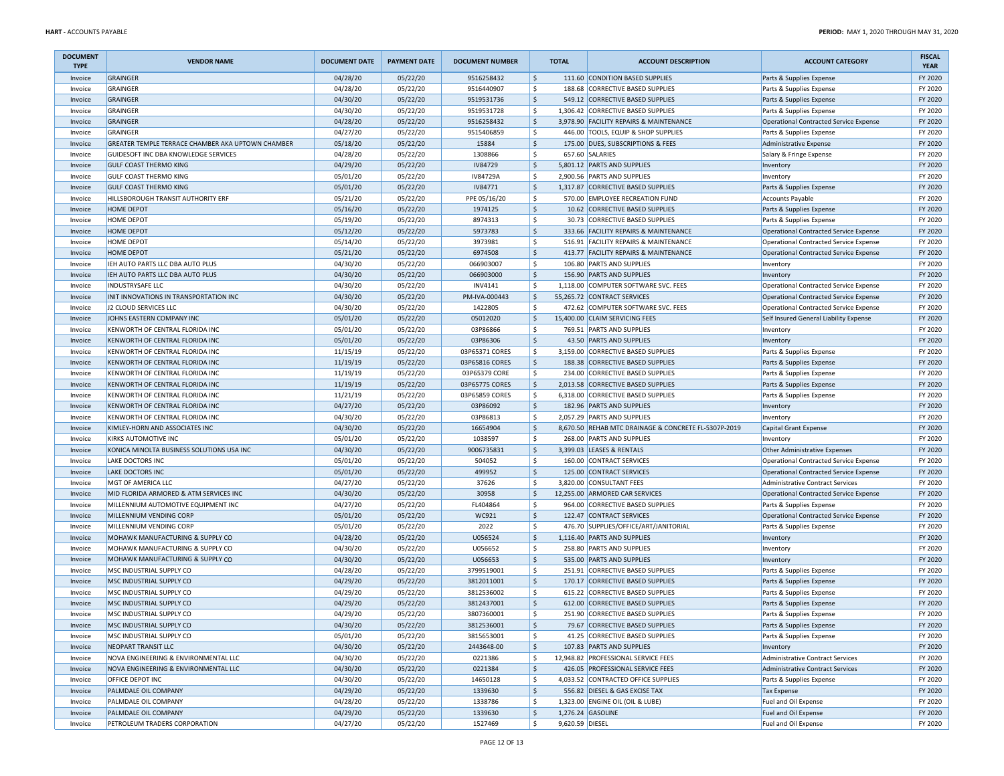| <b>DOCUMENT</b><br><b>TYPE</b> | <b>VENDOR NAME</b>                                       | <b>DOCUMENT DATE</b> | <b>PAYMENT DATE</b> | <b>DOCUMENT NUMBER</b> |                     | <b>TOTAL</b>    | <b>ACCOUNT DESCRIPTION</b>                           | <b>ACCOUNT CATEGORY</b>                | <b>FISCAL</b><br><b>YEAR</b> |
|--------------------------------|----------------------------------------------------------|----------------------|---------------------|------------------------|---------------------|-----------------|------------------------------------------------------|----------------------------------------|------------------------------|
| Invoice                        | GRAINGER                                                 | 04/28/20             | 05/22/20            | 9516258432             | \$                  |                 | 111.60 CONDITION BASED SUPPLIES                      | Parts & Supplies Expense               | FY 2020                      |
| Invoice                        | GRAINGER                                                 | 04/28/20             | 05/22/20            | 9516440907             | \$                  |                 | 188.68 CORRECTIVE BASED SUPPLIES                     | Parts & Supplies Expense               | FY 2020                      |
| Invoice                        | GRAINGER                                                 | 04/30/20             | 05/22/20            | 9519531736             | $\frac{1}{2}$       |                 | 549.12 CORRECTIVE BASED SUPPLIES                     | Parts & Supplies Expense               | FY 2020                      |
| Invoice                        | <b>GRAINGER</b>                                          | 04/30/20             | 05/22/20            | 9519531728             | \$                  |                 | 1,306.42 CORRECTIVE BASED SUPPLIES                   | Parts & Supplies Expense               | FY 2020                      |
| Invoice                        | GRAINGER                                                 | 04/28/20             | 05/22/20            | 9516258432             | $\frac{1}{2}$       |                 | 3,978.90 FACILITY REPAIRS & MAINTENANCE              | Operational Contracted Service Expense | FY 2020                      |
| Invoice                        | <b>GRAINGER</b>                                          | 04/27/20             | 05/22/20            | 9515406859             | \$                  |                 | 446.00 TOOLS, EQUIP & SHOP SUPPLIES                  | Parts & Supplies Expense               | FY 2020                      |
| Invoice                        | <b>GREATER TEMPLE TERRACE CHAMBER AKA UPTOWN CHAMBER</b> | 05/18/20             | 05/22/20            | 15884                  | $\frac{1}{2}$       |                 | 175.00 DUES, SUBSCRIPTIONS & FEES                    | Administrative Expense                 | FY 2020                      |
| Invoice                        | GUIDESOFT INC DBA KNOWLEDGE SERVICES                     | 04/28/20             | 05/22/20            | 1308866                | \$                  |                 | 657.60 SALARIES                                      | Salary & Fringe Expense                | FY 2020                      |
| Invoice                        | <b>GULF COAST THERMO KING</b>                            | 04/29/20             | 05/22/20            | <b>IV84729</b>         | \$                  |                 | 5,801.12 PARTS AND SUPPLIES                          | Inventory                              | FY 2020                      |
| Invoice                        | <b>GULF COAST THERMO KING</b>                            | 05/01/20             | 05/22/20            | IV84729A               | \$                  |                 | 2,900.56 PARTS AND SUPPLIES                          | Inventory                              | FY 2020                      |
| Invoice                        | <b>GULF COAST THERMO KING</b>                            | 05/01/20             | 05/22/20            | IV84771                | $\frac{1}{2}$       |                 | 1,317.87 CORRECTIVE BASED SUPPLIES                   | Parts & Supplies Expense               | FY 2020                      |
| Invoice                        | HILLSBOROUGH TRANSIT AUTHORITY ERF                       | 05/21/20             | 05/22/20            | PPE 05/16/20           | \$                  |                 | 570.00 EMPLOYEE RECREATION FUND                      | <b>Accounts Payable</b>                | FY 2020                      |
| Invoice                        | <b>HOME DEPOT</b>                                        | 05/16/20             | 05/22/20            | 1974125                | S.                  |                 | 10.62 CORRECTIVE BASED SUPPLIES                      | Parts & Supplies Expense               | FY 2020                      |
| Invoice                        | <b>HOME DEPOT</b>                                        | 05/19/20             | 05/22/20            | 8974313                | \$                  |                 | 30.73 CORRECTIVE BASED SUPPLIES                      | Parts & Supplies Expense               | FY 2020                      |
| Invoice                        | <b>HOME DEPOT</b>                                        | 05/12/20             | 05/22/20            | 5973783                | $\frac{1}{2}$       |                 | 333.66 FACILITY REPAIRS & MAINTENANCE                | Operational Contracted Service Expense | FY 2020                      |
| Invoice                        | <b>HOME DEPOT</b>                                        | 05/14/20             | 05/22/20            | 3973981                | \$                  |                 | 516.91 FACILITY REPAIRS & MAINTENANCE                | Operational Contracted Service Expense | FY 2020                      |
| Invoice                        | <b>HOME DEPOT</b>                                        | 05/21/20             | 05/22/20            | 6974508                | \$                  |                 | 413.77 FACILITY REPAIRS & MAINTENANCE                | Operational Contracted Service Expense | FY 2020                      |
| Invoice                        | IEH AUTO PARTS LLC DBA AUTO PLUS                         | 04/30/20             | 05/22/20            | 066903007              | \$                  |                 | 106.80 PARTS AND SUPPLIES                            | Inventory                              | FY 2020                      |
| Invoice                        | IEH AUTO PARTS LLC DBA AUTO PLUS                         | 04/30/20             | 05/22/20            | 066903000              | $\frac{1}{2}$       |                 | 156.90 PARTS AND SUPPLIES                            | Inventory                              | FY 2020                      |
| Invoice                        | INDUSTRYSAFE LLC                                         | 04/30/20             | 05/22/20            | <b>INV4141</b>         | \$                  |                 | 1,118.00 COMPUTER SOFTWARE SVC. FEES                 | Operational Contracted Service Expense | FY 2020                      |
| Invoice                        | INIT INNOVATIONS IN TRANSPORTATION INC                   | 04/30/20             | 05/22/20            | PM-IVA-000443          | $\frac{1}{2}$       |                 | 55,265.72 CONTRACT SERVICES                          | Operational Contracted Service Expense | FY 2020                      |
| Invoice                        | J2 CLOUD SERVICES LLC                                    | 04/30/20             | 05/22/20            | 1422805                | \$                  |                 | 472.62 COMPUTER SOFTWARE SVC. FEES                   | Operational Contracted Service Expense | FY 2020                      |
| Invoice                        | JOHNS EASTERN COMPANY INC                                | 05/01/20             | 05/22/20            | 05012020               | $\frac{1}{2}$       |                 | 15,400.00 CLAIM SERVICING FEES                       | Self Insured General Liability Expense | FY 2020                      |
| Invoice                        | KENWORTH OF CENTRAL FLORIDA INC                          | 05/01/20             | 05/22/20            | 03P86866               | \$                  |                 | 769.51 PARTS AND SUPPLIES                            | Inventory                              | FY 2020                      |
| Invoice                        | KENWORTH OF CENTRAL FLORIDA INC                          | 05/01/20             | 05/22/20            | 03P86306               | \$                  |                 | 43.50 PARTS AND SUPPLIES                             | Inventory                              | FY 2020                      |
| Invoice                        | KENWORTH OF CENTRAL FLORIDA INC                          | 11/15/19             | 05/22/20            | 03P65371 CORES         | \$                  |                 | 3,159.00 CORRECTIVE BASED SUPPLIES                   | Parts & Supplies Expense               | FY 2020                      |
| Invoice                        | KENWORTH OF CENTRAL FLORIDA INC                          | 11/19/19             | 05/22/20            | 03P65816 CORES         | $\frac{1}{2}$       |                 | 188.38 CORRECTIVE BASED SUPPLIES                     | Parts & Supplies Expense               | FY 2020                      |
| Invoice                        | KENWORTH OF CENTRAL FLORIDA INC                          | 11/19/19             | 05/22/20            | 03P65379 CORE          | \$                  |                 | 234.00 CORRECTIVE BASED SUPPLIES                     | Parts & Supplies Expense               | FY 2020                      |
| Invoice                        | KENWORTH OF CENTRAL FLORIDA INC                          | 11/19/19             | 05/22/20            | 03P65775 CORES         | $\frac{1}{2}$       |                 | 2,013.58 CORRECTIVE BASED SUPPLIES                   | Parts & Supplies Expense               | FY 2020                      |
| Invoice                        | KENWORTH OF CENTRAL FLORIDA INC                          | 11/21/19             | 05/22/20            | 03P65859 CORES         | \$                  |                 | 6,318.00 CORRECTIVE BASED SUPPLIES                   | Parts & Supplies Expense               | FY 2020                      |
| Invoice                        | KENWORTH OF CENTRAL FLORIDA INC                          | 04/27/20             | 05/22/20            | 03P86092               | $\frac{1}{2}$       |                 | 182.96 PARTS AND SUPPLIES                            | Inventory                              | FY 2020                      |
| Invoice                        | KENWORTH OF CENTRAL FLORIDA INC                          | 04/30/20             | 05/22/20            | 03P86813               | \$                  |                 | 2,057.29 PARTS AND SUPPLIES                          | Inventory                              | FY 2020                      |
| Invoice                        | KIMLEY-HORN AND ASSOCIATES INC                           | 04/30/20             | 05/22/20            | 16654904               | \$                  |                 | 8,670.50 REHAB MTC DRAINAGE & CONCRETE FL-5307P-2019 | Capital Grant Expense                  | FY 2020                      |
| Invoice                        | KIRKS AUTOMOTIVE INC                                     | 05/01/20             | 05/22/20            | 1038597                | \$                  |                 | 268.00 PARTS AND SUPPLIES                            | Inventory                              | FY 2020                      |
| Invoice                        | KONICA MINOLTA BUSINESS SOLUTIONS USA INC                | 04/30/20             | 05/22/20            | 9006735831             | \$                  |                 | 3,399.03 LEASES & RENTALS                            | <b>Other Administrative Expenses</b>   | FY 2020                      |
| Invoice                        | <b>LAKE DOCTORS INC</b>                                  | 05/01/20             | 05/22/20            | 504052                 | \$                  |                 | 160.00 CONTRACT SERVICES                             | Operational Contracted Service Expense | FY 2020                      |
| Invoice                        | LAKE DOCTORS INC                                         | 05/01/20             | 05/22/20            | 499952                 | $\frac{1}{2}$       |                 | 125.00 CONTRACT SERVICES                             | Operational Contracted Service Expense | FY 2020                      |
| Invoice                        | MGT OF AMERICA LLC                                       | 04/27/20             | 05/22/20            | 37626                  | \$                  |                 | 3,820.00 CONSULTANT FEES                             | Administrative Contract Services       | FY 2020                      |
| Invoice                        | MID FLORIDA ARMORED & ATM SERVICES INC                   | 04/30/20             | 05/22/20            | 30958                  | \$                  |                 | 12,255.00 ARMORED CAR SERVICES                       | Operational Contracted Service Expense | FY 2020                      |
| Invoice                        | MILLENNIUM AUTOMOTIVE EQUIPMENT INC                      | 04/27/20             | 05/22/20            | FL404864               | \$                  |                 | 964.00 CORRECTIVE BASED SUPPLIES                     | Parts & Supplies Expense               | FY 2020                      |
| Invoice                        | MILLENNIUM VENDING CORP                                  | 05/01/20             | 05/22/20            | WC921                  | \$                  |                 | 122.47 CONTRACT SERVICES                             | Operational Contracted Service Expense | FY 2020                      |
| Invoice                        | MILLENNIUM VENDING CORP                                  | 05/01/20             | 05/22/20            | 2022                   | \$                  |                 | 476.70 SUPPLIES/OFFICE/ART/JANITORIAL                | Parts & Supplies Expense               | FY 2020                      |
| Invoice                        | MOHAWK MANUFACTURING & SUPPLY CO                         | 04/28/20             | 05/22/20            | U056524                | \$                  |                 | 1,116.40 PARTS AND SUPPLIES                          | Inventory                              | FY 2020                      |
| Invoice                        | MOHAWK MANUFACTURING & SUPPLY CO                         | 04/30/20             | 05/22/20            | U056652                | \$                  |                 | 258.80 PARTS AND SUPPLIES                            | Inventory                              | FY 2020                      |
| Invoice                        | MOHAWK MANUFACTURING & SUPPLY CO                         | 04/30/20             | 05/22/20            | U056653                | $\frac{1}{2}$       |                 | 535.00 PARTS AND SUPPLIES                            | Inventory                              | FY 2020                      |
| Invoice                        | MSC INDUSTRIAL SUPPLY CO                                 | 04/28/20             | 05/22/20            | 3799519001             | \$                  |                 | 251.91 CORRECTIVE BASED SUPPLIES                     | Parts & Supplies Expense               | FY 2020                      |
| Invoice                        | MSC INDUSTRIAL SUPPLY CO                                 | 04/29/20             | 05/22/20            | 3812011001             | $\ddot{\mathsf{S}}$ |                 | 170.17 CORRECTIVE BASED SUPPLIES                     | Parts & Supplies Expense               | FY 2020                      |
| Invoice                        | MSC INDUSTRIAL SUPPLY CO                                 | 04/29/20             | 05/22/20            | 3812536002             | \$                  |                 | 615.22 CORRECTIVE BASED SUPPLIES                     | Parts & Supplies Expense               | FY 2020                      |
| Invoice                        | MSC INDUSTRIAL SUPPLY CO                                 | 04/29/20             | 05/22/20            | 3812437001             | \$                  |                 | 612.00 CORRECTIVE BASED SUPPLIES                     | Parts & Supplies Expense               | FY 2020                      |
| Invoice                        | MSC INDUSTRIAL SUPPLY CO                                 | 04/29/20             | 05/22/20            | 3807360001             | $\zeta$             |                 | 251.90 CORRECTIVE BASED SUPPLIES                     | Parts & Supplies Expense               | FY 2020                      |
| Invoice                        | MSC INDUSTRIAL SUPPLY CO                                 | 04/30/20             | 05/22/20            | 3812536001             | \$                  |                 | 79.67 CORRECTIVE BASED SUPPLIES                      | Parts & Supplies Expense               | FY 2020                      |
| Invoice                        | MSC INDUSTRIAL SUPPLY CO                                 | 05/01/20             | 05/22/20            | 3815653001             | \$                  |                 | 41.25 CORRECTIVE BASED SUPPLIES                      | Parts & Supplies Expense               | FY 2020                      |
| Invoice                        | NEOPART TRANSIT LLC                                      | 04/30/20             | 05/22/20            | 2443648-00             | $\frac{1}{2}$       |                 | 107.83 PARTS AND SUPPLIES                            | Inventory                              | FY 2020                      |
| Invoice                        | NOVA ENGINEERING & ENVIRONMENTAL LLC                     | 04/30/20             | 05/22/20            | 0221386                | \$                  |                 | 12,948.82 PROFESSIONAL SERVICE FEES                  | Administrative Contract Services       | FY 2020                      |
| Invoice                        | NOVA ENGINEERING & ENVIRONMENTAL LLC                     | 04/30/20             | 05/22/20            | 0221384                | $\frac{1}{2}$       |                 | 426.05 PROFESSIONAL SERVICE FEES                     | Administrative Contract Services       | FY 2020                      |
| Invoice                        | <b>OFFICE DEPOT INC</b>                                  | 04/30/20             | 05/22/20            | 14650128               | \$                  |                 | 4,033.52 CONTRACTED OFFICE SUPPLIES                  | Parts & Supplies Expense               | FY 2020                      |
| Invoice                        | PALMDALE OIL COMPANY                                     | 04/29/20             | 05/22/20            | 1339630                | $\frac{1}{2}$       |                 | 556.82 DIESEL & GAS EXCISE TAX                       | Tax Expense                            | FY 2020                      |
| Invoice                        | PALMDALE OIL COMPANY                                     | 04/28/20             | 05/22/20            | 1338786                | \$                  |                 | 1,323.00 ENGINE OIL (OIL & LUBE)                     | Fuel and Oil Expense                   | FY 2020                      |
| Invoice                        | PALMDALE OIL COMPANY                                     | 04/29/20             | 05/22/20            | 1339630                | \$                  |                 | 1,276.24 GASOLINE                                    | Fuel and Oil Expense                   | FY 2020                      |
| Invoice                        | PETROLEUM TRADERS CORPORATION                            | 04/27/20             | 05/22/20            | 1527469                | \$                  | 9,620.59 DIESEL |                                                      | Fuel and Oil Expense                   | FY 2020                      |